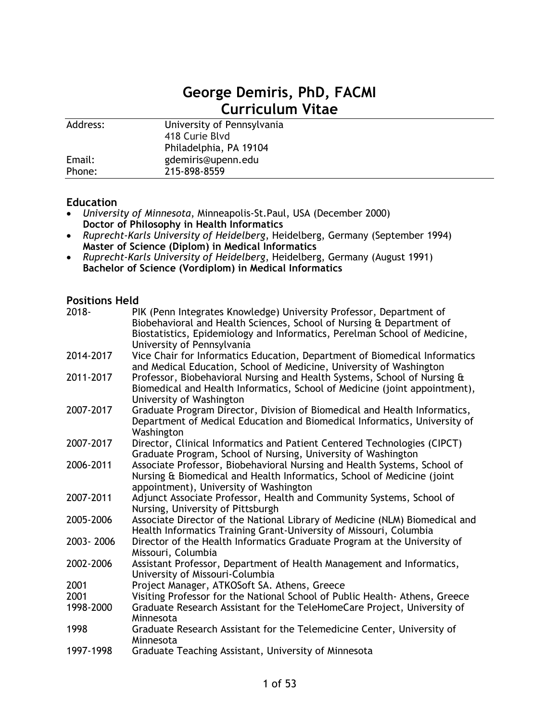# **George Demiris, PhD, FACMI Curriculum Vitae**

| gdemiris@upenn.edu<br>Email:<br>215-898-8559<br>Phone: | Address: | University of Pennsylvania<br>418 Curie Blvd<br>Philadelphia, PA 19104 |
|--------------------------------------------------------|----------|------------------------------------------------------------------------|
|                                                        |          |                                                                        |
|                                                        |          |                                                                        |

# **Education**

- *University of Minnesota*, Minneapolis-St.Paul, USA (December 2000) **Doctor of Philosophy in Health Informatics**
- *Ruprecht-Karls University of Heidelberg*, Heidelberg, Germany (September 1994) **Master of Science (Diplom) in Medical Informatics**
- *Ruprecht-Karls University of Heidelberg*, Heidelberg, Germany (August 1991) **Bachelor of Science (Vordiplom) in Medical Informatics**

#### **Positions Held**

| $2018 -$  | PIK (Penn Integrates Knowledge) University Professor, Department of<br>Biobehavioral and Health Sciences, School of Nursing & Department of<br>Biostatistics, Epidemiology and Informatics, Perelman School of Medicine,<br>University of Pennsylvania |
|-----------|--------------------------------------------------------------------------------------------------------------------------------------------------------------------------------------------------------------------------------------------------------|
| 2014-2017 | Vice Chair for Informatics Education, Department of Biomedical Informatics<br>and Medical Education, School of Medicine, University of Washington                                                                                                      |
| 2011-2017 | Professor, Biobehavioral Nursing and Health Systems, School of Nursing &<br>Biomedical and Health Informatics, School of Medicine (joint appointment),<br>University of Washington                                                                     |
| 2007-2017 | Graduate Program Director, Division of Biomedical and Health Informatics,<br>Department of Medical Education and Biomedical Informatics, University of<br>Washington                                                                                   |
| 2007-2017 | Director, Clinical Informatics and Patient Centered Technologies (CIPCT)<br>Graduate Program, School of Nursing, University of Washington                                                                                                              |
| 2006-2011 | Associate Professor, Biobehavioral Nursing and Health Systems, School of<br>Nursing & Biomedical and Health Informatics, School of Medicine (joint<br>appointment), University of Washington                                                           |
| 2007-2011 | Adjunct Associate Professor, Health and Community Systems, School of<br>Nursing, University of Pittsburgh                                                                                                                                              |
| 2005-2006 | Associate Director of the National Library of Medicine (NLM) Biomedical and<br>Health Informatics Training Grant-University of Missouri, Columbia                                                                                                      |
| 2003-2006 | Director of the Health Informatics Graduate Program at the University of<br>Missouri, Columbia                                                                                                                                                         |
| 2002-2006 | Assistant Professor, Department of Health Management and Informatics,<br>University of Missouri-Columbia                                                                                                                                               |
| 2001      | Project Manager, ATKOSoft SA. Athens, Greece                                                                                                                                                                                                           |
| 2001      | Visiting Professor for the National School of Public Health- Athens, Greece                                                                                                                                                                            |
| 1998-2000 | Graduate Research Assistant for the TeleHomeCare Project, University of<br>Minnesota                                                                                                                                                                   |
| 1998      | Graduate Research Assistant for the Telemedicine Center, University of<br>Minnesota                                                                                                                                                                    |
| 1997-1998 | Graduate Teaching Assistant, University of Minnesota                                                                                                                                                                                                   |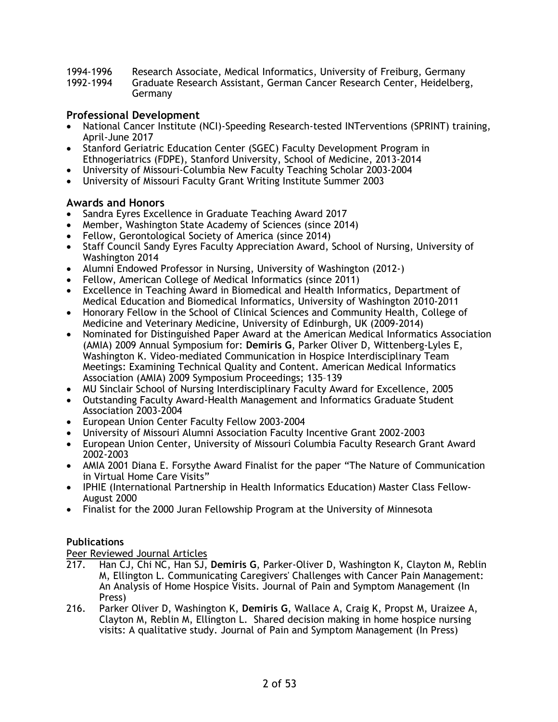- 1994-1996 Research Associate, Medical Informatics, University of Freiburg, Germany
- 1992-1994 Graduate Research Assistant, German Cancer Research Center, Heidelberg, Germany

# **Professional Development**

- National Cancer Institute (NCI)-Speeding Research-tested INTerventions (SPRINT) training, April-June 2017
- Stanford Geriatric Education Center (SGEC) Faculty Development Program in Ethnogeriatrics (FDPE), Stanford University, School of Medicine, 2013-2014
- University of Missouri-Columbia New Faculty Teaching Scholar 2003-2004
- University of Missouri Faculty Grant Writing Institute Summer 2003

# **Awards and Honors**

- Sandra Eyres Excellence in Graduate Teaching Award 2017
- Member, Washington State Academy of Sciences (since 2014)
- Fellow, Gerontological Society of America (since 2014)
- Staff Council Sandy Eyres Faculty Appreciation Award, School of Nursing, University of Washington 2014
- Alumni Endowed Professor in Nursing, University of Washington (2012-)
- Fellow, American College of Medical Informatics (since 2011)
- Excellence in Teaching Award in Biomedical and Health Informatics, Department of Medical Education and Biomedical Informatics, University of Washington 2010-2011
- Honorary Fellow in the School of Clinical Sciences and Community Health, College of Medicine and Veterinary Medicine, University of Edinburgh, UK (2009-2014)
- Nominated for Distinguished Paper Award at the American Medical Informatics Association (AMIA) 2009 Annual Symposium for: **Demiris G**, Parker Oliver D, Wittenberg-Lyles E, Washington K. Video-mediated Communication in Hospice Interdisciplinary Team Meetings: Examining Technical Quality and Content. American Medical Informatics Association (AMIA) 2009 Symposium Proceedings; 135–139
- MU Sinclair School of Nursing Interdisciplinary Faculty Award for Excellence, 2005
- Outstanding Faculty Award-Health Management and Informatics Graduate Student Association 2003-2004
- European Union Center Faculty Fellow 2003-2004
- University of Missouri Alumni Association Faculty Incentive Grant 2002-2003
- European Union Center, University of Missouri Columbia Faculty Research Grant Award 2002-2003
- AMIA 2001 Diana E. Forsythe Award Finalist for the paper "The Nature of Communication in Virtual Home Care Visits"
- IPHIE (International Partnership in Health Informatics Education) Master Class Fellow-August 2000
- Finalist for the 2000 Juran Fellowship Program at the University of Minnesota

# **Publications**

Peer Reviewed Journal Articles

- 217. Han CJ, Chi NC, Han SJ, **Demiris G**, Parker-Oliver D, Washington K, Clayton M, Reblin M, Ellington L. Communicating Caregivers' Challenges with Cancer Pain Management: An Analysis of Home Hospice Visits. Journal of Pain and Symptom Management (In Press)
- 216. Parker Oliver D, Washington K, **Demiris G**, Wallace A, Craig K, Propst M, Uraizee A, Clayton M, Reblin M, Ellington L. Shared decision making in home hospice nursing visits: A qualitative study. Journal of Pain and Symptom Management (In Press)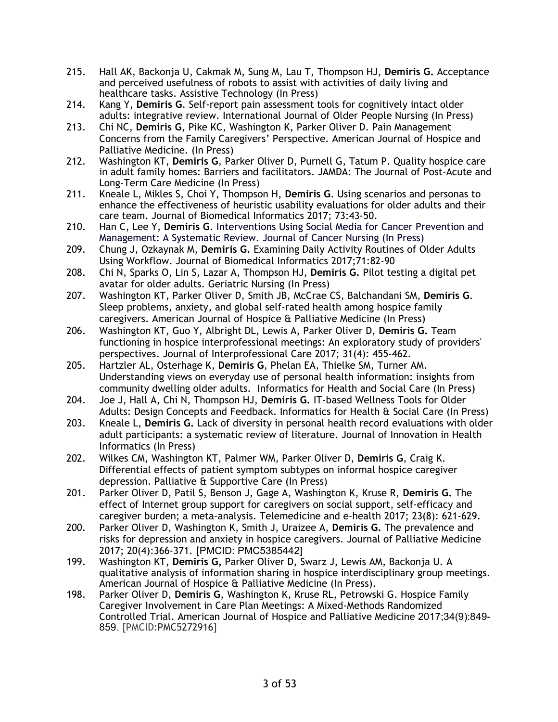- 215. Hall AK, Backonja U, Cakmak M, Sung M, Lau T, Thompson HJ, **Demiris G.** Acceptance and perceived usefulness of robots to assist with activities of daily living and healthcare tasks. Assistive Technology (In Press)
- 214. Kang Y, **Demiris G**. Self-report pain assessment tools for cognitively intact older adults: integrative review. International Journal of Older People Nursing (In Press)
- 213. Chi NC, **Demiris G**, Pike KC, Washington K, Parker Oliver D. Pain Management Concerns from the Family Caregivers' Perspective. American Journal of Hospice and Palliative Medicine. (In Press)
- 212. Washington KT, **Demiris G**, Parker Oliver D, Purnell G, Tatum P. Quality hospice care in adult family homes: Barriers and facilitators. JAMDA: The Journal of Post-Acute and Long-Term Care Medicine (In Press)
- 211. Kneale L, Mikles S, Choi Y, Thompson H, **Demiris G**. Using scenarios and personas to enhance the effectiveness of heuristic usability evaluations for older adults and their care team. Journal of Biomedical Informatics 2017; 73:43-50.
- 210. Han C, Lee Y, **Demiris G**. Interventions Using Social Media for Cancer Prevention and Management: A Systematic Review. Journal of Cancer Nursing (In Press)
- 209. Chung J, Ozkaynak M, **Demiris G.** Examining Daily Activity Routines of Older Adults Using Workflow. Journal of Biomedical Informatics 2017;71:82-90
- 208. Chi N, Sparks O, Lin S, Lazar A, Thompson HJ, **Demiris G.** Pilot testing a digital pet avatar for older adults. Geriatric Nursing (In Press)
- 207. Washington KT, Parker Oliver D, Smith JB, McCrae CS, Balchandani SM, **Demiris G**. Sleep problems, anxiety, and global self-rated health among hospice family caregivers. American Journal of Hospice & Palliative Medicine (In Press)
- 206. Washington KT, Guo Y, Albright DL, Lewis A, Parker Oliver D, **Demiris G.** Team functioning in hospice interprofessional meetings: An exploratory study of providers' perspectives. Journal of Interprofessional Care 2017; 31(4): 455-462.
- 205. Hartzler AL, Osterhage K, **Demiris G**, Phelan EA, Thielke SM, Turner AM. Understanding views on everyday use of personal health information: insights from community dwelling older adults. Informatics for Health and Social Care (In Press)
- 204. Joe J, Hall A, Chi N, Thompson HJ, **Demiris G.** IT-based Wellness Tools for Older Adults: Design Concepts and Feedback. Informatics for Health & Social Care (In Press)
- 203. Kneale L, **Demiris G.** Lack of diversity in personal health record evaluations with older adult participants: a systematic review of literature. Journal of Innovation in Health Informatics (In Press)
- 202. Wilkes CM, Washington KT, Palmer WM, Parker Oliver D, **Demiris G**, Craig K. Differential effects of patient symptom subtypes on informal hospice caregiver depression. Palliative & Supportive Care (In Press)
- 201. Parker Oliver D, Patil S, Benson J, Gage A, Washington K, Kruse R, **Demiris G.** The effect of Internet group support for caregivers on social support, self-efficacy and caregiver burden; a meta-analysis. Telemedicine and e-health 2017; 23(8): 621-629.
- 200. Parker Oliver D, Washington K, Smith J, Uraizee A, **Demiris G.** The prevalence and risks for depression and anxiety in hospice caregivers. Journal of Palliative Medicine 2017; 20(4):366-371. [PMCID: PMC5385442]
- 199. Washington KT, **Demiris G,** Parker Oliver D, Swarz J, Lewis AM, Backonja U. A qualitative analysis of information sharing in hospice interdisciplinary group meetings. American Journal of Hospice & Palliative Medicine (In Press).
- 198. Parker Oliver D, **Demiris G**, Washington K, Kruse RL, Petrowski G. Hospice Family Caregiver Involvement in Care Plan Meetings: A Mixed-Methods Randomized Controlled Trial. American Journal of Hospice and Palliative Medicine 2017;34(9):849- 859. [PMCID:PMC5272916]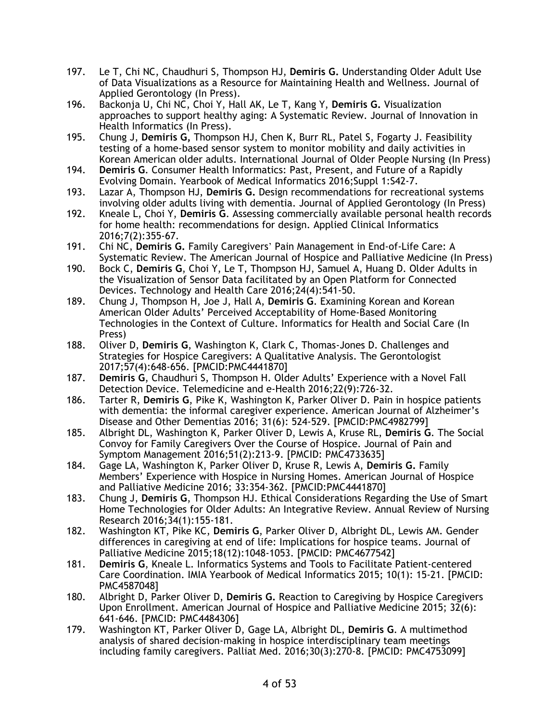- 197. Le T, Chi NC, Chaudhuri S, Thompson HJ, **Demiris G.** Understanding Older Adult Use of Data Visualizations as a Resource for Maintaining Health and Wellness. Journal of Applied Gerontology (In Press).
- 196. Backonja U, Chi NC, Choi Y, Hall AK, Le T, Kang Y, **Demiris G.** Visualization approaches to support healthy aging: A Systematic Review. Journal of Innovation in Health Informatics (In Press).
- 195. Chung J, **Demiris G,** Thompson HJ, Chen K, Burr RL, Patel S, Fogarty J. Feasibility testing of a home-based sensor system to monitor mobility and daily activities in Korean American older adults. International Journal of Older People Nursing (In Press)
- 194. **Demiris G**. Consumer Health Informatics: Past, Present, and Future of a Rapidly Evolving Domain. Yearbook of Medical Informatics 2016;Suppl 1:S42-7.
- 193. Lazar A, Thompson HJ, **Demiris G.** Design recommendations for recreational systems involving older adults living with dementia. Journal of Applied Gerontology (In Press)
- 192. Kneale L, Choi Y, **Demiris G**. Assessing commercially available personal health records for home health: recommendations for design. Applied Clinical Informatics 2016;7(2):355-67.
- 191. Chi NC, **Demiris G.** Family Caregivers' Pain Management in End-of-Life Care: A Systematic Review. The American Journal of Hospice and Palliative Medicine (In Press)
- 190. Bock C, **Demiris G**, Choi Y, Le T, Thompson HJ, Samuel A, Huang D. Older Adults in the Visualization of Sensor Data facilitated by an Open Platform for Connected Devices. Technology and Health Care 2016;24(4):541-50.
- 189. Chung J, Thompson H, Joe J, Hall A, **Demiris G**. Examining Korean and Korean American Older Adults' Perceived Acceptability of Home-Based Monitoring Technologies in the Context of Culture. Informatics for Health and Social Care (In Press)
- 188. Oliver D, **Demiris G**, Washington K, Clark C, Thomas-Jones D. Challenges and Strategies for Hospice Caregivers: A Qualitative Analysis. The Gerontologist 2017;57(4):648-656. [PMCID:PMC4441870]
- 187. **Demiris G**, Chaudhuri S, Thompson H. Older Adults' Experience with a Novel Fall Detection Device. Telemedicine and e-Health 2016;22(9):726-32.
- 186. Tarter R, **Demiris G**, Pike K, Washington K, Parker Oliver D. Pain in hospice patients with dementia: the informal caregiver experience. American Journal of Alzheimer's Disease and Other Dementias 2016; 31(6): 524-529. [PMCID:PMC4982799]
- 185. Albright DL, Washington K, Parker Oliver D, Lewis A, Kruse RL, **Demiris G**. The Social Convoy for Family Caregivers Over the Course of Hospice. Journal of Pain and Symptom Management 2016;51(2):213-9. [PMCID: PMC4733635]
- 184. Gage LA, Washington K, Parker Oliver D, Kruse R, Lewis A, **Demiris G.** Family Members' Experience with Hospice in Nursing Homes. American Journal of Hospice and Palliative Medicine 2016; 33:354-362. [PMCID:PMC4441870]
- 183. Chung J, **Demiris G**, Thompson HJ. Ethical Considerations Regarding the Use of Smart Home Technologies for Older Adults: An Integrative Review. Annual Review of Nursing Research 2016;34(1):155-181.
- 182. Washington KT, Pike KC, **Demiris G**, Parker Oliver D, Albright DL, Lewis AM. Gender differences in caregiving at end of life: Implications for hospice teams. Journal of Palliative Medicine 2015;18(12):1048-1053. [PMCID: PMC4677542]
- 181. **Demiris G**, Kneale L. Informatics Systems and Tools to Facilitate Patient-centered Care Coordination. IMIA Yearbook of Medical Informatics 2015; 10(1): 15-21. [PMCID: PMC4587048]
- 180. Albright D, Parker Oliver D, **Demiris G.** Reaction to Caregiving by Hospice Caregivers Upon Enrollment. American Journal of Hospice and Palliative Medicine 2015; 32(6): 641-646. [PMCID: PMC4484306]
- 179. Washington KT, Parker Oliver D, Gage LA, Albright DL, **Demiris G**. A multimethod analysis of shared decision-making in hospice interdisciplinary team meetings including family caregivers. Palliat Med. 2016;30(3):270-8. [PMCID: PMC4753099]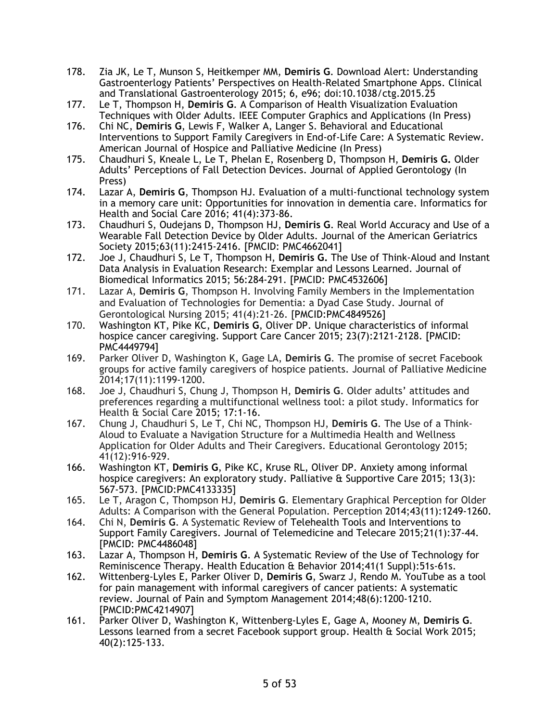- 178. Zia JK, Le T, Munson S, Heitkemper MM, **Demiris G**. Download Alert: Understanding Gastroenterlogy Patients' Perspectives on Health-Related Smartphone Apps. Clinical and Translational Gastroenterology 2015; 6, e96; doi:10.1038/ctg.2015.25
- 177. Le T, Thompson H, **Demiris G**. A Comparison of Health Visualization Evaluation Techniques with Older Adults. IEEE Computer Graphics and Applications (In Press)
- 176. Chi NC, **Demiris G**, Lewis F, Walker A, Langer S. Behavioral and Educational Interventions to Support Family Caregivers in End-of-Life Care: A Systematic Review. American Journal of Hospice and Palliative Medicine (In Press)
- 175. Chaudhuri S, Kneale L, Le T, Phelan E, Rosenberg D, Thompson H, **Demiris G.** Older Adults' Perceptions of Fall Detection Devices. Journal of Applied Gerontology (In Press)
- 174. Lazar A, **Demiris G**, Thompson HJ. Evaluation of a multi-functional technology system in a memory care unit: Opportunities for innovation in dementia care. Informatics for Health and Social Care 2016; 41(4):373-86.
- 173. Chaudhuri S, Oudejans D, Thompson HJ, **Demiris G**. Real World Accuracy and Use of a Wearable Fall Detection Device by Older Adults. Journal of the American Geriatrics Society 2015;63(11):2415-2416. [PMCID: PMC4662041]
- 172. Joe J, Chaudhuri S, Le T, Thompson H, **Demiris G.** The Use of Think-Aloud and Instant Data Analysis in Evaluation Research: Exemplar and Lessons Learned. Journal of Biomedical Informatics 2015; 56:284-291. [PMCID: PMC4532606]
- 171. Lazar A, **Demiris G**, Thompson H. Involving Family Members in the Implementation and Evaluation of Technologies for Dementia: a Dyad Case Study. Journal of Gerontological Nursing 2015; 41(4):21-26. [PMCID:PMC4849526]
- 170. Washington KT, Pike KC, **Demiris G**, Oliver DP. Unique characteristics of informal hospice cancer caregiving. Support Care Cancer 2015; 23(7):2121-2128. [PMCID: PMC4449794]
- 169. Parker Oliver D, Washington K, Gage LA, **Demiris G**. The promise of secret Facebook groups for active family caregivers of hospice patients. Journal of Palliative Medicine 2014;17(11):1199-1200.
- 168. Joe J, Chaudhuri S, Chung J, Thompson H, **Demiris G**. Older adults' attitudes and preferences regarding a multifunctional wellness tool: a pilot study. Informatics for Health & Social Care 2015; 17:1-16.
- 167. Chung J, Chaudhuri S, Le T, Chi NC, Thompson HJ, **Demiris G**. The Use of a Think-Aloud to Evaluate a Navigation Structure for a Multimedia Health and Wellness Application for Older Adults and Their Caregivers. Educational Gerontology 2015; 41(12):916-929.
- 166. Washington KT, **Demiris G**, Pike KC, Kruse RL, Oliver DP. Anxiety among informal hospice caregivers: An exploratory study. Palliative & Supportive Care 2015; 13(3): 567-573. [PMCID:PMC4133335]
- 165. Le T, Aragon C, Thompson HJ, **Demiris G**. Elementary Graphical Perception for Older Adults: A Comparison with the General Population. Perception 2014;43(11):1249-1260.
- 164. Chi N, **Demiris G**. A Systematic Review of Telehealth Tools and Interventions to Support Family Caregivers. Journal of Telemedicine and Telecare 2015;21(1):37-44. [PMCID: PMC4486048]
- 163. Lazar A, Thompson H, **Demiris G**. A Systematic Review of the Use of Technology for Reminiscence Therapy. Health Education & Behavior 2014;41(1 Suppl):51s-61s.
- 162. Wittenberg-Lyles E, Parker Oliver D, **Demiris G**, Swarz J, Rendo M. YouTube as a tool for pain management with informal caregivers of cancer patients: A systematic review. Journal of Pain and Symptom Management 2014;48(6):1200-1210. [PMCID:PMC4214907]
- 161. Parker Oliver D, Washington K, Wittenberg-Lyles E, Gage A, Mooney M, **Demiris G**. Lessons learned from a secret Facebook support group. Health & Social Work 2015; 40(2):125-133.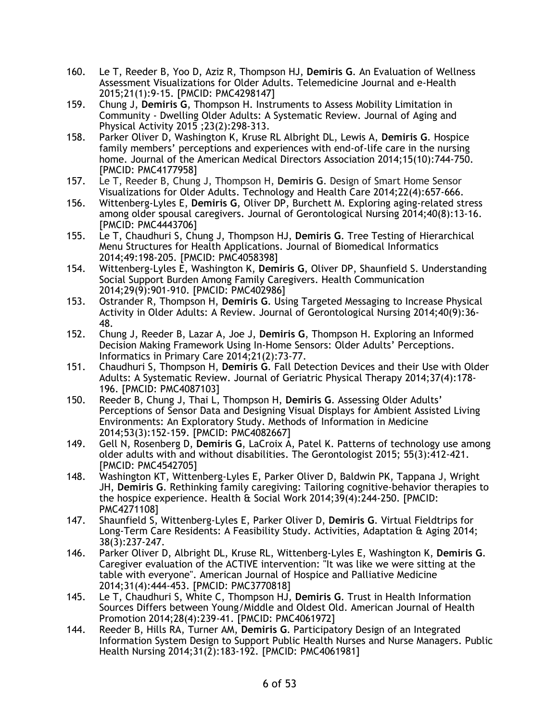- 160. Le T, Reeder B, Yoo D, Aziz R, Thompson HJ, **Demiris G**. An Evaluation of Wellness Assessment Visualizations for Older Adults. Telemedicine Journal and e-Health 2015;21(1):9-15. [PMCID: PMC4298147]
- 159. Chung J, **Demiris G**, Thompson H. Instruments to Assess Mobility Limitation in Community - Dwelling Older Adults: A Systematic Review. Journal of Aging and Physical Activity 2015 ;23(2):298-313.
- 158. Parker Oliver D, Washington K, Kruse RL Albright DL, Lewis A, **Demiris G**. Hospice family members' perceptions and experiences with end-of-life care in the nursing home. Journal of the American Medical Directors Association 2014;15(10):744-750. [PMCID: PMC4177958]
- 157. Le T, Reeder B, Chung J, Thompson H, **Demiris G**. Design of Smart Home Sensor Visualizations for Older Adults. Technology and Health Care 2014;22(4):657-666.
- 156. Wittenberg-Lyles E, **Demiris G**, Oliver DP, Burchett M. Exploring aging-related stress among older spousal caregivers. Journal of Gerontological Nursing 2014;40(8):13-16. [PMCID: PMC4443706]
- 155. Le T, Chaudhuri S, Chung J, Thompson HJ, **Demiris G**. Tree Testing of Hierarchical Menu Structures for Health Applications. Journal of Biomedical Informatics 2014;49:198-205. [PMCID: PMC4058398]
- 154. Wittenberg-Lyles E, Washington K, **Demiris G**, Oliver DP, Shaunfield S. Understanding Social Support Burden Among Family Caregivers. Health Communication 2014;29(9):901-910. [PMCID: PMC402986]
- 153. Ostrander R, Thompson H, **Demiris G**. Using Targeted Messaging to Increase Physical Activity in Older Adults: A Review. Journal of Gerontological Nursing 2014;40(9):36- 48.
- 152. Chung J, Reeder B, Lazar A, Joe J, **Demiris G**, Thompson H. Exploring an Informed Decision Making Framework Using In-Home Sensors: Older Adults' Perceptions. Informatics in Primary Care 2014;21(2):73-77.
- 151. Chaudhuri S, Thompson H, **Demiris G**. Fall Detection Devices and their Use with Older Adults: A Systematic Review. Journal of Geriatric Physical Therapy 2014;37(4):178- 196. [PMCID: PMC4087103]
- 150. Reeder B, Chung J, Thai L, Thompson H, **Demiris G**. Assessing Older Adults' Perceptions of Sensor Data and Designing Visual Displays for Ambient Assisted Living Environments: An Exploratory Study. Methods of Information in Medicine 2014;53(3):152-159. [PMCID: PMC4082667]
- 149. Gell N, Rosenberg D, **Demiris G**, LaCroix A, Patel K. Patterns of technology use among older adults with and without disabilities. The Gerontologist 2015; 55(3):412-421. [PMCID: PMC4542705]
- 148. Washington KT, Wittenberg-Lyles E, Parker Oliver D, Baldwin PK, Tappana J, Wright JH, **Demiris G**. Rethinking family caregiving: Tailoring cognitive-behavior therapies to the hospice experience. Health & Social Work 2014;39(4):244-250. [PMCID: PMC4271108]
- 147. Shaunfield S, Wittenberg-Lyles E, Parker Oliver D, **Demiris G**. Virtual Fieldtrips for Long-Term Care Residents: A Feasibility Study. Activities, Adaptation & Aging 2014; 38(3):237-247.
- 146. Parker Oliver D, Albright DL, Kruse RL, Wittenberg-Lyles E, Washington K, **Demiris G**. Caregiver evaluation of the ACTIVE intervention: "It was like we were sitting at the table with everyone". American Journal of Hospice and Palliative Medicine 2014;31(4):444-453. [PMCID: PMC3770818]
- 145. Le T, Chaudhuri S, White C, Thompson HJ, **Demiris G**. Trust in Health Information Sources Differs between Young/Middle and Oldest Old. American Journal of Health Promotion 2014;28(4):239-41. [PMCID: PMC4061972]
- 144. Reeder B, Hills RA, Turner AM, **Demiris G**. Participatory Design of an Integrated Information System Design to Support Public Health Nurses and Nurse Managers. Public Health Nursing 2014;31(2):183-192. [PMCID: PMC4061981]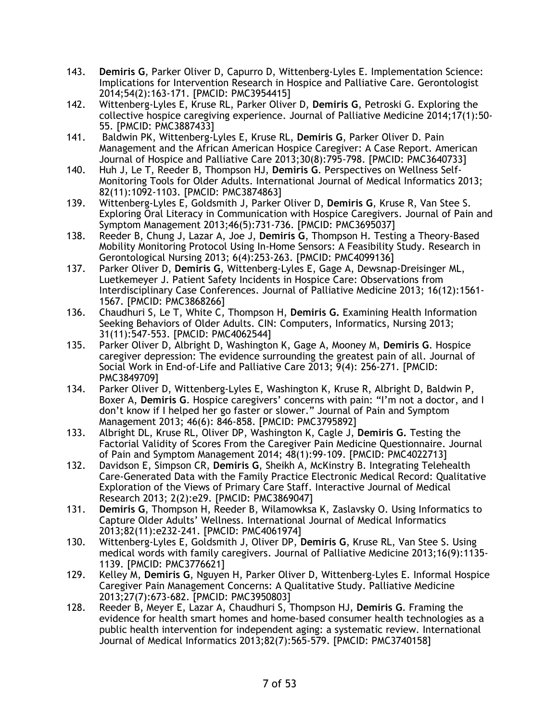- 143. **Demiris G**, Parker Oliver D, Capurro D, Wittenberg-Lyles E. Implementation Science: Implications for Intervention Research in Hospice and Palliative Care. Gerontologist 2014;54(2):163-171. [PMCID: PMC3954415]
- 142. Wittenberg-Lyles E, Kruse RL, Parker Oliver D, **Demiris G**, Petroski G. Exploring the collective hospice caregiving experience. Journal of Palliative Medicine 2014;17(1):50- 55. [PMCID: PMC3887433]
- 141. Baldwin PK, Wittenberg-Lyles E, Kruse RL, **Demiris G**, Parker Oliver D. Pain Management and the African American Hospice Caregiver: A Case Report. American Journal of Hospice and Palliative Care 2013;30(8):795-798. [PMCID: PMC3640733]
- 140. Huh J, Le T, Reeder B, Thompson HJ, **Demiris G**. Perspectives on Wellness Self-Monitoring Tools for Older Adults. International Journal of Medical Informatics 2013; 82(11):1092-1103. [PMCID: PMC3874863]
- 139. Wittenberg-Lyles E, Goldsmith J, Parker Oliver D, **Demiris G**, Kruse R, Van Stee S. Exploring Oral Literacy in Communication with Hospice Caregivers. Journal of Pain and Symptom Management 2013;46(5):731-736. [PMCID: PMC3695037]
- 138. Reeder B, Chung J, Lazar A, Joe J, **Demiris G**, Thompson H. Testing a Theory-Based Mobility Monitoring Protocol Using In-Home Sensors: A Feasibility Study. Research in Gerontological Nursing 2013; 6(4):253-263. [PMCID: PMC4099136]
- 137. Parker Oliver D, **Demiris G**, Wittenberg-Lyles E, Gage A, Dewsnap-Dreisinger ML, Luetkemeyer J. Patient Safety Incidents in Hospice Care: Observations from Interdisciplinary Case Conferences. Journal of Palliative Medicine 2013; 16(12):1561- 1567. [PMCID: PMC3868266]
- 136. Chaudhuri S, Le T, White C, Thompson H, **Demiris G.** Examining Health Information Seeking Behaviors of Older Adults. CIN: Computers, Informatics, Nursing 2013; 31(11):547-553. [PMCID: PMC4062544]
- 135. Parker Oliver D, Albright D, Washington K, Gage A, Mooney M, **Demiris G**. Hospice caregiver depression: The evidence surrounding the greatest pain of all. Journal of Social Work in End-of-Life and Palliative Care 2013; 9(4): 256-271. [PMCID: PMC3849709]
- 134. Parker Oliver D, Wittenberg-Lyles E, Washington K, Kruse R, Albright D, Baldwin P, Boxer A, **Demiris G**. Hospice caregivers' concerns with pain: "I'm not a doctor, and I don't know if I helped her go faster or slower." Journal of Pain and Symptom Management 2013; 46(6): 846-858. [PMCID: PMC3795892]
- 133. Albright DL, Kruse RL, Oliver DP, Washington K, Cagle J, **Demiris G.** Testing the Factorial Validity of Scores From the Caregiver Pain Medicine Questionnaire. Journal of Pain and Symptom Management 2014; 48(1):99-109. [PMCID: PMC4022713]
- 132. Davidson E, Simpson CR, **Demiris G**, Sheikh A, McKinstry B. Integrating Telehealth Care-Generated Data with the Family Practice Electronic Medical Record: Qualitative Exploration of the Views of Primary Care Staff. Interactive Journal of Medical Research 2013; 2(2):e29. [PMCID: PMC3869047]
- 131. **Demiris G**, Thompson H, Reeder B, Wilamowksa K, Zaslavsky O. Using Informatics to Capture Older Adults' Wellness. International Journal of Medical Informatics 2013;82(11):e232-241. [PMCID: PMC4061974]
- 130. Wittenberg-Lyles E, Goldsmith J, Oliver DP, **Demiris G**, Kruse RL, Van Stee S. Using medical words with family caregivers. Journal of Palliative Medicine 2013;16(9):1135- 1139. [PMCID: PMC3776621]
- 129. Kelley M, **Demiris G**, Nguyen H, Parker Oliver D, Wittenberg-Lyles E. Informal Hospice Caregiver Pain Management Concerns: A Qualitative Study. Palliative Medicine 2013;27(7):673-682. [PMCID: PMC3950803]
- 128. Reeder B, Meyer E, Lazar A, Chaudhuri S, Thompson HJ, **Demiris G**. Framing the evidence for health smart homes and home-based consumer health technologies as a public health intervention for independent aging: a systematic review. International Journal of Medical Informatics 2013;82(7):565-579. [PMCID: PMC3740158]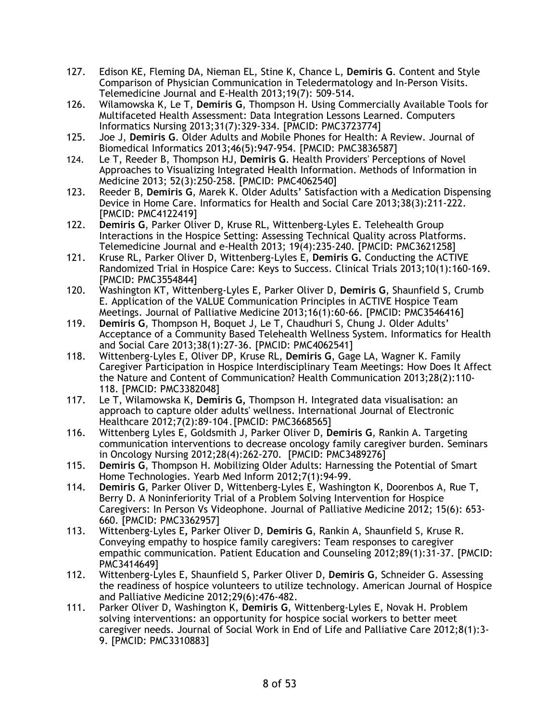- 127. Edison KE, Fleming DA, Nieman EL, Stine K, Chance L, **Demiris G**. Content and Style Comparison of Physician Communication in Teledermatology and In-Person Visits. Telemedicine Journal and E-Health 2013;19(7): 509-514.
- 126. Wilamowska K, Le T, **Demiris G**, Thompson H. Using Commercially Available Tools for Multifaceted Health Assessment: Data Integration Lessons Learned. Computers Informatics Nursing 2013;31(7):329-334. [PMCID: PMC3723774]
- 125. Joe J, **Demiris G**. Older Adults and Mobile Phones for Health: A Review. Journal of Biomedical Informatics 2013;46(5):947-954. [PMCID: PMC3836587]
- 124. Le T, Reeder B, Thompson HJ, **Demiris G**. Health Providers' Perceptions of Novel Approaches to Visualizing Integrated Health Information. Methods of Information in Medicine 2013; 52(3):250-258. [PMCID: PMC4062540]
- 123. Reeder B, **Demiris G**, Marek K. Older Adults' Satisfaction with a Medication Dispensing Device in Home Care. Informatics for Health and Social Care 2013;38(3):211-222. [PMCID: PMC4122419]
- 122. **Demiris G**, Parker Oliver D, Kruse RL, Wittenberg-Lyles E. Telehealth Group Interactions in the Hospice Setting: Assessing Technical Quality across Platforms. Telemedicine Journal and e-Health 2013; 19(4):235-240. [PMCID: PMC3621258]
- 121. Kruse RL, Parker Oliver D, Wittenberg-Lyles E, **Demiris G.** Conducting the ACTIVE Randomized Trial in Hospice Care: Keys to Success. Clinical Trials 2013;10(1):160-169. [PMCID: PMC3554844]
- 120. Washington KT, Wittenberg-Lyles E, Parker Oliver D, **Demiris G**, Shaunfield S, Crumb E. Application of the VALUE Communication Principles in ACTIVE Hospice Team Meetings. Journal of Palliative Medicine 2013;16(1):60-66. [PMCID: PMC3546416]
- 119. **Demiris G**, Thompson H, Boquet J, Le T, Chaudhuri S, Chung J. Older Adults' Acceptance of a Community Based Telehealth Wellness System. Informatics for Health and Social Care 2013;38(1):27-36. [PMCID: PMC4062541]
- 118. Wittenberg-Lyles E, Oliver DP, Kruse RL, **Demiris G**, Gage LA, Wagner K. Family Caregiver Participation in Hospice Interdisciplinary Team Meetings: How Does It Affect the Nature and Content of Communication? Health Communication 2013;28(2):110- 118. [PMCID: PMC3382048]
- 117. Le T, Wilamowska K, **Demiris G,** Thompson H. Integrated data visualisation: an approach to capture older adults' wellness. International Journal of Electronic Healthcare 2012;7(2):89-104.[PMCID: PMC3668565]
- 116. Wittenberg Lyles E, Goldsmith J, Parker Oliver D, **Demiris G**, Rankin A. Targeting communication interventions to decrease oncology family caregiver burden. Seminars in Oncology Nursing 2012;28(4):262-270. [PMCID: PMC3489276]
- 115. **Demiris G**, Thompson H. Mobilizing Older Adults: Harnessing the Potential of Smart Home Technologies. Yearb Med Inform 2012;7(1):94-99.
- 114. **Demiris G**, Parker Oliver D, Wittenberg-Lyles E, Washington K, Doorenbos A, Rue T, Berry D. A Noninferiority Trial of a Problem Solving Intervention for Hospice Caregivers: In Person Vs Videophone. Journal of Palliative Medicine 2012; 15(6): 653- 660. [PMCID: PMC3362957]
- 113. Wittenberg-Lyles E**,** Parker Oliver D, **Demiris G**, Rankin A, Shaunfield S, Kruse R. Conveying empathy to hospice family caregivers: Team responses to caregiver empathic communication. Patient Education and Counseling 2012;89(1):31-37. [PMCID: PMC3414649]
- 112. Wittenberg-Lyles E, Shaunfield S, Parker Oliver D, **Demiris G**, Schneider G. Assessing the readiness of hospice volunteers to utilize technology. American Journal of Hospice and Palliative Medicine 2012;29(6):476-482.
- 111. Parker Oliver D, Washington K, **Demiris G**, Wittenberg-Lyles E, Novak H. Problem solving interventions: an opportunity for hospice social workers to better meet caregiver needs. Journal of Social Work in End of Life and Palliative Care 2012;8(1):3- 9. [PMCID: PMC3310883]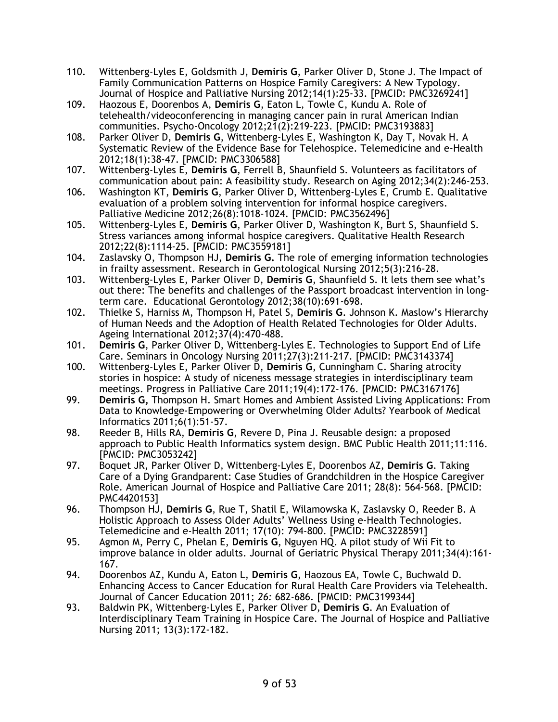- 110. Wittenberg-Lyles E, Goldsmith J, **Demiris G**, Parker Oliver D, Stone J. The Impact of Family Communication Patterns on Hospice Family Caregivers: A New Typology. Journal of Hospice and Palliative Nursing 2012;14(1):25-33. [PMCID: PMC3269241]
- 109. Haozous E, Doorenbos A, **Demiris G**, Eaton L, Towle C, Kundu A. Role of telehealth/videoconferencing in managing cancer pain in rural American Indian communities. Psycho-Oncology 2012;21(2):219-223. [PMCID: PMC3193883]
- 108. Parker Oliver D, **Demiris G**, Wittenberg-Lyles E, Washington K, Day T, Novak H. A Systematic Review of the Evidence Base for Telehospice. Telemedicine and e-Health 2012;18(1):38-47. [PMCID: PMC3306588]
- 107. Wittenberg-Lyles E, **Demiris G**, Ferrell B, Shaunfield S. Volunteers as facilitators of communication about pain: A feasibility study. Research on Aging 2012;34(2):246-253.
- 106. Washington KT, **Demiris G**, Parker Oliver D, Wittenberg-Lyles E, Crumb E. Qualitative evaluation of a problem solving intervention for informal hospice caregivers. Palliative Medicine 2012;26(8):1018-1024. [PMCID: PMC3562496]
- 105. Wittenberg-Lyles E, **Demiris G**, Parker Oliver D, Washington K, Burt S, Shaunfield S. Stress variances among informal hospice caregivers. Qualitative Health Research 2012;22(8):1114-25. [PMCID: PMC3559181]
- 104. Zaslavsky O, Thompson HJ, **Demiris G.** The role of emerging information technologies in frailty assessment. Research in Gerontological Nursing 2012;5(3):216-28.
- 103. Wittenberg-Lyles E, Parker Oliver D, **Demiris G**, Shaunfield S. It lets them see what's out there: The benefits and challenges of the Passport broadcast intervention in longterm care. Educational Gerontology 2012;38(10):691-698.
- 102. Thielke S, Harniss M, Thompson H, Patel S, **Demiris G**. Johnson K. Maslow's Hierarchy of Human Needs and the Adoption of Health Related Technologies for Older Adults. Ageing International 2012;37(4):470-488.
- 101. **Demiris G**, Parker Oliver D, Wittenberg-Lyles E. Technologies to Support End of Life Care. Seminars in Oncology Nursing 2011;27(3):211-217. [PMCID: PMC3143374]
- 100. Wittenberg-Lyles E, Parker Oliver D, **Demiris G**, Cunningham C. Sharing atrocity stories in hospice: A study of niceness message strategies in interdisciplinary team meetings. Progress in Palliative Care 2011;19(4):172-176. [PMCID: PMC3167176]
- 99. **Demiris G,** Thompson H. Smart Homes and Ambient Assisted Living Applications: From Data to Knowledge-Empowering or Overwhelming Older Adults? Yearbook of Medical Informatics 2011;6(1):51-57.
- 98. Reeder B, Hills RA, **Demiris G**, Revere D, Pina J. Reusable design: a proposed approach to Public Health Informatics system design. BMC Public Health 2011;11:116. [PMCID: PMC3053242]
- 97. Boquet JR, Parker Oliver D, Wittenberg-Lyles E, Doorenbos AZ, **Demiris G**. Taking Care of a Dying Grandparent: Case Studies of Grandchildren in the Hospice Caregiver Role. American Journal of Hospice and Palliative Care 2011; 28(8): 564-568. [PMCID: PMC4420153]
- 96. Thompson HJ, **Demiris G**, Rue T, Shatil E, Wilamowska K, Zaslavsky O, Reeder B. A Holistic Approach to Assess Older Adults' Wellness Using e-Health Technologies. Telemedicine and e-Health 2011; 17(10): 794-800. [PMCID: PMC3228591]
- 95. Agmon M, Perry C, Phelan E, **Demiris G**, Nguyen HQ. A pilot study of Wii Fit to improve balance in older adults. Journal of Geriatric Physical Therapy 2011;34(4):161- 167.
- 94. Doorenbos AZ, Kundu A, Eaton L, **Demiris G**, Haozous EA, Towle C, Buchwald D. Enhancing Access to Cancer Education for Rural Health Care Providers via Telehealth. Journal of Cancer Education 2011; *26:* 682-686. [PMCID: PMC3199344]
- 93. Baldwin PK, Wittenberg-Lyles E, Parker Oliver D, **Demiris G**. An Evaluation of Interdisciplinary Team Training in Hospice Care. The Journal of Hospice and Palliative Nursing 2011; 13(3):172-182.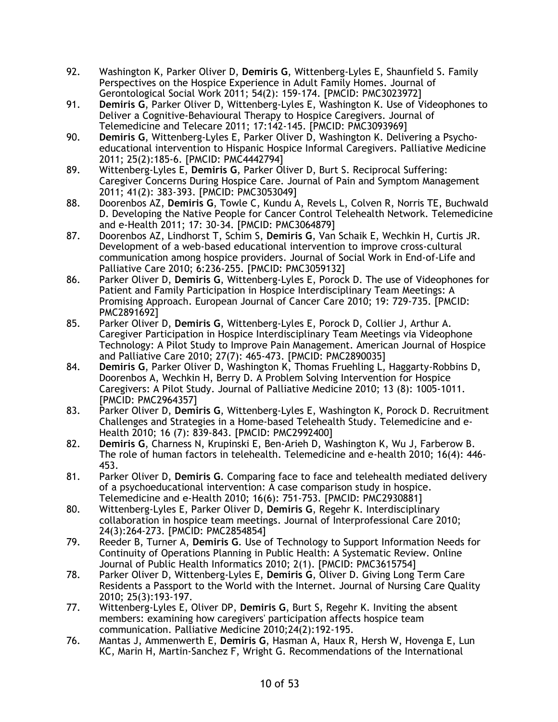- 92. Washington K, Parker Oliver D, **Demiris G**, Wittenberg-Lyles E, Shaunfield S. Family Perspectives on the Hospice Experience in Adult Family Homes. Journal of Gerontological Social Work 2011; 54(2): 159-174. [PMCID: PMC3023972]
- 91. **Demiris G**, Parker Oliver D, Wittenberg-Lyles E, Washington K. Use of Videophones to Deliver a Cognitive-Behavioural Therapy to Hospice Caregivers. Journal of Telemedicine and Telecare 2011; 17:142-145. [PMCID: PMC3093969]
- 90. **Demiris G**, Wittenberg-Lyles E, Parker Oliver D, Washington K. Delivering a Psychoeducational intervention to Hispanic Hospice Informal Caregivers. Palliative Medicine 2011; 25(2):185-6. [PMCID: PMC4442794]
- 89. Wittenberg-Lyles E, **Demiris G**, Parker Oliver D, Burt S. Reciprocal Suffering: Caregiver Concerns During Hospice Care. Journal of Pain and Symptom Management 2011; 41(2): 383-393. [PMCID: PMC3053049]
- 88. Doorenbos AZ, **Demiris G**, Towle C, Kundu A, Revels L, Colven R, Norris TE, Buchwald D. Developing the Native People for Cancer Control Telehealth Network. Telemedicine and e-Health 2011; 17: 30-34. [PMCID: PMC3064879]
- 87. Doorenbos AZ, Lindhorst T, Schim S, **Demiris G**, Van Schaik E, Wechkin H, Curtis JR. Development of a web-based educational intervention to improve cross-cultural communication among hospice providers. Journal of Social Work in End-of-Life and Palliative Care 2010; 6:236-255. [PMCID: PMC3059132]
- 86. Parker Oliver D, **Demiris G**, Wittenberg-Lyles E, Porock D. The use of Videophones for Patient and Family Participation in Hospice Interdisciplinary Team Meetings: A Promising Approach. European Journal of Cancer Care 2010; 19: 729-735. [PMCID: PMC2891692]
- 85. Parker Oliver D, **Demiris G**, Wittenberg-Lyles E, Porock D, Collier J, Arthur A. Caregiver Participation in Hospice Interdisciplinary Team Meetings via Videophone Technology: A Pilot Study to Improve Pain Management. American Journal of Hospice and Palliative Care 2010; 27(7): 465-473. [PMCID: PMC2890035]
- 84. **Demiris G**, Parker Oliver D, Washington K, Thomas Fruehling L, Haggarty-Robbins D, Doorenbos A, Wechkin H, Berry D. A Problem Solving Intervention for Hospice Caregivers: A Pilot Study. Journal of Palliative Medicine 2010; 13 (8): 1005-1011. [PMCID: PMC2964357]
- 83. Parker Oliver D, **Demiris G**, Wittenberg-Lyles E, Washington K, Porock D. Recruitment Challenges and Strategies in a Home-based Telehealth Study. Telemedicine and e-Health 2010; 16 (7): 839-843. [PMCID: PMC2992400]
- 82. **Demiris G**, Charness N, Krupinski E, Ben-Arieh D, Washington K, Wu J, Farberow B. The role of human factors in telehealth. Telemedicine and e-health 2010; 16(4): 446- 453.
- 81. Parker Oliver D, **Demiris G**. Comparing face to face and telehealth mediated delivery of a psychoeducational intervention: A case comparison study in hospice. Telemedicine and e-Health 2010; 16(6): 751-753. [PMCID: PMC2930881]
- 80. Wittenberg-Lyles E, Parker Oliver D, **Demiris G**, Regehr K. Interdisciplinary collaboration in hospice team meetings. Journal of Interprofessional Care 2010; 24(3):264-273. [PMCID: PMC2854854]
- 79. Reeder B, Turner A, **Demiris G**. Use of Technology to Support Information Needs for Continuity of Operations Planning in Public Health: A Systematic Review. Online Journal of Public Health Informatics 2010; 2(1). [PMCID: PMC3615754]
- 78. Parker Oliver D, Wittenberg-Lyles E, **Demiris G**, Oliver D. Giving Long Term Care Residents a Passport to the World with the Internet. Journal of Nursing Care Quality 2010; 25(3):193-197.
- 77. Wittenberg-Lyles E, Oliver DP, **Demiris G**, Burt S, Regehr K. Inviting the absent members: examining how caregivers' participation affects hospice team communication. Palliative Medicine 2010;24(2):192-195.
- 76. Mantas J, Ammenwerth E, **Demiris G**, Hasman A, Haux R, Hersh W, Hovenga E, Lun KC, Marin H, Martin-Sanchez F, Wright G. Recommendations of the International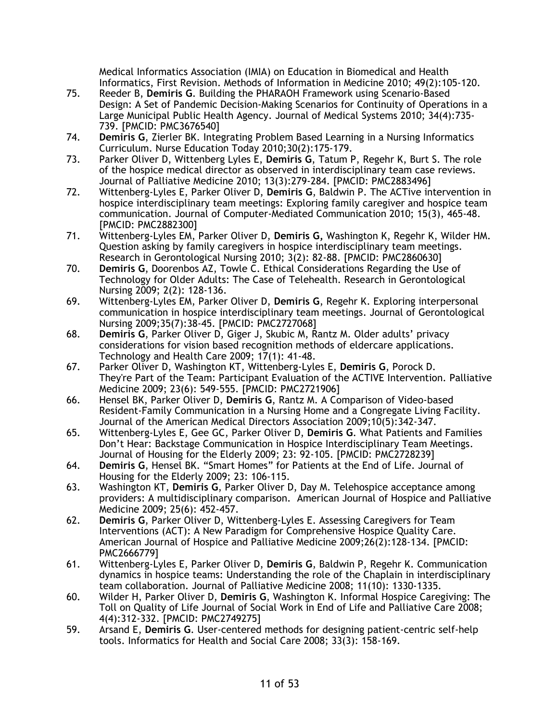Medical Informatics Association (IMIA) on Education in Biomedical and Health Informatics, First Revision. Methods of Information in Medicine 2010; 49(2):105-120.

- 75. Reeder B, **Demiris G**. Building the PHARAOH Framework using Scenario-Based Design: A Set of Pandemic Decision-Making Scenarios for Continuity of Operations in a Large Municipal Public Health Agency. Journal of Medical Systems 2010; 34(4):735- 739. [PMCID: PMC3676540]
- 74. **Demiris G**, Zierler BK. Integrating Problem Based Learning in a Nursing Informatics Curriculum. Nurse Education Today 2010;30(2):175-179.
- 73. Parker Oliver D, Wittenberg Lyles E, **Demiris G**, Tatum P, Regehr K, Burt S. The role of the hospice medical director as observed in interdisciplinary team case reviews. Journal of Palliative Medicine 2010; 13(3):279-284. [PMCID: PMC2883496]
- 72. Wittenberg-Lyles E, Parker Oliver D, **Demiris G**, Baldwin P. The ACTive intervention in hospice interdisciplinary team meetings: Exploring family caregiver and hospice team communication. Journal of Computer-Mediated Communication 2010; 15(3), 465-48. [PMCID: PMC2882300]
- 71. Wittenberg-Lyles EM, Parker Oliver D, **Demiris G,** Washington K, Regehr K, Wilder HM. Question asking by family caregivers in hospice interdisciplinary team meetings. Research in Gerontological Nursing 2010; 3(2): 82-88. [PMCID: PMC2860630]
- 70. **Demiris G**, Doorenbos AZ, Towle C. Ethical Considerations Regarding the Use of Technology for Older Adults: The Case of Telehealth. Research in Gerontological Nursing 2009; 2(2): 128-136.
- 69. Wittenberg-Lyles EM, Parker Oliver D, **Demiris G**, Regehr K. Exploring interpersonal communication in hospice interdisciplinary team meetings. Journal of Gerontological Nursing 2009;35(7):38-45. [PMCID: PMC2727068]
- 68. **Demiris G**, Parker Oliver D, Giger J, Skubic M, Rantz M. Older adults' privacy considerations for vision based recognition methods of eldercare applications. Technology and Health Care 2009; 17(1): 41-48.
- 67. Parker Oliver D, Washington KT, Wittenberg-Lyles E, **Demiris G**, Porock D. They're Part of the Team: Participant Evaluation of the ACTIVE Intervention. Palliative Medicine 2009; 23(6): 549-555. [PMCID: PMC2721906]
- 66. Hensel BK, Parker Oliver D, **Demiris G**, Rantz M. A Comparison of Video-based Resident-Family Communication in a Nursing Home and a Congregate Living Facility. Journal of the American Medical Directors Association 2009;10(5):342-347.
- 65. Wittenberg-Lyles E, Gee GC, Parker Oliver D, **Demiris G**. What Patients and Families Don't Hear: Backstage Communication in Hospice Interdisciplinary Team Meetings. Journal of Housing for the Elderly 2009; 23: 92-105. [PMCID: PMC2728239]
- 64. **Demiris G**, Hensel BK. "Smart Homes" for Patients at the End of Life. Journal of Housing for the Elderly 2009; 23: 106-115.
- 63. Washington KT, **Demiris G**, Parker Oliver D, Day M. Telehospice acceptance among providers: A multidisciplinary comparison. American Journal of Hospice and Palliative Medicine 2009; 25(6): 452-457.
- 62. **Demiris G**, Parker Oliver D, Wittenberg-Lyles E. Assessing Caregivers for Team Interventions (ACT): A New Paradigm for Comprehensive Hospice Quality Care. American Journal of Hospice and Palliative Medicine 2009;26(2):128-134. [PMCID: PMC2666779]
- 61. Wittenberg-Lyles E, Parker Oliver D, **Demiris G**, Baldwin P, Regehr K. Communication dynamics in hospice teams: Understanding the role of the Chaplain in interdisciplinary team collaboration. Journal of Palliative Medicine 2008; 11(10): 1330-1335.
- 60. Wilder H, Parker Oliver D, **Demiris G**, Washington K. Informal Hospice Caregiving: The Toll on Quality of Life Journal of Social Work in End of Life and Palliative Care 2008; 4(4):312-332. [PMCID: PMC2749275]
- 59. Arsand E, **Demiris G**. User-centered methods for designing patient-centric self-help tools. Informatics for Health and Social Care 2008; 33(3): 158-169.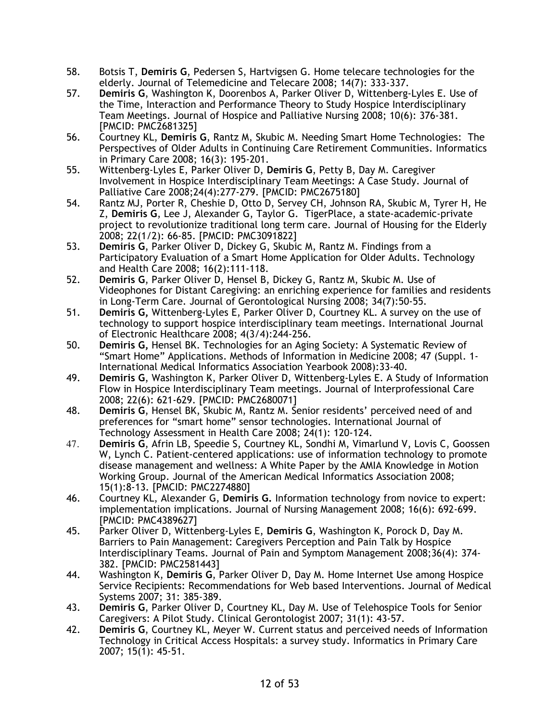- 58. Botsis T, **Demiris G**, Pedersen S, Hartvigsen G. Home telecare technologies for the elderly. Journal of Telemedicine and Telecare 2008; 14(7): 333-337.
- 57. **Demiris G**, Washington K, Doorenbos A, Parker Oliver D, Wittenberg-Lyles E. Use of the Time, Interaction and Performance Theory to Study Hospice Interdisciplinary Team Meetings. Journal of Hospice and Palliative Nursing 2008; 10(6): 376-381. [PMCID: PMC2681325]
- 56. Courtney KL, **Demiris G**, Rantz M, Skubic M. Needing Smart Home Technologies: The Perspectives of Older Adults in Continuing Care Retirement Communities. Informatics in Primary Care 2008; 16(3): 195-201.
- 55. Wittenberg-Lyles E, Parker Oliver D, **Demiris G**, Petty B, Day M. Caregiver Involvement in Hospice Interdisciplinary Team Meetings: A Case Study. Journal of Palliative Care 2008;24(4):277-279. [PMCID: PMC2675180]
- 54. Rantz MJ, Porter R, Cheshie D, Otto D, Servey CH, Johnson RA, Skubic M, Tyrer H, He Z, **Demiris G**, Lee J, Alexander G, Taylor G. TigerPlace, a state-academic-private project to revolutionize traditional long term care. Journal of Housing for the Elderly 2008; 22(1/2): 66-85. [PMCID: PMC3091822]
- 53. **Demiris G**, Parker Oliver D, Dickey G, Skubic M, Rantz M. Findings from a Participatory Evaluation of a Smart Home Application for Older Adults. Technology and Health Care 2008; 16(2):111-118.
- 52. **Demiris G**, Parker Oliver D, Hensel B, Dickey G, Rantz M, Skubic M. Use of Videophones for Distant Caregiving: an enriching experience for families and residents in Long-Term Care. Journal of Gerontological Nursing 2008; 34(7):50-55.
- 51. **Demiris G,** Wittenberg-Lyles E, Parker Oliver D, Courtney KL. A survey on the use of technology to support hospice interdisciplinary team meetings. International Journal of Electronic Healthcare 2008; 4(3/4):244-256.
- 50. **Demiris G,** Hensel BK. Technologies for an Aging Society: A Systematic Review of "Smart Home" Applications. Methods of Information in Medicine 2008; 47 (Suppl. 1- International Medical Informatics Association Yearbook 2008):33-40.
- 49. **Demiris G**, Washington K, Parker Oliver D, Wittenberg-Lyles E. A Study of Information Flow in Hospice Interdisciplinary Team meetings. Journal of Interprofessional Care 2008; 22(6): 621-629. [PMCID: PMC2680071]
- 48. **Demiris G**, Hensel BK, Skubic M, Rantz M. Senior residents' perceived need of and preferences for "smart home" sensor technologies. International Journal of Technology Assessment in Health Care 2008; 24(1): 120-124.
- 47. **Demiris G**, Afrin LB, Speedie S, Courtney KL, Sondhi M, Vimarlund V, Lovis C, Goossen W, Lynch C. Patient-centered applications: use of information technology to promote disease management and wellness: A White Paper by the AMIA Knowledge in Motion Working Group. Journal of the American Medical Informatics Association 2008; 15(1):8-13. [PMCID: PMC2274880]
- 46. Courtney KL, Alexander G, **Demiris G.** Information technology from novice to expert: implementation implications. Journal of Nursing Management 2008; 16(6): 692-699. [PMCID: PMC4389627]
- 45. Parker Oliver D, Wittenberg-Lyles E, **Demiris G**, Washington K, Porock D, Day M. Barriers to Pain Management: Caregivers Perception and Pain Talk by Hospice Interdisciplinary Teams. Journal of Pain and Symptom Management 2008;36(4): 374- 382. [PMCID: PMC2581443]
- 44. Washington K, **Demiris G**, Parker Oliver D, Day M. Home Internet Use among Hospice Service Recipients: Recommendations for Web based Interventions. Journal of Medical Systems 2007; 31: 385-389.
- 43. **Demiris G**, Parker Oliver D, Courtney KL, Day M. Use of Telehospice Tools for Senior Caregivers: A Pilot Study. Clinical Gerontologist 2007; 31(1): 43-57.
- 42. **Demiris G**, Courtney KL, Meyer W. Current status and perceived needs of Information Technology in Critical Access Hospitals: a survey study. Informatics in Primary Care 2007; 15(1): 45-51.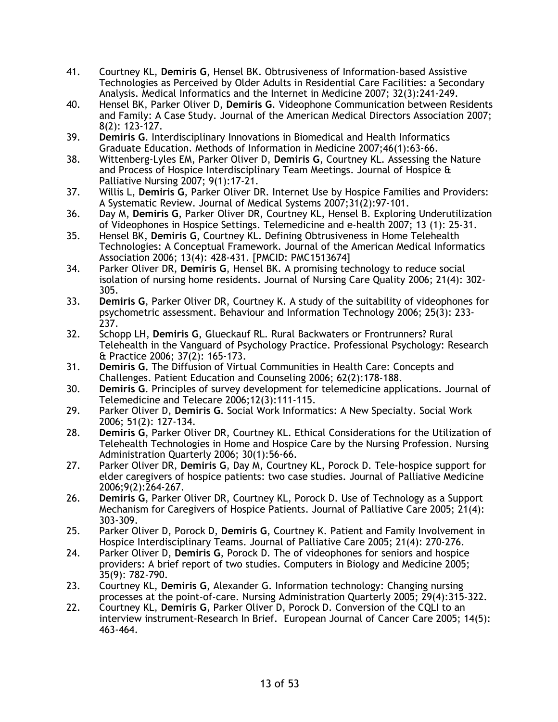- 41. Courtney KL, **Demiris G**, Hensel BK. Obtrusiveness of Information-based Assistive Technologies as Perceived by Older Adults in Residential Care Facilities: a Secondary Analysis. Medical Informatics and the Internet in Medicine 2007; 32(3):241-249.
- 40. Hensel BK, Parker Oliver D, **Demiris G**. Videophone Communication between Residents and Family: A Case Study. Journal of the American Medical Directors Association 2007; 8(2): 123-127.
- 39. **Demiris G**. Interdisciplinary Innovations in Biomedical and Health Informatics Graduate Education. Methods of Information in Medicine 2007;46(1):63-66.
- 38. Wittenberg-Lyles EM, Parker Oliver D, **Demiris G**, Courtney KL. Assessing the Nature and Process of Hospice Interdisciplinary Team Meetings. Journal of Hospice & Palliative Nursing 2007; 9(1):17-21.
- 37. Willis L, **Demiris G**, Parker Oliver DR. Internet Use by Hospice Families and Providers: A Systematic Review. Journal of Medical Systems 2007;31(2):97-101.
- 36. Day M, **Demiris G**, Parker Oliver DR, Courtney KL, Hensel B. Exploring Underutilization of Videophones in Hospice Settings. Telemedicine and e-health 2007; 13 (1): 25-31.
- 35. Hensel BK, **Demiris G**, Courtney KL. Defining Obtrusiveness in Home Telehealth Technologies: A Conceptual Framework. Journal of the American Medical Informatics Association 2006; 13(4): 428-431. [PMCID: PMC1513674]
- 34. Parker Oliver DR, **Demiris G**, Hensel BK. A promising technology to reduce social isolation of nursing home residents. Journal of Nursing Care Quality 2006; 21(4): 302- 305.
- 33. **Demiris G**, Parker Oliver DR, Courtney K. A study of the suitability of videophones for psychometric assessment. Behaviour and Information Technology 2006; 25(3): 233- 237.
- 32. Schopp LH, **Demiris G**, Glueckauf RL. Rural Backwaters or Frontrunners? Rural Telehealth in the Vanguard of Psychology Practice. Professional Psychology: Research & Practice 2006; 37(2): 165-173.
- 31. **Demiris G.** The Diffusion of Virtual Communities in Health Care: Concepts and Challenges. Patient Education and Counseling 2006; 62(2):178-188.
- 30. **Demiris G**. Principles of survey development for telemedicine applications. Journal of Telemedicine and Telecare 2006;12(3):111-115.
- 29. Parker Oliver D, **Demiris G**. Social Work Informatics: A New Specialty. Social Work 2006; 51(2): 127-134.
- 28. **Demiris G**, Parker Oliver DR, Courtney KL. Ethical Considerations for the Utilization of Telehealth Technologies in Home and Hospice Care by the Nursing Profession. Nursing Administration Quarterly 2006; 30(1):56-66.
- 27. Parker Oliver DR, **Demiris G**, Day M, Courtney KL, Porock D. Tele-hospice support for elder caregivers of hospice patients: two case studies. Journal of Palliative Medicine 2006;9(2):264-267.
- 26. **Demiris G**, Parker Oliver DR, Courtney KL, Porock D. Use of Technology as a Support Mechanism for Caregivers of Hospice Patients. Journal of Palliative Care 2005; 21(4): 303-309.
- 25. Parker Oliver D, Porock D, **Demiris G**, Courtney K. Patient and Family Involvement in Hospice Interdisciplinary Teams. Journal of Palliative Care 2005; 21(4): 270-276.
- 24. Parker Oliver D, **Demiris G**, Porock D. The of videophones for seniors and hospice providers: A brief report of two studies. Computers in Biology and Medicine 2005; 35(9): 782-790.
- 23. Courtney KL, **Demiris G**, Alexander G. Information technology: Changing nursing processes at the point-of-care. Nursing Administration Quarterly 2005; 29(4):315-322.
- 22. Courtney KL, **Demiris G**, Parker Oliver D, Porock D. Conversion of the CQLI to an interview instrument-Research In Brief. European Journal of Cancer Care 2005; 14(5): 463-464.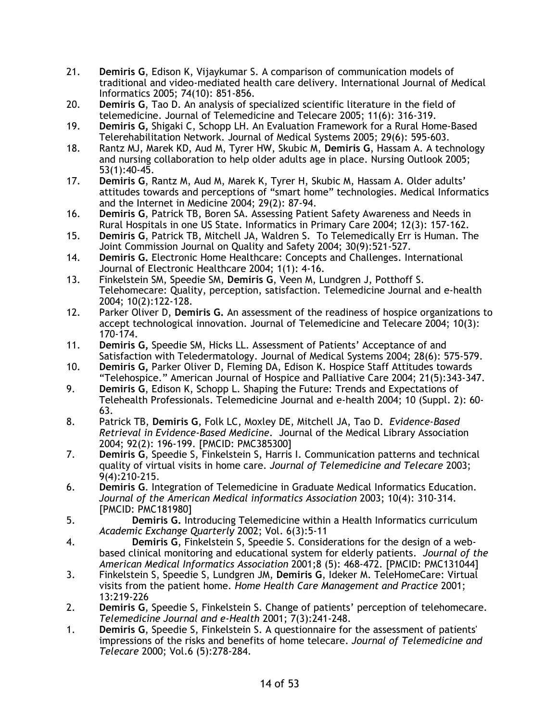- 21. **Demiris G**, Edison K, Vijaykumar S. A comparison of communication models of traditional and video-mediated health care delivery. International Journal of Medical Informatics 2005; 74(10): 851-856.
- 20. **Demiris G**, Tao D. An analysis of specialized scientific literature in the field of telemedicine. Journal of Telemedicine and Telecare 2005; 11(6): 316-319.
- 19. **Demiris G,** Shigaki C, Schopp LH. An Evaluation Framework for a Rural Home-Based Telerehabilitation Network. Journal of Medical Systems 2005; 29(6): 595-603.
- 18. Rantz MJ, Marek KD, Aud M, Tyrer HW, Skubic M, **Demiris G**, Hassam A. A technology and nursing collaboration to help older adults age in place. Nursing Outlook 2005; 53(1):40-45.
- 17. **Demiris G**, Rantz M, Aud M, Marek K, Tyrer H, Skubic M, Hassam A. Older adults' attitudes towards and perceptions of "smart home" technologies. Medical Informatics and the Internet in Medicine 2004; 29(2): 87-94.
- 16. **Demiris G**, Patrick TB, Boren SA. Assessing Patient Safety Awareness and Needs in Rural Hospitals in one US State. Informatics in Primary Care 2004; 12(3): 157-162.
- 15. **Demiris G**, Patrick TB, Mitchell JA, Waldren S. To Telemedically Err is Human. The Joint Commission Journal on Quality and Safety 2004; 30(9):521-527.
- 14. **Demiris G.** Electronic Home Healthcare: Concepts and Challenges. International Journal of Electronic Healthcare 2004; 1(1): 4-16.
- 13. Finkelstein SM, Speedie SM, **Demiris G**, Veen M, Lundgren J, Potthoff S. Telehomecare: Quality, perception, satisfaction. Telemedicine Journal and e-health 2004; 10(2):122-128.
- 12. Parker Oliver D, **Demiris G.** An assessment of the readiness of hospice organizations to accept technological innovation. Journal of Telemedicine and Telecare 2004; 10(3): 170-174.
- 11. **Demiris G,** Speedie SM, Hicks LL. Assessment of Patients' Acceptance of and Satisfaction with Teledermatology. Journal of Medical Systems 2004; 28(6): 575-579.
- 10. **Demiris G,** Parker Oliver D, Fleming DA, Edison K. Hospice Staff Attitudes towards "Telehospice." American Journal of Hospice and Palliative Care 2004; 21(5):343-347.
- 9. **Demiris G**, Edison K, Schopp L. Shaping the Future: Trends and Expectations of Telehealth Professionals. Telemedicine Journal and e-health 2004; 10 (Suppl. 2): 60- 63.
- 8. Patrick TB, **Demiris G**, Folk LC, Moxley DE, Mitchell JA, Tao D. *Evidence-Based Retrieval in Evidence-Based Medicine*. Journal of the Medical Library Association 2004; 92(2): 196-199. [PMCID: PMC385300]
- 7. **Demiris G**, Speedie S, Finkelstein S, Harris I. Communication patterns and technical quality of virtual visits in home care. *Journal of Telemedicine and Telecare* 2003; 9(4):210-215.
- 6. **Demiris G**. Integration of Telemedicine in Graduate Medical Informatics Education. *Journal of the American Medical informatics Association* 2003; 10(4): 310-314. [PMCID: PMC181980]
- 5. **Demiris G.** Introducing Telemedicine within a Health Informatics curriculum *Academic Exchange Quarterly* 2002; Vol. 6(3):5-11
- 4. **Demiris G**, Finkelstein S, Speedie S. Considerations for the design of a webbased clinical monitoring and educational system for elderly patients. *Journal of the American Medical Informatics Association* 2001;8 (5): 468-472. [PMCID: PMC131044]
- 3. Finkelstein S, Speedie S, Lundgren JM, **Demiris G**, Ideker M. TeleHomeCare: Virtual visits from the patient home. *Home Health Care Management and Practice* 2001; 13:219-226
- 2. **Demiris G**, Speedie S, Finkelstein S. Change of patients' perception of telehomecare. *Telemedicine Journal and e-Health* 2001; 7(3):241-248.
- 1. **Demiris G**, Speedie S, Finkelstein S. A questionnaire for the assessment of patients' impressions of the risks and benefits of home telecare. *Journal of Telemedicine and Telecare* 2000; Vol.6 (5):278-284.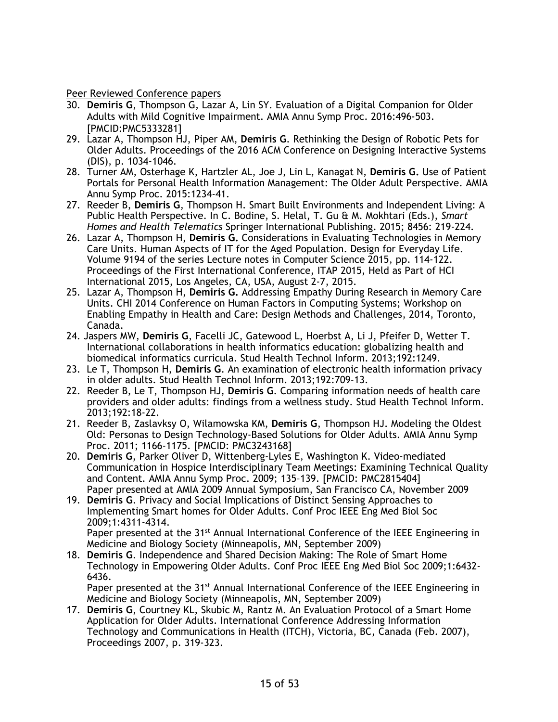Peer Reviewed Conference papers

- 30. **Demiris G**, Thompson G, Lazar A, Lin SY. Evaluation of a Digital Companion for Older Adults with Mild Cognitive Impairment. AMIA Annu Symp Proc. 2016:496-503. [PMCID:PMC5333281]
- 29. Lazar A, Thompson HJ, Piper AM, **Demiris G**. Rethinking the Design of Robotic Pets for Older Adults. Proceedings of the 2016 ACM Conference on Designing Interactive Systems (DIS), p. 1034-1046.
- 28. Turner AM, Osterhage K, Hartzler AL, Joe J, Lin L, Kanagat N, **Demiris G.** Use of Patient Portals for Personal Health Information Management: The Older Adult Perspective. AMIA Annu Symp Proc. 2015:1234-41.
- 27. Reeder B, **Demiris G**, Thompson H. Smart Built Environments and Independent Living: A Public Health Perspective. In C. Bodine, S. Helal, T. Gu & M. Mokhtari (Eds.), *Smart Homes and Health Telematics* Springer International Publishing. 2015; 8456: 219-224.
- 26. Lazar A, Thompson H, **Demiris G.** Considerations in Evaluating Technologies in Memory Care Units. Human Aspects of IT for the Aged Population. Design for Everyday Life. Volume 9194 of the series Lecture notes in Computer Science 2015, pp. 114-122. Proceedings of the First International Conference, ITAP 2015, Held as Part of HCI International 2015, Los Angeles, CA, USA, August 2-7, 2015.
- 25. Lazar A, Thompson H, **Demiris G.** Addressing Empathy During Research in Memory Care Units. CHI 2014 Conference on Human Factors in Computing Systems; Workshop on Enabling Empathy in Health and Care: Design Methods and Challenges, 2014, Toronto, Canada.
- 24. Jaspers MW, **Demiris G**, Facelli JC, Gatewood L, Hoerbst A, Li J, Pfeifer D, Wetter T. International collaborations in health informatics education: globalizing health and biomedical informatics curricula. Stud Health Technol Inform. 2013;192:1249.
- 23. Le T, Thompson H, **Demiris G**. An examination of electronic health information privacy in older adults. Stud Health Technol Inform. 2013;192:709-13.
- 22. Reeder B, Le T, Thompson HJ, **Demiris G**. Comparing information needs of health care providers and older adults: findings from a wellness study. Stud Health Technol Inform. 2013;192:18-22.
- 21. Reeder B, Zaslavksy O, Wilamowska KM, **Demiris G**, Thompson HJ. Modeling the Oldest Old: Personas to Design Technology-Based Solutions for Older Adults. AMIA Annu Symp Proc. 2011; 1166-1175. [PMCID: PMC3243168]
- 20. **Demiris G**, Parker Oliver D, Wittenberg-Lyles E, Washington K. Video-mediated Communication in Hospice Interdisciplinary Team Meetings: Examining Technical Quality and Content. AMIA Annu Symp Proc. 2009; 135–139. [PMCID: PMC2815404] Paper presented at AMIA 2009 Annual Symposium, San Francisco CA, November 2009
- 19. **Demiris G**. Privacy and Social Implications of Distinct Sensing Approaches to Implementing Smart homes for Older Adults. Conf Proc IEEE Eng Med Biol Soc 2009;1:4311-4314. Paper presented at the 31<sup>st</sup> Annual International Conference of the IEEE Engineering in Medicine and Biology Society (Minneapolis, MN, September 2009)
- 18. **Demiris G**. Independence and Shared Decision Making: The Role of Smart Home Technology in Empowering Older Adults. Conf Proc IEEE Eng Med Biol Soc 2009;1:6432- 6436.

Paper presented at the 31<sup>st</sup> Annual International Conference of the IEEE Engineering in Medicine and Biology Society (Minneapolis, MN, September 2009)

17. **Demiris G**, Courtney KL, Skubic M, Rantz M. An Evaluation Protocol of a Smart Home Application for Older Adults. International Conference Addressing Information Technology and Communications in Health (ITCH), Victoria, BC, Canada (Feb. 2007), Proceedings 2007, p. 319-323.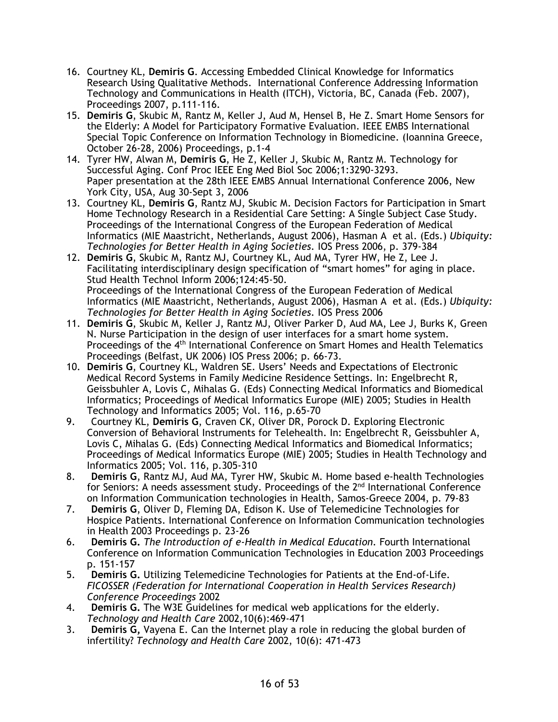- 16. Courtney KL, **Demiris G**. Accessing Embedded Clinical Knowledge for Informatics Research Using Qualitative Methods. International Conference Addressing Information Technology and Communications in Health (ITCH), Victoria, BC, Canada (Feb. 2007), Proceedings 2007, p.111-116.
- 15. **Demiris G**, Skubic M, Rantz M, Keller J, Aud M, Hensel B, He Z. Smart Home Sensors for the Elderly: A Model for Participatory Formative Evaluation. IEEE EMBS International Special Topic Conference on Information Technology in Biomedicine. (Ioannina Greece, October 26-28, 2006) Proceedings, p.1-4
- 14. Tyrer HW, Alwan M, **Demiris G**, He Z, Keller J, Skubic M, Rantz M. Technology for Successful Aging. Conf Proc IEEE Eng Med Biol Soc 2006;1:3290-3293. Paper presentation at the 28th IEEE EMBS Annual International Conference 2006, New York City, USA, Aug 30-Sept 3, 2006
- 13. Courtney KL, **Demiris G**, Rantz MJ, Skubic M. Decision Factors for Participation in Smart Home Technology Research in a Residential Care Setting: A Single Subject Case Study. Proceedings of the International Congress of the European Federation of Medical Informatics (MIE Maastricht, Netherlands, August 2006), Hasman A et al. (Eds.) *Ubiquity: Technologies for Better Health in Aging Societies.* IOS Press 2006, p. 379-384
- 12. **Demiris G**, Skubic M, Rantz MJ, Courtney KL, Aud MA, Tyrer HW, He Z, Lee J. Facilitating interdisciplinary design specification of "smart homes" for aging in place. Stud Health Technol Inform 2006;124:45-50. Proceedings of the International Congress of the European Federation of Medical Informatics (MIE Maastricht, Netherlands, August 2006), Hasman A et al. (Eds.) *Ubiquity: Technologies for Better Health in Aging Societies.* IOS Press 2006
- 11. **Demiris G**, Skubic M, Keller J, Rantz MJ, Oliver Parker D, Aud MA, Lee J, Burks K, Green N. Nurse Participation in the design of user interfaces for a smart home system. Proceedings of the 4<sup>th</sup> International Conference on Smart Homes and Health Telematics Proceedings (Belfast, UK 2006) IOS Press 2006; p. 66-73.
- 10. **Demiris G**, Courtney KL, Waldren SE. Users' Needs and Expectations of Electronic Medical Record Systems in Family Medicine Residence Settings. In: Engelbrecht R, Geissbuhler A, Lovis C, Mihalas G. (Eds) Connecting Medical Informatics and Biomedical Informatics; Proceedings of Medical Informatics Europe (MIE) 2005; Studies in Health Technology and Informatics 2005; Vol. 116, p.65-70
- 9. Courtney KL, **Demiris G**, Craven CK, Oliver DR, Porock D. Exploring Electronic Conversion of Behavioral Instruments for Telehealth. In: Engelbrecht R, Geissbuhler A, Lovis C, Mihalas G. (Eds) Connecting Medical Informatics and Biomedical Informatics; Proceedings of Medical Informatics Europe (MIE) 2005; Studies in Health Technology and Informatics 2005; Vol. 116, p.305-310
- 8. **Demiris G**, Rantz MJ, Aud MA, Tyrer HW, Skubic M. Home based e-health Technologies for Seniors: A needs assessment study. Proceedings of the 2<sup>nd</sup> International Conference on Information Communication technologies in Health, Samos-Greece 2004, p. 79-83
- 7. **Demiris G**, Oliver D, Fleming DA, Edison K. Use of Telemedicine Technologies for Hospice Patients. International Conference on Information Communication technologies in Health 2003 Proceedings p. 23-26
- 6. **Demiris G.** *The Introduction of e-Health in Medical Education*. Fourth International Conference on Information Communication Technologies in Education 2003 Proceedings p. 151-157
- 5. **Demiris G.** Utilizing Telemedicine Technologies for Patients at the End-of-Life. *FICOSSER (Federation for International Cooperation in Health Services Research) Conference Proceedings* 2002
- 4. **Demiris G.** The W3E Guidelines for medical web applications for the elderly. *Technology and Health Care* 2002,10(6):469-471
- 3. **Demiris G,** Vayena E. Can the Internet play a role in reducing the global burden of infertility? *Technology and Health Care* 2002, 10(6): 471-473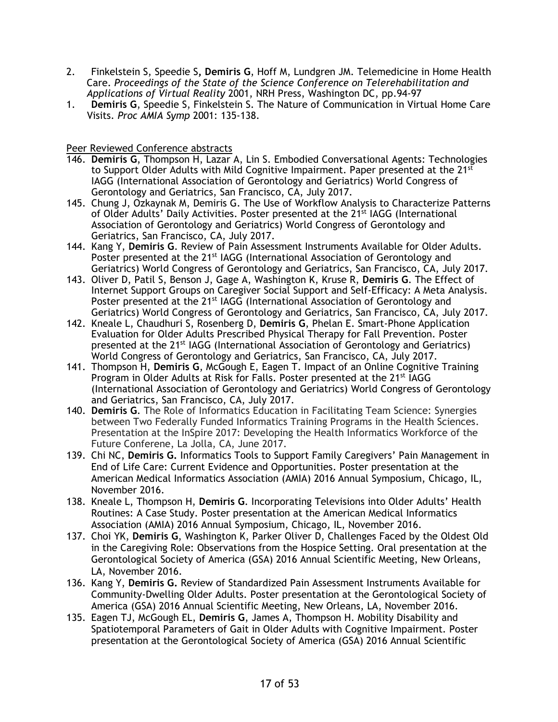- 2. Finkelstein S, Speedie S**, Demiris G**, Hoff M, Lundgren JM. Telemedicine in Home Health Care. *Proceedings of the State of the Science Conference on Telerehabilitation and Applications of Virtual Reality* 2001, NRH Press, Washington DC, pp.94-97
- 1. **Demiris G**, Speedie S, Finkelstein S. The Nature of Communication in Virtual Home Care Visits. *Proc AMIA Symp* 2001: 135-138.

Peer Reviewed Conference abstracts

- 146. **Demiris G**, Thompson H, Lazar A, Lin S. Embodied Conversational Agents: Technologies to Support Older Adults with Mild Cognitive Impairment. Paper presented at the 21<sup>st</sup> IAGG (International Association of Gerontology and Geriatrics) World Congress of Gerontology and Geriatrics, San Francisco, CA, July 2017.
- 145. Chung J, Ozkaynak M, Demiris G. The Use of Workflow Analysis to Characterize Patterns of Older Adults' Daily Activities. Poster presented at the 21st IAGG (International Association of Gerontology and Geriatrics) World Congress of Gerontology and Geriatrics, San Francisco, CA, July 2017.
- 144. Kang Y, **Demiris G**. Review of Pain Assessment Instruments Available for Older Adults. Poster presented at the 21<sup>st</sup> IAGG (International Association of Gerontology and Geriatrics) World Congress of Gerontology and Geriatrics, San Francisco, CA, July 2017.
- 143. Oliver D, Patil S, Benson J, Gage A, Washington K, Kruse R, **Demiris G**. The Effect of Internet Support Groups on Caregiver Social Support and Self-Efficacy: A Meta Analysis. Poster presented at the 21<sup>st</sup> IAGG (International Association of Gerontology and Geriatrics) World Congress of Gerontology and Geriatrics, San Francisco, CA, July 2017.
- 142. Kneale L, Chaudhuri S, Rosenberg D, **Demiris G**, Phelan E. Smart-Phone Application Evaluation for Older Adults Prescribed Physical Therapy for Fall Prevention. Poster presented at the 21st IAGG (International Association of Gerontology and Geriatrics) World Congress of Gerontology and Geriatrics, San Francisco, CA, July 2017.
- 141. Thompson H, **Demiris G**, McGough E, Eagen T. Impact of an Online Cognitive Training Program in Older Adults at Risk for Falls. Poster presented at the 21<sup>st</sup> IAGG (International Association of Gerontology and Geriatrics) World Congress of Gerontology and Geriatrics, San Francisco, CA, July 2017.
- 140. **Demiris G**. The Role of Informatics Education in Facilitating Team Science: Synergies between Two Federally Funded Informatics Training Programs in the Health Sciences. Presentation at the InSpire 2017: Developing the Health Informatics Workforce of the Future Conferene, La Jolla, CA, June 2017.
- 139. Chi NC, **Demiris G.** Informatics Tools to Support Family Caregivers' Pain Management in End of Life Care: Current Evidence and Opportunities. Poster presentation at the American Medical Informatics Association (AMIA) 2016 Annual Symposium, Chicago, IL, November 2016.
- 138. Kneale L, Thompson H, **Demiris G**. Incorporating Televisions into Older Adults' Health Routines: A Case Study. Poster presentation at the American Medical Informatics Association (AMIA) 2016 Annual Symposium, Chicago, IL, November 2016.
- 137. Choi YK, **Demiris G**, Washington K, Parker Oliver D, Challenges Faced by the Oldest Old in the Caregiving Role: Observations from the Hospice Setting. Oral presentation at the Gerontological Society of America (GSA) 2016 Annual Scientific Meeting, New Orleans, LA, November 2016.
- 136. Kang Y, **Demiris G.** Review of Standardized Pain Assessment Instruments Available for Community-Dwelling Older Adults. Poster presentation at the Gerontological Society of America (GSA) 2016 Annual Scientific Meeting, New Orleans, LA, November 2016.
- 135. Eagen TJ, McGough EL, **Demiris G**, James A, Thompson H. Mobility Disability and Spatiotemporal Parameters of Gait in Older Adults with Cognitive Impairment. Poster presentation at the Gerontological Society of America (GSA) 2016 Annual Scientific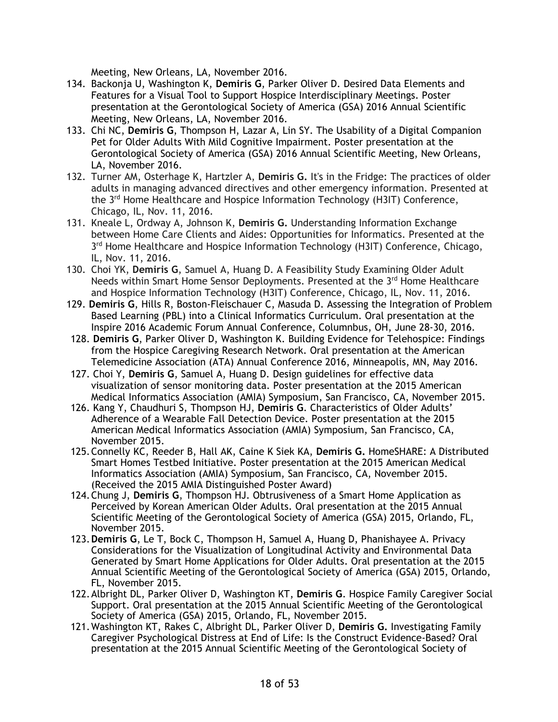Meeting, New Orleans, LA, November 2016.

- 134. Backonja U, Washington K, **Demiris G**, Parker Oliver D. Desired Data Elements and Features for a Visual Tool to Support Hospice Interdisciplinary Meetings. Poster presentation at the Gerontological Society of America (GSA) 2016 Annual Scientific Meeting, New Orleans, LA, November 2016.
- 133. Chi NC, **Demiris G**, Thompson H, Lazar A, Lin SY. The Usability of a Digital Companion Pet for Older Adults With Mild Cognitive Impairment. Poster presentation at the Gerontological Society of America (GSA) 2016 Annual Scientific Meeting, New Orleans, LA, November 2016.
- 132. Turner AM, Osterhage K, Hartzler A, **Demiris G.** It's in the Fridge: The practices of older adults in managing advanced directives and other emergency information. Presented at the 3rd Home Healthcare and Hospice Information Technology (H3IT) Conference, Chicago, IL, Nov. 11, 2016.
- 131. Kneale L, Ordway A, Johnson K, **Demiris G.** Understanding Information Exchange between Home Care Clients and Aides: Opportunities for Informatics. Presented at the  $3<sup>rd</sup>$  Home Healthcare and Hospice Information Technology (H3IT) Conference, Chicago, IL, Nov. 11, 2016.
- 130. Choi YK, **Demiris G**, Samuel A, Huang D. A Feasibility Study Examining Older Adult Needs within Smart Home Sensor Deployments. Presented at the 3<sup>rd</sup> Home Healthcare and Hospice Information Technology (H3IT) Conference, Chicago, IL, Nov. 11, 2016.
- 129. **Demiris G**, Hills R, Boston-Fleischauer C, Masuda D. Assessing the Integration of Problem Based Learning (PBL) into a Clinical Informatics Curriculum. Oral presentation at the Inspire 2016 Academic Forum Annual Conference, Columnbus, OH, June 28-30, 2016.
- 128. **Demiris G**, Parker Oliver D, Washington K. Building Evidence for Telehospice: Findings from the Hospice Caregiving Research Network. Oral presentation at the American Telemedicine Association (ATA) Annual Conference 2016, Minneapolis, MN, May 2016.
- 127. Choi Y, **Demiris G**, Samuel A, Huang D. Design guidelines for effective data visualization of sensor monitoring data. Poster presentation at the 2015 American Medical Informatics Association (AMIA) Symposium, San Francisco, CA, November 2015.
- 126. Kang Y, Chaudhuri S, Thompson HJ, **Demiris G**. Characteristics of Older Adults' Adherence of a Wearable Fall Detection Device. Poster presentation at the 2015 American Medical Informatics Association (AMIA) Symposium, San Francisco, CA, November 2015.
- 125.Connelly KC, Reeder B, Hall AK, Caine K Siek KA, **Demiris G.** HomeSHARE: A Distributed Smart Homes Testbed Initiative. Poster presentation at the 2015 American Medical Informatics Association (AMIA) Symposium, San Francisco, CA, November 2015. (Received the 2015 AMIA Distinguished Poster Award)
- 124.Chung J, **Demiris G**, Thompson HJ. Obtrusiveness of a Smart Home Application as Perceived by Korean American Older Adults. Oral presentation at the 2015 Annual Scientific Meeting of the Gerontological Society of America (GSA) 2015, Orlando, FL, November 2015.
- 123.**Demiris G**, Le T, Bock C, Thompson H, Samuel A, Huang D, Phanishayee A. Privacy Considerations for the Visualization of Longitudinal Activity and Environmental Data Generated by Smart Home Applications for Older Adults. Oral presentation at the 2015 Annual Scientific Meeting of the Gerontological Society of America (GSA) 2015, Orlando, FL, November 2015.
- 122.Albright DL, Parker Oliver D, Washington KT, **Demiris G**. Hospice Family Caregiver Social Support. Oral presentation at the 2015 Annual Scientific Meeting of the Gerontological Society of America (GSA) 2015, Orlando, FL, November 2015.
- 121.Washington KT, Rakes C, Albright DL, Parker Oliver D, **Demiris G.** Investigating Family Caregiver Psychological Distress at End of Life: Is the Construct Evidence-Based? Oral presentation at the 2015 Annual Scientific Meeting of the Gerontological Society of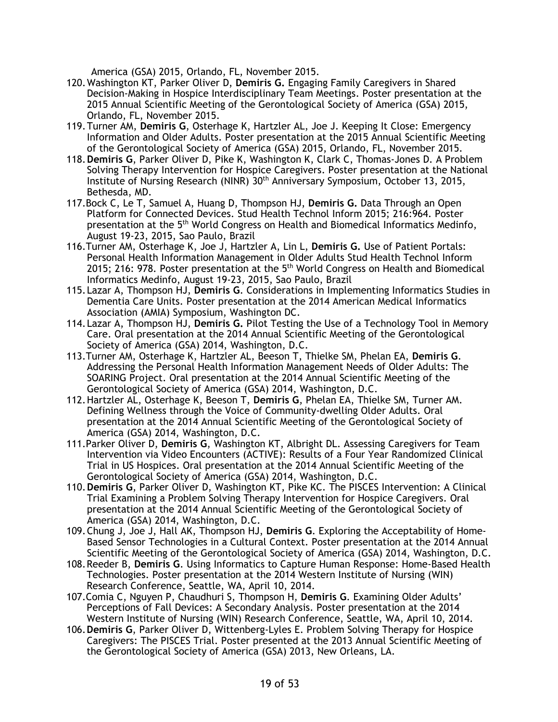America (GSA) 2015, Orlando, FL, November 2015.

- 120.Washington KT, Parker Oliver D, **Demiris G.** Engaging Family Caregivers in Shared Decision-Making in Hospice Interdisciplinary Team Meetings. Poster presentation at the 2015 Annual Scientific Meeting of the Gerontological Society of America (GSA) 2015, Orlando, FL, November 2015.
- 119.Turner AM, **Demiris G**, Osterhage K, Hartzler AL, Joe J. Keeping It Close: Emergency Information and Older Adults. Poster presentation at the 2015 Annual Scientific Meeting of the Gerontological Society of America (GSA) 2015, Orlando, FL, November 2015.
- 118.**Demiris G**, Parker Oliver D, Pike K, Washington K, Clark C, Thomas-Jones D. A Problem Solving Therapy Intervention for Hospice Caregivers. Poster presentation at the National Institute of Nursing Research (NINR) 30th Anniversary Symposium, October 13, 2015, Bethesda, MD.
- 117.Bock C, Le T, Samuel A, Huang D, Thompson HJ, **Demiris G.** Data Through an Open Platform for Connected Devices. Stud Health Technol Inform 2015; 216:964. Poster presentation at the 5th World Congress on Health and Biomedical Informatics Medinfo, August 19-23, 2015, Sao Paulo, Brazil
- 116.Turner AM, Osterhage K, Joe J, Hartzler A, Lin L, **Demiris G.** Use of Patient Portals: Personal Health Information Management in Older Adults Stud Health Technol Inform 2015; 216: 978. Poster presentation at the  $5<sup>th</sup>$  World Congress on Health and Biomedical Informatics Medinfo, August 19-23, 2015, Sao Paulo, Brazil
- 115.Lazar A, Thompson HJ, **Demiris G**. Considerations in Implementing Informatics Studies in Dementia Care Units. Poster presentation at the 2014 American Medical Informatics Association (AMIA) Symposium, Washington DC.
- 114.Lazar A, Thompson HJ, **Demiris G.** Pilot Testing the Use of a Technology Tool in Memory Care. Oral presentation at the 2014 Annual Scientific Meeting of the Gerontological Society of America (GSA) 2014, Washington, D.C.
- 113.Turner AM, Osterhage K, Hartzler AL, Beeson T, Thielke SM, Phelan EA, **Demiris G**. Addressing the Personal Health Information Management Needs of Older Adults: The SOARING Project. Oral presentation at the 2014 Annual Scientific Meeting of the Gerontological Society of America (GSA) 2014, Washington, D.C.
- 112.Hartzler AL, Osterhage K, Beeson T, **Demiris G**, Phelan EA, Thielke SM, Turner AM. Defining Wellness through the Voice of Community-dwelling Older Adults. Oral presentation at the 2014 Annual Scientific Meeting of the Gerontological Society of America (GSA) 2014, Washington, D.C.
- 111.Parker Oliver D, **Demiris G**, Washington KT, Albright DL. Assessing Caregivers for Team Intervention via Video Encounters (ACTIVE): Results of a Four Year Randomized Clinical Trial in US Hospices. Oral presentation at the 2014 Annual Scientific Meeting of the Gerontological Society of America (GSA) 2014, Washington, D.C.
- 110.**Demiris G**, Parker Oliver D, Washington KT, Pike KC. The PISCES Intervention: A Clinical Trial Examining a Problem Solving Therapy Intervention for Hospice Caregivers. Oral presentation at the 2014 Annual Scientific Meeting of the Gerontological Society of America (GSA) 2014, Washington, D.C.
- 109.Chung J, Joe J, Hall AK, Thompson HJ, **Demiris G**. Exploring the Acceptability of Home-Based Sensor Technologies in a Cultural Context. Poster presentation at the 2014 Annual Scientific Meeting of the Gerontological Society of America (GSA) 2014, Washington, D.C.
- 108.Reeder B, **Demiris G**. Using Informatics to Capture Human Response: Home-Based Health Technologies. Poster presentation at the 2014 Western Institute of Nursing (WIN) Research Conference, Seattle, WA, April 10, 2014.
- 107.Comia C, Nguyen P, Chaudhuri S, Thompson H, **Demiris G**. Examining Older Adults' Perceptions of Fall Devices: A Secondary Analysis. Poster presentation at the 2014 Western Institute of Nursing (WIN) Research Conference, Seattle, WA, April 10, 2014.
- 106.**Demiris G**, Parker Oliver D, Wittenberg-Lyles E. Problem Solving Therapy for Hospice Caregivers: The PISCES Trial. Poster presented at the 2013 Annual Scientific Meeting of the Gerontological Society of America (GSA) 2013, New Orleans, LA.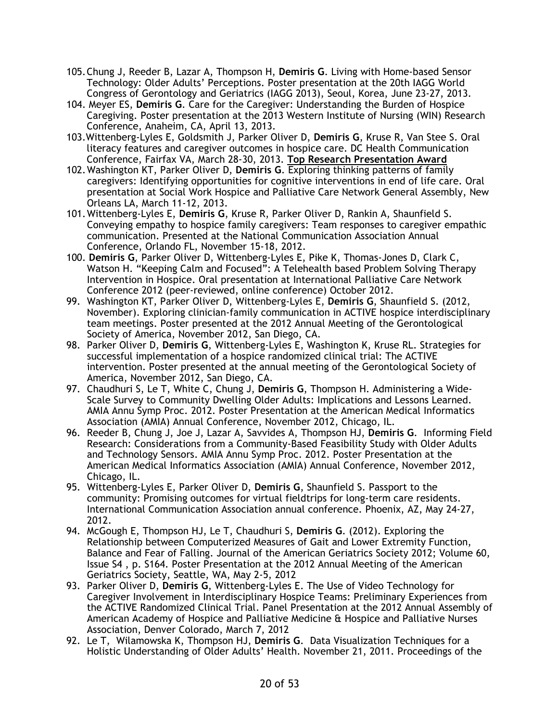- 105.Chung J, Reeder B, Lazar A, Thompson H, **Demiris G**. Living with Home-based Sensor Technology: Older Adults' Perceptions. Poster presentation at the 20th IAGG World Congress of Gerontology and Geriatrics (IAGG 2013), Seoul, Korea, June 23-27, 2013.
- 104. Meyer ES, **Demiris G**. Care for the Caregiver: Understanding the Burden of Hospice Caregiving. Poster presentation at the 2013 Western Institute of Nursing (WIN) Research Conference, Anaheim, CA, April 13, 2013.
- 103.Wittenberg-Lyles E, Goldsmith J, Parker Oliver D, **Demiris G**, Kruse R, Van Stee S. Oral literacy features and caregiver outcomes in hospice care. DC Health Communication Conference, Fairfax VA, March 28-30, 2013. **Top Research Presentation Award**
- 102.Washington KT, Parker Oliver D, **Demiris G**. Exploring thinking patterns of family caregivers: Identifying opportunities for cognitive interventions in end of life care. Oral presentation at Social Work Hospice and Palliative Care Network General Assembly, New Orleans LA, March 11-12, 2013.
- 101.Wittenberg-Lyles E, **Demiris G**, Kruse R, Parker Oliver D, Rankin A, Shaunfield S. Conveying empathy to hospice family caregivers: Team responses to caregiver empathic communication. Presented at the National Communication Association Annual Conference, Orlando FL, November 15-18, 2012.
- 100. **Demiris G**, Parker Oliver D, Wittenberg-Lyles E, Pike K, Thomas-Jones D, Clark C, Watson H. "Keeping Calm and Focused": A Telehealth based Problem Solving Therapy Intervention in Hospice. Oral presentation at International Palliative Care Network Conference 2012 (peer-reviewed, online conference) October 2012.
- 99. Washington KT, Parker Oliver D, Wittenberg-Lyles E, **Demiris G**, Shaunfield S. (2012, November). Exploring clinician-family communication in ACTIVE hospice interdisciplinary team meetings. Poster presented at the 2012 Annual Meeting of the Gerontological Society of America, November 2012, San Diego, CA.
- 98. Parker Oliver D, **Demiris G**, Wittenberg-Lyles E, Washington K, Kruse RL. Strategies for successful implementation of a hospice randomized clinical trial: The ACTIVE intervention. Poster presented at the annual meeting of the Gerontological Society of America, November 2012, San Diego, CA.
- 97. Chaudhuri S, Le T, White C, Chung J, **Demiris G**, Thompson H. Administering a Wide-Scale Survey to Community Dwelling Older Adults: Implications and Lessons Learned. AMIA Annu Symp Proc. 2012. Poster Presentation at the American Medical Informatics Association (AMIA) Annual Conference, November 2012, Chicago, IL.
- 96. Reeder B, Chung J, Joe J, Lazar A, Savvides A, Thompson HJ, **Demiris G**. Informing Field Research: Considerations from a Community-Based Feasibility Study with Older Adults and Technology Sensors. AMIA Annu Symp Proc. 2012. Poster Presentation at the American Medical Informatics Association (AMIA) Annual Conference, November 2012, Chicago, IL.
- 95. Wittenberg-Lyles E, Parker Oliver D, **Demiris G**, Shaunfield S. Passport to the community: Promising outcomes for virtual fieldtrips for long-term care residents. International Communication Association annual conference. Phoenix, AZ, May 24-27, 2012.
- 94. McGough E, Thompson HJ, Le T, Chaudhuri S, **Demiris G**. (2012). Exploring the Relationship between Computerized Measures of Gait and Lower Extremity Function, Balance and Fear of Falling. Journal of the American Geriatrics Society 2012; Volume 60, Issue S4 , p. S164. Poster Presentation at the 2012 Annual Meeting of the American Geriatrics Society, Seattle, WA, May 2-5, 2012
- 93. Parker Oliver D, **Demiris G**, Wittenberg-Lyles E. The Use of Video Technology for Caregiver Involvement in Interdisciplinary Hospice Teams: Preliminary Experiences from the ACTIVE Randomized Clinical Trial. Panel Presentation at the 2012 Annual Assembly of American Academy of Hospice and Palliative Medicine & Hospice and Palliative Nurses Association, Denver Colorado, March 7, 2012
- 92. Le T, Wilamowska K, Thompson HJ, **Demiris G**. Data Visualization Techniques for a Holistic Understanding of Older Adults' Health. November 21, 2011. Proceedings of the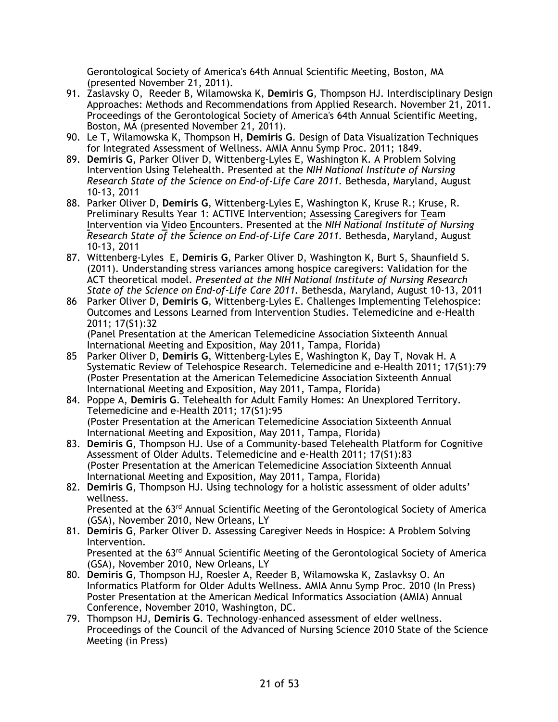Gerontological Society of America's 64th Annual Scientific Meeting, Boston, MA (presented November 21, 2011).

- 91. Zaslavsky O, Reeder B, Wilamowska K, **Demiris G**, Thompson HJ. Interdisciplinary Design Approaches: Methods and Recommendations from Applied Research. November 21, 2011. Proceedings of the Gerontological Society of America's 64th Annual Scientific Meeting, Boston, MA (presented November 21, 2011).
- 90. Le T, Wilamowska K, Thompson H, **Demiris G**. Design of Data Visualization Techniques for Integrated Assessment of Wellness. AMIA Annu Symp Proc. 2011; 1849.
- 89. **Demiris G**, Parker Oliver D, Wittenberg-Lyles E, Washington K. A Problem Solving Intervention Using Telehealth. Presented at the *NIH National Institute of Nursing Research State of the Science on End-of-Life Care 2011.* Bethesda, Maryland, August 10-13, 2011
- 88. Parker Oliver D, **Demiris G**, Wittenberg-Lyles E, Washington K, Kruse R.; Kruse, R. Preliminary Results Year 1: ACTIVE Intervention; Assessing Caregivers for Team Intervention via Video Encounters. Presented at the *NIH National Institute of Nursing Research State of the Science on End-of-Life Care 2011.* Bethesda, Maryland, August 10-13, 2011
- 87. Wittenberg-Lyles E, **Demiris G**, Parker Oliver D, Washington K, Burt S, Shaunfield S. (2011). Understanding stress variances among hospice caregivers: Validation for the ACT theoretical model. *Presented at the NIH National Institute of Nursing Research State of the Science on End-of-Life Care 2011.* Bethesda, Maryland, August 10-13, 2011
- 86 Parker Oliver D, **Demiris G**, Wittenberg-Lyles E. Challenges Implementing Telehospice: Outcomes and Lessons Learned from Intervention Studies. Telemedicine and e-Health 2011; 17(S1):32

(Panel Presentation at the American Telemedicine Association Sixteenth Annual International Meeting and Exposition, May 2011, Tampa, Florida)

- 85 Parker Oliver D, **Demiris G**, Wittenberg-Lyles E, Washington K, Day T, Novak H. A Systematic Review of Telehospice Research. Telemedicine and e-Health 2011; 17(S1):79 (Poster Presentation at the American Telemedicine Association Sixteenth Annual International Meeting and Exposition, May 2011, Tampa, Florida)
- 84. Poppe A, **Demiris G**. Telehealth for Adult Family Homes: An Unexplored Territory. Telemedicine and e-Health 2011; 17(S1):95 (Poster Presentation at the American Telemedicine Association Sixteenth Annual International Meeting and Exposition, May 2011, Tampa, Florida)
- 83. **Demiris G**, Thompson HJ. Use of a Community-based Telehealth Platform for Cognitive Assessment of Older Adults. Telemedicine and e-Health 2011; 17(S1):83 (Poster Presentation at the American Telemedicine Association Sixteenth Annual International Meeting and Exposition, May 2011, Tampa, Florida)
- 82. **Demiris G**, Thompson HJ. Using technology for a holistic assessment of older adults' wellness.

Presented at the  $63<sup>rd</sup>$  Annual Scientific Meeting of the Gerontological Society of America (GSA), November 2010, New Orleans, LY

- 81. **Demiris G**, Parker Oliver D. Assessing Caregiver Needs in Hospice: A Problem Solving Intervention. Presented at the  $63<sup>rd</sup>$  Annual Scientific Meeting of the Gerontological Society of America
- (GSA), November 2010, New Orleans, LY 80. **Demiris G**, Thompson HJ, Roesler A, Reeder B, Wilamowska K, Zaslavksy O. An Informatics Platform for Older Adults Wellness. AMIA Annu Symp Proc. 2010 (In Press) Poster Presentation at the American Medical Informatics Association (AMIA) Annual Conference, November 2010, Washington, DC.
- 79. Thompson HJ, **Demiris G**. Technology-enhanced assessment of elder wellness. Proceedings of the Council of the Advanced of Nursing Science 2010 State of the Science Meeting (in Press)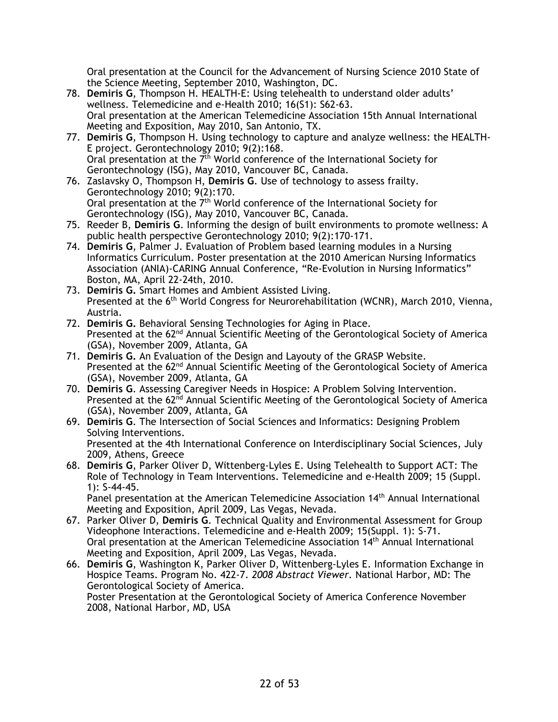Oral presentation at the Council for the Advancement of Nursing Science 2010 State of the Science Meeting, September 2010, Washington, DC.

- 78. **Demiris G**, Thompson H. HEALTH-E: Using telehealth to understand older adults' wellness. Telemedicine and e-Health 2010; 16(S1): S62-63. Oral presentation at the American Telemedicine Association 15th Annual International Meeting and Exposition, May 2010, San Antonio, TX.
- 77. **Demiris G**, Thompson H. Using technology to capture and analyze wellness: the HEALTH-E project. Gerontechnology 2010; 9(2):168. Oral presentation at the  $7<sup>th</sup>$  World conference of the International Society for Gerontechnology (ISG), May 2010, Vancouver BC, Canada.
- 76. Zaslavsky O, Thompson H, **Demiris G**. Use of technology to assess frailty. Gerontechnology 2010; 9(2):170. Oral presentation at the  $7<sup>th</sup>$  World conference of the International Society for Gerontechnology (ISG), May 2010, Vancouver BC, Canada.
- 75. Reeder B, **Demiris G**. Informing the design of built environments to promote wellness: A public health perspective Gerontechnology 2010; 9(2):170-171.
- 74. **Demiris G**, Palmer J. Evaluation of Problem based learning modules in a Nursing Informatics Curriculum. Poster presentation at the 2010 American Nursing Informatics Association (ANIA)-CARING Annual Conference, "Re-Evolution in Nursing Informatics" Boston, MA, April 22-24th, 2010.
- 73. **Demiris G.** Smart Homes and Ambient Assisted Living. Presented at the 6<sup>th</sup> World Congress for Neurorehabilitation (WCNR), March 2010, Vienna, Austria.
- 72. **Demiris G.** Behavioral Sensing Technologies for Aging in Place. Presented at the  $62<sup>nd</sup>$  Annual Scientific Meeting of the Gerontological Society of America (GSA), November 2009, Atlanta, GA
- 71. **Demiris G.** An Evaluation of the Design and Layouty of the GRASP Website. Presented at the 62<sup>nd</sup> Annual Scientific Meeting of the Gerontological Society of America (GSA), November 2009, Atlanta, GA
- 70. **Demiris G**. Assessing Caregiver Needs in Hospice: A Problem Solving Intervention. Presented at the  $62<sup>nd</sup>$  Annual Scientific Meeting of the Gerontological Society of America (GSA), November 2009, Atlanta, GA
- 69. **Demiris G**. The Intersection of Social Sciences and Informatics: Designing Problem Solving Interventions. Presented at the 4th International Conference on Interdisciplinary Social Sciences, July 2009, Athens, Greece
- 68. **Demiris G**, Parker Oliver D, Wittenberg-Lyles E. Using Telehealth to Support ACT: The Role of Technology in Team Interventions. Telemedicine and e-Health 2009; 15 (Suppl. 1): S-44-45.

Panel presentation at the American Telemedicine Association 14<sup>th</sup> Annual International Meeting and Exposition, April 2009, Las Vegas, Nevada.

- 67. Parker Oliver D, **Demiris G**. Technical Quality and Environmental Assessment for Group Videophone Interactions. Telemedicine and e-Health 2009; 15(Suppl. 1): S-71. Oral presentation at the American Telemedicine Association 14th Annual International Meeting and Exposition, April 2009, Las Vegas, Nevada.
- 66. **Demiris G**, Washington K, Parker Oliver D, Wittenberg-Lyles E. Information Exchange in Hospice Teams. Program No. 422-7. *2008 Abstract Viewer.* National Harbor, MD: The Gerontological Society of America. Poster Presentation at the Gerontological Society of America Conference November 2008, National Harbor, MD, USA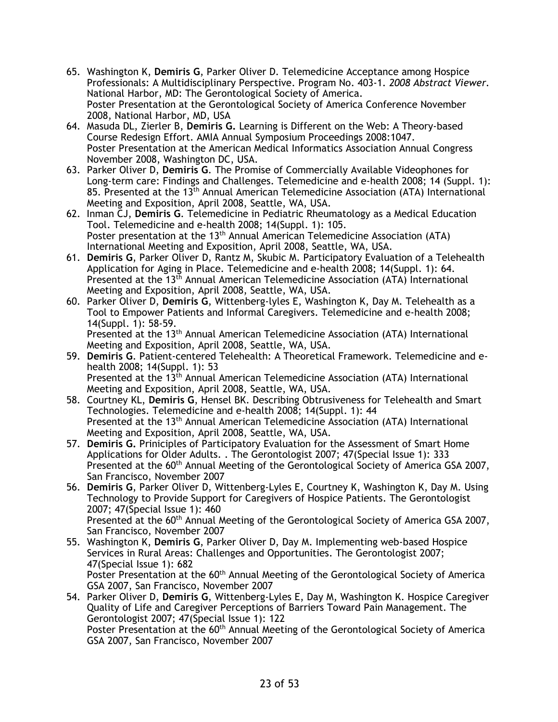- 65. Washington K, **Demiris G**, Parker Oliver D. Telemedicine Acceptance among Hospice Professionals: A Multidisciplinary Perspective. Program No. 403-1. *2008 Abstract Viewer.* National Harbor, MD: The Gerontological Society of America. Poster Presentation at the Gerontological Society of America Conference November 2008, National Harbor, MD, USA
- 64. Masuda DL, Zierler B, **Demiris G.** Learning is Different on the Web: A Theory-based Course Redesign Effort. AMIA Annual Symposium Proceedings 2008:1047. Poster Presentation at the American Medical Informatics Association Annual Congress November 2008, Washington DC, USA.
- 63. Parker Oliver D, **Demiris G**. The Promise of Commercially Available Videophones for Long-term care: Findings and Challenges. Telemedicine and e-health 2008; 14 (Suppl. 1): 85. Presented at the 13<sup>th</sup> Annual American Telemedicine Association (ATA) International Meeting and Exposition, April 2008, Seattle, WA, USA.
- 62. Inman CJ, **Demiris G**. Telemedicine in Pediatric Rheumatology as a Medical Education Tool. Telemedicine and e-health 2008; 14(Suppl. 1): 105. Poster presentation at the 13<sup>th</sup> Annual American Telemedicine Association (ATA) International Meeting and Exposition, April 2008, Seattle, WA, USA.
- 61. **Demiris G**, Parker Oliver D, Rantz M, Skubic M. Participatory Evaluation of a Telehealth Application for Aging in Place. Telemedicine and e-health 2008; 14(Suppl. 1): 64. Presented at the 13<sup>th</sup> Annual American Telemedicine Association (ATA) International Meeting and Exposition, April 2008, Seattle, WA, USA.
- 60. Parker Oliver D, **Demiris G**, Wittenberg-lyles E, Washington K, Day M. Telehealth as a Tool to Empower Patients and Informal Caregivers. Telemedicine and e-health 2008; 14(Suppl. 1): 58-59. Presented at the 13<sup>th</sup> Annual American Telemedicine Association (ATA) International
- Meeting and Exposition, April 2008, Seattle, WA, USA. 59. **Demiris G**. Patient-centered Telehealth: A Theoretical Framework. Telemedicine and ehealth 2008; 14(Suppl. 1): 53 Presented at the 13th Annual American Telemedicine Association (ATA) International Meeting and Exposition, April 2008, Seattle, WA, USA.
- 58. Courtney KL, **Demiris G**, Hensel BK. Describing Obtrusiveness for Telehealth and Smart Technologies. Telemedicine and e-health 2008; 14(Suppl. 1): 44 Presented at the 13th Annual American Telemedicine Association (ATA) International Meeting and Exposition, April 2008, Seattle, WA, USA.
- 57. **Demiris G.** Priniciples of Participatory Evaluation for the Assessment of Smart Home Applications for Older Adults. . The Gerontologist 2007; 47(Special Issue 1): 333 Presented at the 60<sup>th</sup> Annual Meeting of the Gerontological Society of America GSA 2007, San Francisco, November 2007
- 56. **Demiris G**, Parker Oliver D, Wittenberg-Lyles E, Courtney K, Washington K, Day M. Using Technology to Provide Support for Caregivers of Hospice Patients. The Gerontologist 2007; 47(Special Issue 1): 460 Presented at the 60<sup>th</sup> Annual Meeting of the Gerontological Society of America GSA 2007, San Francisco, November 2007
- 55. Washington K, **Demiris G**, Parker Oliver D, Day M. Implementing web-based Hospice Services in Rural Areas: Challenges and Opportunities. The Gerontologist 2007; 47(Special Issue 1): 682 Poster Presentation at the 60<sup>th</sup> Annual Meeting of the Gerontological Society of America GSA 2007, San Francisco, November 2007
- 54. Parker Oliver D, **Demiris G**, Wittenberg-Lyles E, Day M, Washington K. Hospice Caregiver Quality of Life and Caregiver Perceptions of Barriers Toward Pain Management. The Gerontologist 2007; 47(Special Issue 1): 122 Poster Presentation at the 60<sup>th</sup> Annual Meeting of the Gerontological Society of America GSA 2007, San Francisco, November 2007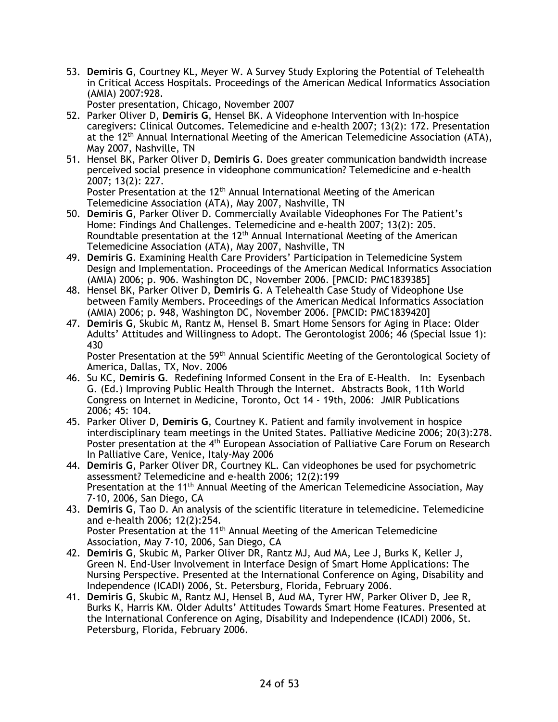53. **Demiris G**, Courtney KL, Meyer W. A Survey Study Exploring the Potential of Telehealth in Critical Access Hospitals. Proceedings of the American Medical Informatics Association (AMIA) 2007:928.

Poster presentation, Chicago, November 2007

- 52. Parker Oliver D, **Demiris G**, Hensel BK. A Videophone Intervention with In-hospice caregivers: Clinical Outcomes. Telemedicine and e-health 2007; 13(2): 172. Presentation at the 12<sup>th</sup> Annual International Meeting of the American Telemedicine Association (ATA), May 2007, Nashville, TN
- 51. Hensel BK, Parker Oliver D, **Demiris G**. Does greater communication bandwidth increase perceived social presence in videophone communication? Telemedicine and e-health 2007; 13(2): 227.

Poster Presentation at the 12<sup>th</sup> Annual International Meeting of the American Telemedicine Association (ATA), May 2007, Nashville, TN

- 50. **Demiris G**, Parker Oliver D. Commercially Available Videophones For The Patient's Home: Findings And Challenges. Telemedicine and e-health 2007; 13(2): 205. Roundtable presentation at the  $12<sup>th</sup>$  Annual International Meeting of the American Telemedicine Association (ATA), May 2007, Nashville, TN
- 49. **Demiris G**. Examining Health Care Providers' Participation in Telemedicine System Design and Implementation. Proceedings of the American Medical Informatics Association (AMIA) 2006; p. 906. Washington DC, November 2006. [PMCID: PMC1839385]
- 48. Hensel BK, Parker Oliver D, **Demiris G**. A Telehealth Case Study of Videophone Use between Family Members. Proceedings of the American Medical Informatics Association (AMIA) 2006; p. 948, Washington DC, November 2006. [PMCID: PMC1839420]
- 47. **Demiris G**, Skubic M, Rantz M, Hensel B. Smart Home Sensors for Aging in Place: Older Adults' Attitudes and Willingness to Adopt. The Gerontologist 2006; 46 (Special Issue 1): 430

Poster Presentation at the 59<sup>th</sup> Annual Scientific Meeting of the Gerontological Society of America, Dallas, TX, Nov. 2006

- 46. Su KC, **Demiris G**. Redefining Informed Consent in the Era of E-Health. In: Eysenbach G. (Ed.) Improving Public Health Through the Internet. Abstracts Book, 11th World Congress on Internet in Medicine, Toronto, Oct 14 - 19th, 2006: JMIR Publications 2006; 45: 104.
- 45. Parker Oliver D, **Demiris G**, Courtney K. Patient and family involvement in hospice interdisciplinary team meetings in the United States. Palliative Medicine 2006; 20(3):278. Poster presentation at the 4<sup>th</sup> European Association of Palliative Care Forum on Research In Palliative Care, Venice, Italy-May 2006
- 44. **Demiris G**, Parker Oliver DR, Courtney KL. Can videophones be used for psychometric assessment? Telemedicine and e-health 2006; 12(2):199 Presentation at the 11<sup>th</sup> Annual Meeting of the American Telemedicine Association, May 7-10, 2006, San Diego, CA
- 43. **Demiris G**, Tao D. An analysis of the scientific literature in telemedicine. Telemedicine and e-health 2006; 12(2):254. Poster Presentation at the 11<sup>th</sup> Annual Meeting of the American Telemedicine Association, May 7-10, 2006, San Diego, CA
- 42. **Demiris G**, Skubic M, Parker Oliver DR, Rantz MJ, Aud MA, Lee J, Burks K, Keller J, Green N. End-User Involvement in Interface Design of Smart Home Applications: The Nursing Perspective. Presented at the International Conference on Aging, Disability and Independence (ICADI) 2006, St. Petersburg, Florida, February 2006.
- 41. **Demiris G**, Skubic M, Rantz MJ, Hensel B, Aud MA, Tyrer HW, Parker Oliver D, Jee R, Burks K, Harris KM. Older Adults' Attitudes Towards Smart Home Features. Presented at the International Conference on Aging, Disability and Independence (ICADI) 2006, St. Petersburg, Florida, February 2006.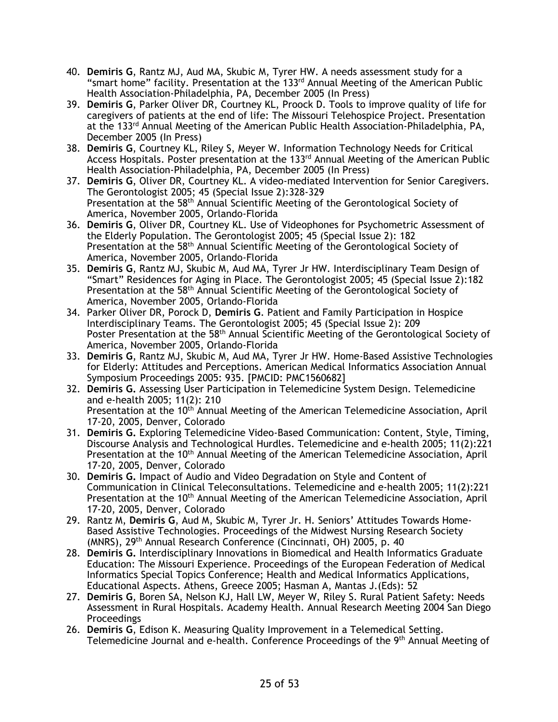- 40. **Demiris G**, Rantz MJ, Aud MA, Skubic M, Tyrer HW. A needs assessment study for a "smart home" facility. Presentation at the 133rd Annual Meeting of the American Public Health Association-Philadelphia, PA, December 2005 (In Press)
- 39. **Demiris G**, Parker Oliver DR, Courtney KL, Proock D. Tools to improve quality of life for caregivers of patients at the end of life: The Missouri Telehospice Project. Presentation at the 133<sup>rd</sup> Annual Meeting of the American Public Health Association-Philadelphia, PA, December 2005 (In Press)
- 38. **Demiris G**, Courtney KL, Riley S, Meyer W. Information Technology Needs for Critical Access Hospitals. Poster presentation at the 133<sup>rd</sup> Annual Meeting of the American Public Health Association-Philadelphia, PA, December 2005 (In Press)
- 37. **Demiris G**, Oliver DR, Courtney KL. A video-mediated Intervention for Senior Caregivers. The Gerontologist 2005; 45 (Special Issue 2):328-329 Presentation at the 58<sup>th</sup> Annual Scientific Meeting of the Gerontological Society of America, November 2005, Orlando-Florida
- 36. **Demiris G**, Oliver DR, Courtney KL. Use of Videophones for Psychometric Assessment of the Elderly Population. The Gerontologist 2005; 45 (Special Issue 2): 182 Presentation at the 58<sup>th</sup> Annual Scientific Meeting of the Gerontological Society of America, November 2005, Orlando-Florida
- 35. **Demiris G**, Rantz MJ, Skubic M, Aud MA, Tyrer Jr HW. Interdisciplinary Team Design of "Smart" Residences for Aging in Place. The Gerontologist 2005; 45 (Special Issue 2):182 Presentation at the 58<sup>th</sup> Annual Scientific Meeting of the Gerontological Society of America, November 2005, Orlando-Florida
- 34. Parker Oliver DR, Porock D, **Demiris G**. Patient and Family Participation in Hospice Interdisciplinary Teams. The Gerontologist 2005; 45 (Special Issue 2): 209 Poster Presentation at the 58<sup>th</sup> Annual Scientific Meeting of the Gerontological Society of America, November 2005, Orlando-Florida
- 33. **Demiris G**, Rantz MJ, Skubic M, Aud MA, Tyrer Jr HW. Home-Based Assistive Technologies for Elderly: Attitudes and Perceptions. American Medical Informatics Association Annual Symposium Proceedings 2005: 935. [PMCID: PMC1560682]
- 32. **Demiris G.** Assessing User Participation in Telemedicine System Design. Telemedicine and e-health 2005; 11(2): 210 Presentation at the 10<sup>th</sup> Annual Meeting of the American Telemedicine Association, April 17-20, 2005, Denver, Colorado
- 31. **Demiris G.** Exploring Telemedicine Video-Based Communication: Content, Style, Timing, Discourse Analysis and Technological Hurdles. Telemedicine and e-health 2005; 11(2):221 Presentation at the 10<sup>th</sup> Annual Meeting of the American Telemedicine Association, April 17-20, 2005, Denver, Colorado
- 30. **Demiris G.** Impact of Audio and Video Degradation on Style and Content of Communication in Clinical Teleconsultations. Telemedicine and e-health 2005; 11(2):221 Presentation at the 10<sup>th</sup> Annual Meeting of the American Telemedicine Association, April 17-20, 2005, Denver, Colorado
- 29. Rantz M, **Demiris G**, Aud M, Skubic M, Tyrer Jr. H. Seniors' Attitudes Towards Home-Based Assistive Technologies. Proceedings of the Midwest Nursing Research Society (MNRS), 29<sup>th</sup> Annual Research Conference (Cincinnati, OH) 2005, p. 40
- 28. **Demiris G.** Interdisciplinary Innovations in Biomedical and Health Informatics Graduate Education: The Missouri Experience. Proceedings of the European Federation of Medical Informatics Special Topics Conference; Health and Medical Informatics Applications, Educational Aspects. Athens, Greece 2005; Hasman A, Mantas J.(Eds): 52
- 27. **Demiris G**, Boren SA, Nelson KJ, Hall LW, Meyer W, Riley S. Rural Patient Safety: Needs Assessment in Rural Hospitals. Academy Health. Annual Research Meeting 2004 San Diego **Proceedings**
- 26. **Demiris G**, Edison K. Measuring Quality Improvement in a Telemedical Setting. Telemedicine Journal and e-health. Conference Proceedings of the 9<sup>th</sup> Annual Meeting of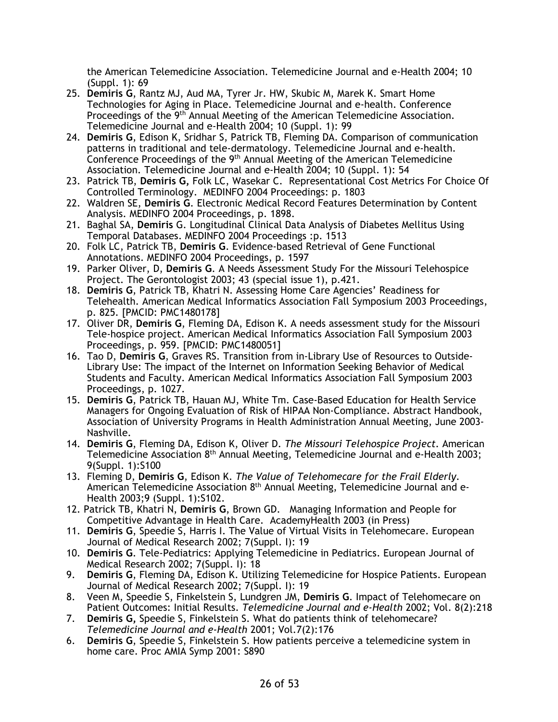the American Telemedicine Association. Telemedicine Journal and e-Health 2004; 10 (Suppl. 1): 69

- 25. **Demiris G**, Rantz MJ, Aud MA, Tyrer Jr. HW, Skubic M, Marek K. Smart Home Technologies for Aging in Place. Telemedicine Journal and e-health. Conference Proceedings of the 9<sup>th</sup> Annual Meeting of the American Telemedicine Association. Telemedicine Journal and e-Health 2004; 10 (Suppl. 1): 99
- 24. **Demiris G**, Edison K, Sridhar S, Patrick TB, Fleming DA. Comparison of communication patterns in traditional and tele-dermatology. Telemedicine Journal and e-health. Conference Proceedings of the 9<sup>th</sup> Annual Meeting of the American Telemedicine Association. Telemedicine Journal and e-Health 2004; 10 (Suppl. 1): 54
- 23. Patrick TB, **Demiris G,** Folk LC, Wasekar C. Representational Cost Metrics For Choice Of Controlled Terminology. MEDINFO 2004 Proceedings: p. 1803
- 22. Waldren SE, **Demiris G**. Electronic Medical Record Features Determination by Content Analysis. MEDINFO 2004 Proceedings, p. 1898.
- 21. Baghal SA, **Demiris** G. Longitudinal Clinical Data Analysis of Diabetes Mellitus Using Temporal Databases. MEDINFO 2004 Proceedings :p. 1513
- 20. Folk LC, Patrick TB, **Demiris G**. Evidence-based Retrieval of Gene Functional Annotations. MEDINFO 2004 Proceedings, p. 1597
- 19. Parker Oliver, D, **Demiris G**. A Needs Assessment Study For the Missouri Telehospice Project. The Gerontologist 2003; 43 (special issue 1), p.421.
- 18. **Demiris G**, Patrick TB, Khatri N. Assessing Home Care Agencies' Readiness for Telehealth. American Medical Informatics Association Fall Symposium 2003 Proceedings, p. 825. [PMCID: PMC1480178]
- 17. Oliver DR, **Demiris G**, Fleming DA, Edison K. A needs assessment study for the Missouri Tele-hospice project. American Medical Informatics Association Fall Symposium 2003 Proceedings, p. 959. [PMCID: PMC1480051]
- 16. Tao D, **Demiris G**, Graves RS. Transition from in-Library Use of Resources to Outside-Library Use: The impact of the Internet on Information Seeking Behavior of Medical Students and Faculty. American Medical Informatics Association Fall Symposium 2003 Proceedings, p. 1027.
- 15. **Demiris G**, Patrick TB, Hauan MJ, White Tm. Case-Based Education for Health Service Managers for Ongoing Evaluation of Risk of HIPAA Non-Compliance. Abstract Handbook, Association of University Programs in Health Administration Annual Meeting, June 2003- Nashville.
- 14. **Demiris G**, Fleming DA, Edison K, Oliver D. *The Missouri Telehospice Project*. American Telemedicine Association 8th Annual Meeting, Telemedicine Journal and e-Health 2003; 9(Suppl. 1):S100
- 13. Fleming D, **Demiris G**, Edison K. *The Value of Telehomecare for the Frail Elderly.* American Telemedicine Association 8th Annual Meeting, Telemedicine Journal and e-Health 2003;9 (Suppl. 1):S102.
- 12. Patrick TB, Khatri N, **Demiris G**, Brown GD. Managing Information and People for Competitive Advantage in Health Care. AcademyHealth 2003 (in Press)
- 11. **Demiris G**, Speedie S, Harris I. The Value of Virtual Visits in Telehomecare. European Journal of Medical Research 2002; 7(Suppl. I): 19
- 10. **Demiris G**. Tele-Pediatrics: Applying Telemedicine in Pediatrics. European Journal of Medical Research 2002; 7(Suppl. I): 18
- 9. **Demiris G**, Fleming DA, Edison K. Utilizing Telemedicine for Hospice Patients. European Journal of Medical Research 2002; 7(Suppl. I): 19
- 8. Veen M, Speedie S, Finkelstein S, Lundgren JM, **Demiris G**. Impact of Telehomecare on Patient Outcomes: Initial Results. *Telemedicine Journal and e-Health* 2002; Vol. 8(2):218
- 7. **Demiris G,** Speedie S, Finkelstein S. What do patients think of telehomecare? *Telemedicine Journal and e-Health* 2001; Vol.7(2):176
- 6. **Demiris G**, Speedie S, Finkelstein S. How patients perceive a telemedicine system in home care. Proc AMIA Symp 2001: S890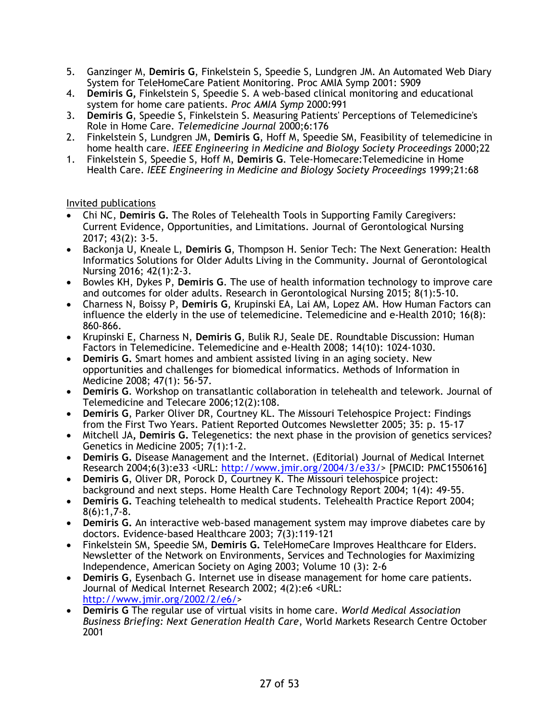- 5. Ganzinger M, **Demiris G**, Finkelstein S, Speedie S, Lundgren JM. An Automated Web Diary System for TeleHomeCare Patient Monitoring. Proc AMIA Symp 2001: S909
- 4. **Demiris G,** Finkelstein S, Speedie S. A web-based clinical monitoring and educational system for home care patients. *Proc AMIA Symp* 2000:991
- 3. **Demiris G**, Speedie S, Finkelstein S. Measuring Patients' Perceptions of Telemedicine's Role in Home Care. *Telemedicine Journal* 2000;6:176
- 2. Finkelstein S, Lundgren JM, **Demiris G**, Hoff M, Speedie SM, Feasibility of telemedicine in home health care. *IEEE Engineering in Medicine and Biology Society Proceedings* 2000;22
- 1. Finkelstein S, Speedie S, Hoff M, **Demiris G**. Tele-Homecare:Telemedicine in Home Health Care. *IEEE Engineering in Medicine and Biology Society Proceedings* 1999;21:68

## Invited publications

- Chi NC, **Demiris G.** The Roles of Telehealth Tools in Supporting Family Caregivers: Current Evidence, Opportunities, and Limitations. Journal of Gerontological Nursing 2017; 43(2): 3-5.
- Backonja U, Kneale L, **Demiris G**, Thompson H. Senior Tech: The Next Generation: Health Informatics Solutions for Older Adults Living in the Community. Journal of Gerontological Nursing 2016; 42(1):2-3.
- Bowles KH, Dykes P, **Demiris G**. The use of health information technology to improve care and outcomes for older adults. Research in Gerontological Nursing 2015; 8(1):5-10.
- Charness N, Boissy P, **Demiris G**, Krupinski EA, Lai AM, Lopez AM. How Human Factors can influence the elderly in the use of telemedicine. Telemedicine and e-Health 2010; 16(8): 860-866.
- Krupinski E, Charness N, **Demiris G**, Bulik RJ, Seale DE. Roundtable Discussion: Human Factors in Telemedicine. Telemedicine and e-Health 2008; 14(10): 1024-1030.
- **Demiris G.** Smart homes and ambient assisted living in an aging society. New opportunities and challenges for biomedical informatics. Methods of Information in Medicine 2008; 47(1): 56-57.
- **Demiris G**. Workshop on transatlantic collaboration in telehealth and telework. Journal of Telemedicine and Telecare 2006;12(2):108.
- **Demiris G**, Parker Oliver DR, Courtney KL. The Missouri Telehospice Project: Findings from the First Two Years. Patient Reported Outcomes Newsletter 2005; 35: p. 15-17
- Mitchell JA**, Demiris G.** Telegenetics: the next phase in the provision of genetics services? Genetics in Medicine 2005; 7(1):1-2.
- **Demiris G.** Disease Management and the Internet. (Editorial) Journal of Medical Internet Research 2004;6(3):e33 <URL: http://www.jmir.org/2004/3/e33/> [PMCID: PMC1550616]
- **Demiris G**, Oliver DR, Porock D, Courtney K. The Missouri telehospice project: background and next steps. Home Health Care Technology Report 2004; 1(4): 49-55.
- **Demiris G.** Teaching telehealth to medical students. Telehealth Practice Report 2004; 8(6):1,7-8.
- **Demiris G.** An interactive web-based management system may improve diabetes care by doctors. Evidence-based Healthcare 2003; 7(3):119-121
- Finkelstein SM, Speedie SM, **Demiris G.** TeleHomeCare Improves Healthcare for Elders. Newsletter of the Network on Environments, Services and Technologies for Maximizing Independence, American Society on Aging 2003; Volume 10 (3): 2-6
- **Demiris G**, Eysenbach G. Internet use in disease management for home care patients. Journal of Medical Internet Research 2002; 4(2):e6 <URL: http://www.jmir.org/2002/2/e6/>
- **Demiris G** The regular use of virtual visits in home care. *World Medical Association Business Briefing: Next Generation Health Care*, World Markets Research Centre October 2001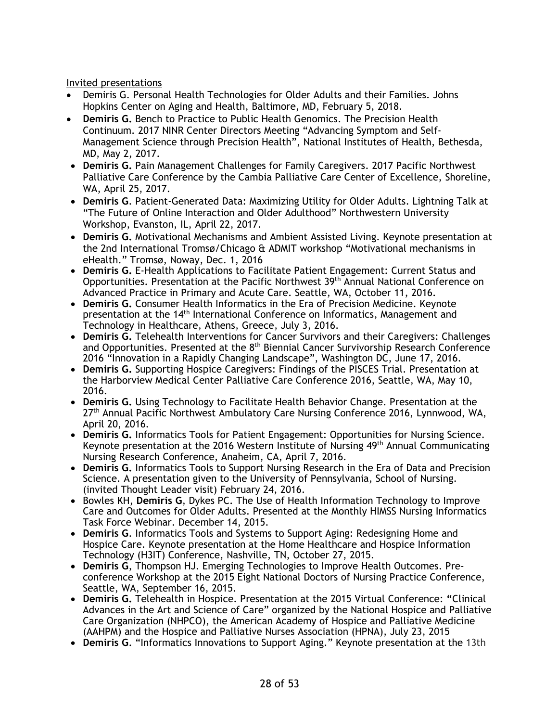Invited presentations

- Demiris G. Personal Health Technologies for Older Adults and their Families. Johns Hopkins Center on Aging and Health, Baltimore, MD, February 5, 2018.
- **Demiris G.** Bench to Practice to Public Health Genomics. The Precision Health Continuum. 2017 NINR Center Directors Meeting "Advancing Symptom and Self-Management Science through Precision Health", National Institutes of Health, Bethesda, MD, May 2, 2017.
- **Demiris G.** Pain Management Challenges for Family Caregivers. 2017 Pacific Northwest Palliative Care Conference by the Cambia Palliative Care Center of Excellence, Shoreline, WA, April 25, 2017.
- **Demiris G**. Patient-Generated Data: Maximizing Utility for Older Adults. Lightning Talk at "The Future of Online Interaction and Older Adulthood" Northwestern University Workshop, Evanston, IL, April 22, 2017.
- **Demiris G.** Motivational Mechanisms and Ambient Assisted Living. Keynote presentation at the 2nd International Tromsø/Chicago & ADMIT workshop "Motivational mechanisms in eHealth." Tromsø, Noway, Dec. 1, 2016
- **Demiris G.** E-Health Applications to Facilitate Patient Engagement: Current Status and Opportunities. Presentation at the Pacific Northwest 39th Annual National Conference on Advanced Practice in Primary and Acute Care. Seattle, WA, October 11, 2016.
- **Demiris G.** Consumer Health Informatics in the Era of Precision Medicine. Keynote presentation at the 14th International Conference on Informatics, Management and Technology in Healthcare, Athens, Greece, July 3, 2016.
- **Demiris G.** Telehealth Interventions for Cancer Survivors and their Caregivers: Challenges and Opportunities. Presented at the 8<sup>th</sup> Biennial Cancer Survivorship Research Conference 2016 "Innovation in a Rapidly Changing Landscape", Washington DC, June 17, 2016.
- **Demiris G.** Supporting Hospice Caregivers: Findings of the PISCES Trial. Presentation at the Harborview Medical Center Palliative Care Conference 2016, Seattle, WA, May 10, 2016.
- **Demiris G.** Using Technology to Facilitate Health Behavior Change. Presentation at the 27th Annual Pacific Northwest Ambulatory Care Nursing Conference 2016, Lynnwood, WA, April 20, 2016.
- **Demiris G.** Informatics Tools for Patient Engagement: Opportunities for Nursing Science. Keynote presentation at the 2016 Western Institute of Nursing 49th Annual Communicating Nursing Research Conference, Anaheim, CA, April 7, 2016.
- **Demiris G.** Informatics Tools to Support Nursing Research in the Era of Data and Precision Science. A presentation given to the University of Pennsylvania, School of Nursing. (invited Thought Leader visit) February 24, 2016.
- Bowles KH, **Demiris G**, Dykes PC. The Use of Health Information Technology to Improve Care and Outcomes for Older Adults. Presented at the Monthly HIMSS Nursing Informatics Task Force Webinar. December 14, 2015.
- **Demiris G**. Informatics Tools and Systems to Support Aging: Redesigning Home and Hospice Care. Keynote presentation at the Home Healthcare and Hospice Information Technology (H3IT) Conference, Nashville, TN, October 27, 2015.
- **Demiris G**, Thompson HJ. Emerging Technologies to Improve Health Outcomes. Preconference Workshop at the 2015 Eight National Doctors of Nursing Practice Conference, Seattle, WA, September 16, 2015.
- **Demiris G.** Telehealth in Hospice. Presentation at the 2015 Virtual Conference: **"**Clinical Advances in the Art and Science of Care" organized by the National Hospice and Palliative Care Organization (NHPCO), the American Academy of Hospice and Palliative Medicine (AAHPM) and the Hospice and Palliative Nurses Association (HPNA), July 23, 2015
- **Demiris G**. "Informatics Innovations to Support Aging." Keynote presentation at the 13th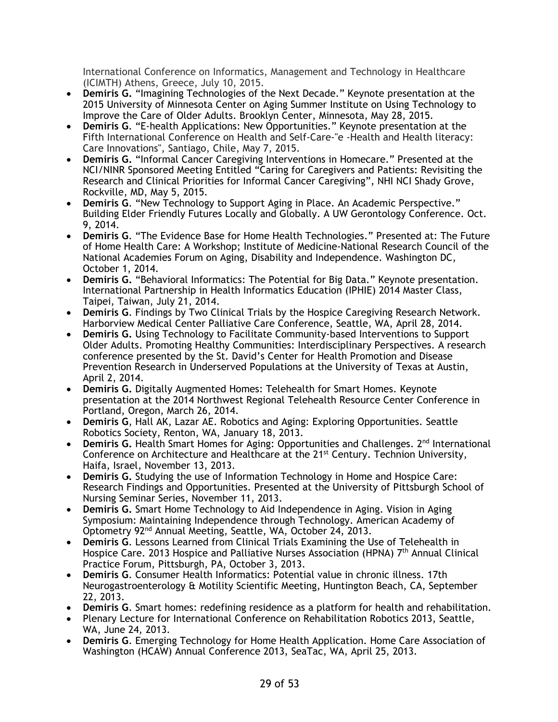International Conference on Informatics, Management and Technology in Healthcare (ICIMTH) Athens, Greece, July 10, 2015.

- **Demiris G.** "Imagining Technologies of the Next Decade." Keynote presentation at the 2015 University of Minnesota Center on Aging Summer Institute on Using Technology to Improve the Care of Older Adults. Brooklyn Center, Minnesota, May 28, 2015.
- **Demiris G**. "E-health Applications: New Opportunities." Keynote presentation at the Fifth International Conference on Health and Self-Care-"e -Health and Health literacy: Care Innovations", Santiago, Chile, May 7, 2015.
- **Demiris G.** "Informal Cancer Caregiving Interventions in Homecare." Presented at the NCI/NINR Sponsored Meeting Entitled "Caring for Caregivers and Patients: Revisiting the Research and Clinical Priorities for Informal Cancer Caregiving", NHI NCI Shady Grove, Rockville, MD, May 5, 2015.
- **Demiris G**. "New Technology to Support Aging in Place. An Academic Perspective." Building Elder Friendly Futures Locally and Globally. A UW Gerontology Conference. Oct. 9, 2014.
- **Demiris G**. "The Evidence Base for Home Health Technologies." Presented at: The Future of Home Health Care: A Workshop; Institute of Medicine-National Research Council of the National Academies Forum on Aging, Disability and Independence. Washington DC, October 1, 2014.
- **Demiris G.** "Behavioral Informatics: The Potential for Big Data." Keynote presentation. International Partnership in Health Informatics Education (IPHIE) 2014 Master Class, Taipei, Taiwan, July 21, 2014.
- **Demiris G**. Findings by Two Clinical Trials by the Hospice Caregiving Research Network. Harborview Medical Center Palliative Care Conference, Seattle, WA, April 28, 2014.
- **Demiris G.** Using Technology to Facilitate Community-based Interventions to Support Older Adults. Promoting Healthy Communities: Interdisciplinary Perspectives. A research conference presented by the St. David's Center for Health Promotion and Disease Prevention Research in Underserved Populations at the University of Texas at Austin, April 2, 2014.
- **Demiris G.** Digitally Augmented Homes: Telehealth for Smart Homes. Keynote presentation at the 2014 Northwest Regional Telehealth Resource Center Conference in Portland, Oregon, March 26, 2014.
- **Demiris G**, Hall AK, Lazar AE. Robotics and Aging: Exploring Opportunities. Seattle Robotics Society, Renton, WA, January 18, 2013.
- Demiris G. Health Smart Homes for Aging: Opportunities and Challenges. 2<sup>nd</sup> International Conference on Architecture and Healthcare at the  $21^{st}$  Century. Technion University, Haifa, Israel, November 13, 2013.
- **Demiris G.** Studying the use of Information Technology in Home and Hospice Care: Research Findings and Opportunities. Presented at the University of Pittsburgh School of Nursing Seminar Series, November 11, 2013.
- **Demiris G.** Smart Home Technology to Aid Independence in Aging. Vision in Aging Symposium: Maintaining Independence through Technology. American Academy of Optometry 92nd Annual Meeting, Seattle, WA, October 24, 2013.
- **Demiris G**. Lessons Learned from Clinical Trials Examining the Use of Telehealth in Hospice Care. 2013 Hospice and Palliative Nurses Association (HPNA) 7<sup>th</sup> Annual Clinical Practice Forum, Pittsburgh, PA, October 3, 2013.
- **Demiris G**. Consumer Health Informatics: Potential value in chronic illness. 17th Neurogastroenterology & Motility Scientific Meeting, Huntington Beach, CA, September 22, 2013.
- **Demiris G**. Smart homes: redefining residence as a platform for health and rehabilitation.
- Plenary Lecture for International Conference on Rehabilitation Robotics 2013, Seattle, WA, June 24, 2013.
- **Demiris G**. Emerging Technology for Home Health Application. Home Care Association of Washington (HCAW) Annual Conference 2013, SeaTac, WA, April 25, 2013.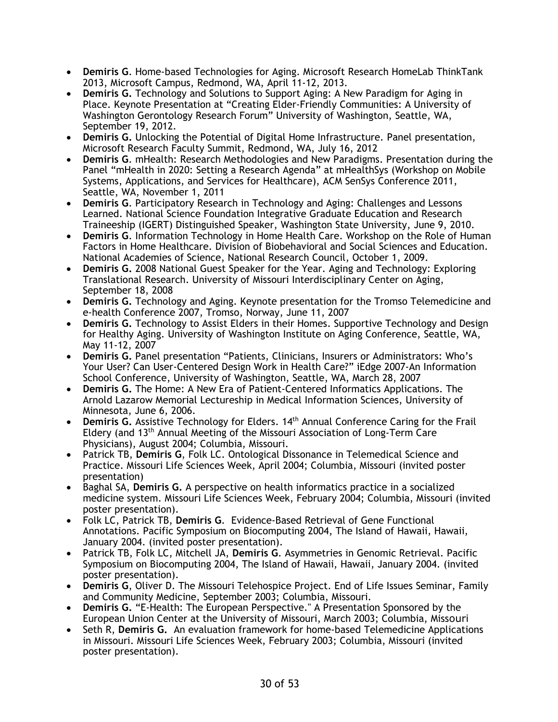- **Demiris G**. Home-based Technologies for Aging. Microsoft Research HomeLab ThinkTank 2013, Microsoft Campus, Redmond, WA, April 11-12, 2013.
- **Demiris G.** Technology and Solutions to Support Aging: A New Paradigm for Aging in Place. Keynote Presentation at "Creating Elder-Friendly Communities: A University of Washington Gerontology Research Forum" University of Washington, Seattle, WA, September 19, 2012.
- **Demiris G.** Unlocking the Potential of Digital Home Infrastructure. Panel presentation, Microsoft Research Faculty Summit, Redmond, WA, July 16, 2012
- **Demiris G**. mHealth: Research Methodologies and New Paradigms. Presentation during the Panel "mHealth in 2020: Setting a Research Agenda" at mHealthSys (Workshop on Mobile Systems, Applications, and Services for Healthcare), ACM SenSys Conference 2011, Seattle, WA, November 1, 2011
- **Demiris G**. Participatory Research in Technology and Aging: Challenges and Lessons Learned. National Science Foundation Integrative Graduate Education and Research Traineeship (IGERT) Distinguished Speaker, Washington State University, June 9, 2010.
- **Demiris G**. Information Technology in Home Health Care. Workshop on the Role of Human Factors in Home Healthcare. Division of Biobehavioral and Social Sciences and Education. National Academies of Science, National Research Council, October 1, 2009.
- **Demiris G.** 2008 National Guest Speaker for the Year. Aging and Technology: Exploring Translational Research. University of Missouri Interdisciplinary Center on Aging, September 18, 2008
- **Demiris G.** Technology and Aging. Keynote presentation for the Tromso Telemedicine and e-health Conference 2007, Tromso, Norway, June 11, 2007
- **Demiris G.** Technology to Assist Elders in their Homes. Supportive Technology and Design for Healthy Aging. University of Washington Institute on Aging Conference, Seattle, WA, May 11-12, 2007
- **Demiris G.** Panel presentation "Patients, Clinicians, Insurers or Administrators: Who's Your User? Can User-Centered Design Work in Health Care?" iEdge 2007-An Information School Conference, University of Washington, Seattle, WA, March 28, 2007
- **Demiris G.** The Home: A New Era of Patient-Centered Informatics Applications. The Arnold Lazarow Memorial Lectureship in Medical Information Sciences, University of Minnesota, June 6, 2006.
- **Demiris G.** Assistive Technology for Elders. 14<sup>th</sup> Annual Conference Caring for the Frail Eldery (and 13th Annual Meeting of the Missouri Association of Long-Term Care Physicians), August 2004; Columbia, Missouri.
- Patrick TB, **Demiris G**, Folk LC. Ontological Dissonance in Telemedical Science and Practice. Missouri Life Sciences Week, April 2004; Columbia, Missouri (invited poster presentation)
- Baghal SA, **Demiris G.** A perspective on health informatics practice in a socialized medicine system. Missouri Life Sciences Week, February 2004; Columbia, Missouri (invited poster presentation).
- Folk LC, Patrick TB, **Demiris G**. Evidence-Based Retrieval of Gene Functional Annotations. Pacific Symposium on Biocomputing 2004, The Island of Hawaii, Hawaii, January 2004. (invited poster presentation).
- Patrick TB, Folk LC, Mitchell JA, **Demiris G**. Asymmetries in Genomic Retrieval. Pacific Symposium on Biocomputing 2004, The Island of Hawaii, Hawaii, January 2004. (invited poster presentation).
- **Demiris G**, Oliver D. The Missouri Telehospice Project. End of Life Issues Seminar, Family and Community Medicine, September 2003; Columbia, Missouri.
- **Demiris G.** "E-Health: The European Perspective." A Presentation Sponsored by the European Union Center at the University of Missouri, March 2003; Columbia, Missouri
- Seth R, **Demiris G.** An evaluation framework for home-based Telemedicine Applications in Missouri. Missouri Life Sciences Week, February 2003; Columbia, Missouri (invited poster presentation).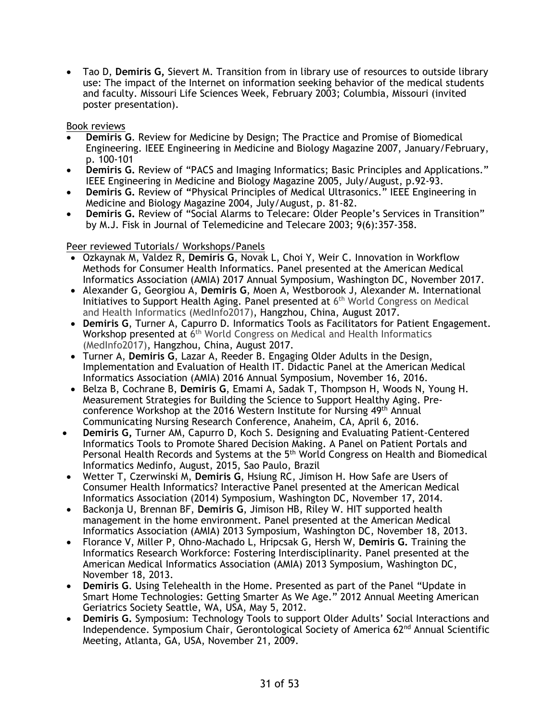• Tao D, **Demiris G,** Sievert M. Transition from in library use of resources to outside library use: The impact of the Internet on information seeking behavior of the medical students and faculty. Missouri Life Sciences Week, February 2003; Columbia, Missouri (invited poster presentation).

Book reviews

- **Demiris G**. Review for Medicine by Design; The Practice and Promise of Biomedical Engineering. IEEE Engineering in Medicine and Biology Magazine 2007, January/February, p. 100-101
- **Demiris G.** Review of "PACS and Imaging Informatics; Basic Principles and Applications." IEEE Engineering in Medicine and Biology Magazine 2005, July/August, p.92-93.
- **Demiris G.** Review of **"**Physical Principles of Medical Ultrasonics." IEEE Engineering in Medicine and Biology Magazine 2004, July/August, p. 81-82.
- **Demiris G.** Review of "Social Alarms to Telecare: Older People's Services in Transition" by M.J. Fisk in Journal of Telemedicine and Telecare 2003; 9(6):357-358.

Peer reviewed Tutorials/ Workshops/Panels

- Ozkaynak M, Valdez R, **Demiris G**, Novak L, Choi Y, Weir C. Innovation in Workflow Methods for Consumer Health Informatics. Panel presented at the American Medical Informatics Association (AMIA) 2017 Annual Symposium, Washington DC, November 2017.
- Alexander G, Georgiou A, **Demiris G**, Moen A, Westborook J, Alexander M. International Initiatives to Support Health Aging. Panel presented at  $6<sup>th</sup>$  World Congress on Medical and Health Informatics (MedInfo2017), Hangzhou, China, August 2017.
- **Demiris G**, Turner A, Capurro D. Informatics Tools as Facilitators for Patient Engagement. Workshop presented at 6<sup>th</sup> World Congress on Medical and Health Informatics (MedInfo2017), Hangzhou, China, August 2017.
- Turner A, **Demiris G**, Lazar A, Reeder B. Engaging Older Adults in the Design, Implementation and Evaluation of Health IT. Didactic Panel at the American Medical Informatics Association (AMIA) 2016 Annual Symposium, November 16, 2016.
- Belza B, Cochrane B, **Demiris G**, Emami A, Sadak T, Thompson H, Woods N, Young H. Measurement Strategies for Building the Science to Support Healthy Aging. Preconference Workshop at the 2016 Western Institute for Nursing 49th Annual Communicating Nursing Research Conference, Anaheim, CA, April 6, 2016.
- **Demiris G,** Turner AM, Capurro D, Koch S. Designing and Evaluating Patient-Centered Informatics Tools to Promote Shared Decision Making. A Panel on Patient Portals and Personal Health Records and Systems at the 5<sup>th</sup> World Congress on Health and Biomedical Informatics Medinfo, August, 2015, Sao Paulo, Brazil
- Wetter T, Czerwinski M, **Demiris G**, Hsiung RC, Jimison H. How Safe are Users of Consumer Health Informatics? Interactive Panel presented at the American Medical Informatics Association (2014) Symposium, Washington DC, November 17, 2014.
- Backonja U, Brennan BF, **Demiris G**, Jimison HB, Riley W. HIT supported health management in the home environment. Panel presented at the American Medical Informatics Association (AMIA) 2013 Symposium, Washington DC, November 18, 2013.
- Florance V, Miller P, Ohno-Machado L, Hripcsak G, Hersh W, **Demiris G.** Training the Informatics Research Workforce: Fostering Interdisciplinarity. Panel presented at the American Medical Informatics Association (AMIA) 2013 Symposium, Washington DC, November 18, 2013.
- **Demiris G**. Using Telehealth in the Home. Presented as part of the Panel "Update in Smart Home Technologies: Getting Smarter As We Age." 2012 Annual Meeting American Geriatrics Society Seattle, WA, USA, May 5, 2012.
- **Demiris G.** Symposium: Technology Tools to support Older Adults' Social Interactions and Independence. Symposium Chair, Gerontological Society of America  $62<sup>nd</sup>$  Annual Scientific Meeting, Atlanta, GA, USA, November 21, 2009.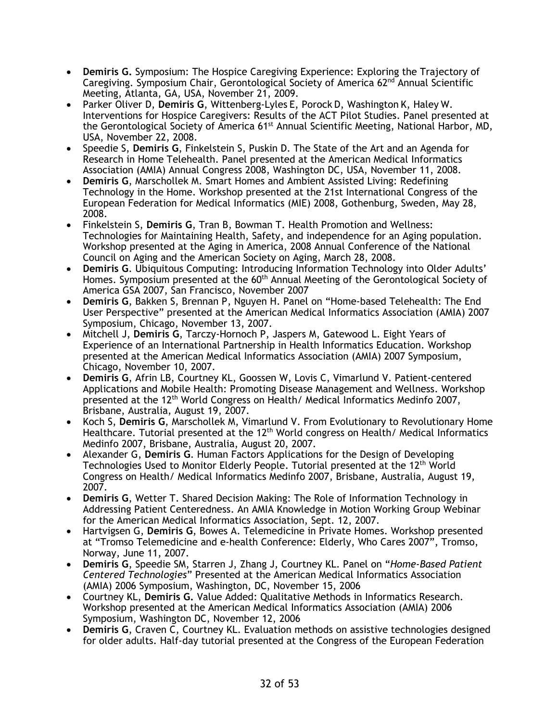- **Demiris G.** Symposium: The Hospice Caregiving Experience: Exploring the Trajectory of Caregiving. Symposium Chair, Gerontological Society of America  $62<sup>nd</sup>$  Annual Scientific Meeting, Atlanta, GA, USA, November 21, 2009.
- Parker Oliver D, **Demiris G**, Wittenberg-Lyles E, Porock D, Washington K, Haley W. Interventions for Hospice Caregivers: Results of the ACT Pilot Studies. Panel presented at the Gerontological Society of America 61<sup>st</sup> Annual Scientific Meeting, National Harbor, MD, USA, November 22, 2008.
- Speedie S, **Demiris G**, Finkelstein S, Puskin D. The State of the Art and an Agenda for Research in Home Telehealth. Panel presented at the American Medical Informatics Association (AMIA) Annual Congress 2008, Washington DC, USA, November 11, 2008.
- **Demiris G**, Marschollek M. Smart Homes and Ambient Assisted Living: Redefining Technology in the Home. Workshop presented at the 21st International Congress of the European Federation for Medical Informatics (MIE) 2008, Gothenburg, Sweden, May 28, 2008.
- Finkelstein S, **Demiris G**, Tran B, Bowman T. Health Promotion and Wellness: Technologies for Maintaining Health, Safety, and independence for an Aging population. Workshop presented at the Aging in America, 2008 Annual Conference of the National Council on Aging and the American Society on Aging, March 28, 2008.
- **Demiris G**. Ubiquitous Computing: Introducing Information Technology into Older Adults' Homes. Symposium presented at the 60<sup>th</sup> Annual Meeting of the Gerontological Society of America GSA 2007, San Francisco, November 2007
- **Demiris G**, Bakken S, Brennan P, Nguyen H. Panel on "Home-based Telehealth: The End User Perspective" presented at the American Medical Informatics Association (AMIA) 2007 Symposium, Chicago, November 13, 2007.
- Mitchell J, **Demiris G**, Tarczy-Hornoch P, Jaspers M, Gatewood L. Eight Years of Experience of an International Partnership in Health Informatics Education. Workshop presented at the American Medical Informatics Association (AMIA) 2007 Symposium, Chicago, November 10, 2007.
- **Demiris G**, Afrin LB, Courtney KL, Goossen W, Lovis C, Vimarlund V. Patient-centered Applications and Mobile Health: Promoting Disease Management and Wellness. Workshop presented at the  $12^{th}$  World Congress on Health/ Medical Informatics Medinfo 2007, Brisbane, Australia, August 19, 2007.
- Koch S, **Demiris G**, Marschollek M, Vimarlund V. From Evolutionary to Revolutionary Home Healthcare. Tutorial presented at the  $12<sup>th</sup>$  World congress on Health/ Medical Informatics Medinfo 2007, Brisbane, Australia, August 20, 2007.
- Alexander G, **Demiris G**. Human Factors Applications for the Design of Developing Technologies Used to Monitor Elderly People. Tutorial presented at the 12<sup>th</sup> World Congress on Health/ Medical Informatics Medinfo 2007, Brisbane, Australia, August 19, 2007.
- **Demiris G**, Wetter T. Shared Decision Making: The Role of Information Technology in Addressing Patient Centeredness. An AMIA Knowledge in Motion Working Group Webinar for the American Medical Informatics Association, Sept. 12, 2007.
- Hartvigsen G, **Demiris G**, Bowes A. Telemedicine in Private Homes. Workshop presented at "Tromso Telemedicine and e-health Conference: Elderly, Who Cares 2007", Tromso, Norway, June 11, 2007.
- **Demiris G**, Speedie SM, Starren J, Zhang J, Courtney KL. Panel on "*Home-Based Patient Centered Technologies*" Presented at the American Medical Informatics Association (AMIA) 2006 Symposium, Washington, DC, November 15, 2006
- Courtney KL, **Demiris G.** Value Added: Qualitative Methods in Informatics Research. Workshop presented at the American Medical Informatics Association (AMIA) 2006 Symposium, Washington DC, November 12, 2006
- **Demiris G**, Craven C, Courtney KL. Evaluation methods on assistive technologies designed for older adults. Half-day tutorial presented at the Congress of the European Federation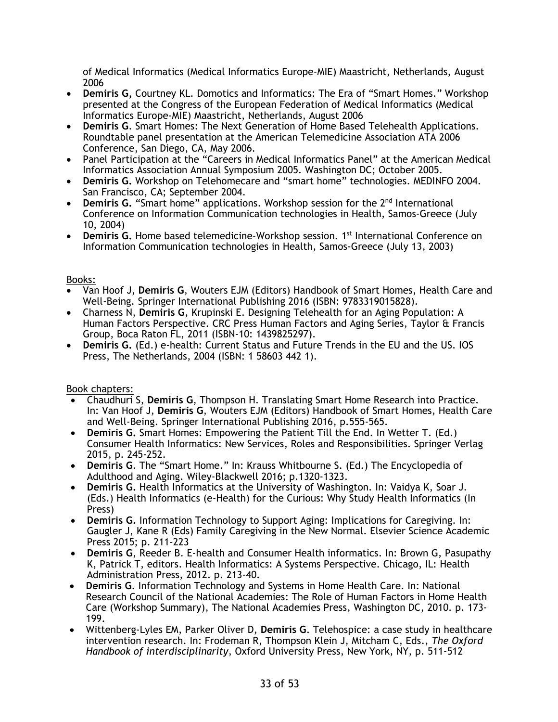of Medical Informatics (Medical Informatics Europe-MIE) Maastricht, Netherlands, August 2006

- **Demiris G,** Courtney KL. Domotics and Informatics: The Era of "Smart Homes." Workshop presented at the Congress of the European Federation of Medical Informatics (Medical Informatics Europe-MIE) Maastricht, Netherlands, August 2006
- **Demiris G**. Smart Homes: The Next Generation of Home Based Telehealth Applications. Roundtable panel presentation at the American Telemedicine Association ATA 2006 Conference, San Diego, CA, May 2006.
- Panel Participation at the "Careers in Medical Informatics Panel" at the American Medical Informatics Association Annual Symposium 2005. Washington DC; October 2005.
- **Demiris G.** Workshop on Telehomecare and "smart home" technologies. MEDINFO 2004. San Francisco, CA; September 2004.
- **Demiris G.** "Smart home" applications. Workshop session for the 2<sup>nd</sup> International Conference on Information Communication technologies in Health, Samos-Greece (July 10, 2004)
- Demiris G. Home based telemedicine-Workshop session. 1<sup>st</sup> International Conference on Information Communication technologies in Health, Samos-Greece (July 13, 2003)

## Books:

- Van Hoof J, **Demiris G**, Wouters EJM (Editors) Handbook of Smart Homes, Health Care and Well-Being. Springer International Publishing 2016 (ISBN: 9783319015828).
- Charness N, **Demiris G**, Krupinski E. Designing Telehealth for an Aging Population: A Human Factors Perspective. CRC Press Human Factors and Aging Series, Taylor & Francis Group, Boca Raton FL, 2011 (ISBN-10: 1439825297).
- **Demiris G.** (Ed.) e-health: Current Status and Future Trends in the EU and the US. IOS Press, The Netherlands, 2004 (ISBN: 1 58603 442 1).

## Book chapters:

- Chaudhuri S, **Demiris G**, Thompson H. Translating Smart Home Research into Practice. In: Van Hoof J, **Demiris G**, Wouters EJM (Editors) Handbook of Smart Homes, Health Care and Well-Being. Springer International Publishing 2016, p.555-565.
- **Demiris G.** Smart Homes: Empowering the Patient Till the End. In Wetter T. (Ed.) Consumer Health Informatics: New Services, Roles and Responsibilities. Springer Verlag 2015, p. 245-252.
- **Demiris G**. The "Smart Home." In: Krauss Whitbourne S. (Ed.) The Encyclopedia of Adulthood and Aging. Wiley-Blackwell 2016; p.1320-1323.
- **Demiris G.** Health Informatics at the University of Washington. In: Vaidya K, Soar J. (Eds.) Health Informatics (e-Health) for the Curious: Why Study Health Informatics (In Press)
- **Demiris G.** Information Technology to Support Aging: Implications for Caregiving. In: Gaugler J, Kane R (Eds) Family Caregiving in the New Normal. Elsevier Science Academic Press 2015; p. 211-223
- **Demiris G**, Reeder B. E-health and Consumer Health informatics. In: Brown G, Pasupathy K, Patrick T, editors. Health Informatics: A Systems Perspective. Chicago, IL: Health Administration Press, 2012. p. 213-40.
- **Demiris G**. Information Technology and Systems in Home Health Care. In: National Research Council of the National Academies: The Role of Human Factors in Home Health Care (Workshop Summary), The National Academies Press, Washington DC, 2010. p. 173- 199.
- Wittenberg-Lyles EM, Parker Oliver D, **Demiris G**. Telehospice: a case study in healthcare intervention research. In: Frodeman R, Thompson Klein J, Mitcham C, Eds., *The Oxford Handbook of interdisciplinarity*, Oxford University Press, New York, NY, p. 511-512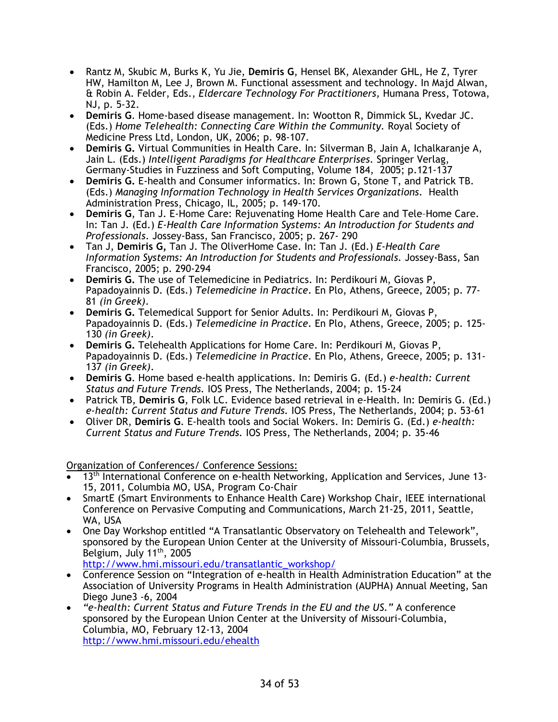- Rantz M, Skubic M, Burks K, Yu Jie, **Demiris G**, Hensel BK, Alexander GHL, He Z, Tyrer HW, Hamilton M, Lee J, Brown M. Functional assessment and technology. In Majd Alwan, & Robin A. Felder, Eds., *Eldercare Technology For Practitioners,* Humana Press, Totowa, NJ, p. 5-32.
- **Demiris G**. Home-based disease management. In: Wootton R, Dimmick SL, Kvedar JC. (Eds.) *Home Telehealth: Connecting Care Within the Community.* Royal Society of Medicine Press Ltd, London, UK, 2006; p. 98-107.
- **Demiris G.** Virtual Communities in Health Care. In: Silverman B, Jain A, Ichalkaranje A, Jain L. (Eds.) *Intelligent Paradigms for Healthcare Enterprises.* Springer Verlag, Germany-Studies in Fuzziness and Soft Computing, Volume 184, 2005; p.121-137
- **Demiris G.** E-health and Consumer informatics. In: Brown G, Stone T, and Patrick TB. (Eds.) *Managing Information Technology in Health Services Organizations*. Health Administration Press, Chicago, IL, 2005; p. 149-170.
- **Demiris G**, Tan J. E-Home Care: Rejuvenating Home Health Care and Tele–Home Care. In: Tan J. (Ed.) *E-Health Care Information Systems: An Introduction for Students and Professionals*. Jossey-Bass, San Francisco, 2005; p. 267- 290
- Tan J, **Demiris G,** Tan J. The OliverHome Case. In: Tan J. (Ed.) *E-Health Care Information Systems: An Introduction for Students and Professionals.* Jossey-Bass, San Francisco, 2005; p. 290-294
- **Demiris G.** The use of Telemedicine in Pediatrics. In: Perdikouri M, Giovas P, Papadoyainnis D. (Eds.) *Telemedicine in Practice*. En Plo, Athens, Greece, 2005; p. 77- 81 *(in Greek)*.
- **Demiris G.** Telemedical Support for Senior Adults. In: Perdikouri M, Giovas P, Papadoyainnis D. (Eds.) *Telemedicine in Practice*. En Plo, Athens, Greece, 2005; p. 125- 130 *(in Greek)*.
- **Demiris G.** Telehealth Applications for Home Care. In: Perdikouri M, Giovas P, Papadoyainnis D. (Eds.) *Telemedicine in Practice*. En Plo, Athens, Greece, 2005; p. 131- 137 *(in Greek)*.
- **Demiris G**. Home based e-health applications. In: Demiris G. (Ed.) *e-health: Current Status and Future Trends.* IOS Press, The Netherlands, 2004; p. 15-24
- Patrick TB, **Demiris G**, Folk LC. Evidence based retrieval in e-Health. In: Demiris G. (Ed.) *e-health: Current Status and Future Trends.* IOS Press, The Netherlands, 2004; p. 53-61
- Oliver DR, **Demiris G**. E-health tools and Social Wokers. In: Demiris G. (Ed.) *e-health: Current Status and Future Trends.* IOS Press, The Netherlands, 2004; p. 35-46

Organization of Conferences/ Conference Sessions:

- 13<sup>th</sup> International Conference on e-health Networking, Application and Services, June 13-15, 2011, Columbia MO, USA, Program Co-Chair
- SmartE (Smart Environments to Enhance Health Care) Workshop Chair, IEEE international Conference on Pervasive Computing and Communications, March 21-25, 2011, Seattle, WA, USA
- One Day Workshop entitled "A Transatlantic Observatory on Telehealth and Telework", sponsored by the European Union Center at the University of Missouri-Columbia, Brussels, Belgium, July 11<sup>th</sup>, 2005

http://www.hmi.missouri.edu/transatlantic\_workshop/

- Conference Session on "Integration of e-health in Health Administration Education" at the Association of University Programs in Health Administration (AUPHA) Annual Meeting, San Diego June3 -6, 2004
- *"e-health: Current Status and Future Trends in the EU and the US."* A conference sponsored by the European Union Center at the University of Missouri-Columbia, Columbia, MO, February 12-13, 2004 http://www.hmi.missouri.edu/ehealth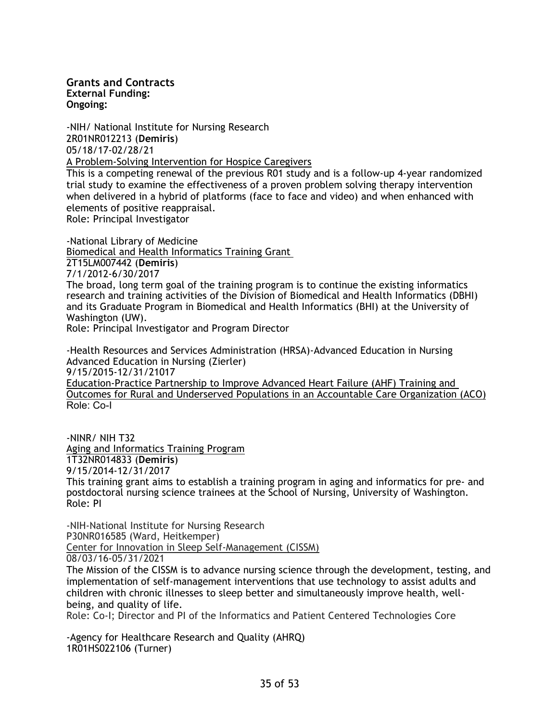**Grants and Contracts External Funding: Ongoing:** 

-NIH/ National Institute for Nursing Research 2R01NR012213 (**Demiris**) 05/18/17-02/28/21 A Problem-Solving Intervention for Hospice Caregivers

This is a competing renewal of the previous R01 study and is a follow-up 4-year randomized trial study to examine the effectiveness of a proven problem solving therapy intervention when delivered in a hybrid of platforms (face to face and video) and when enhanced with elements of positive reappraisal.

Role: Principal Investigator

-National Library of Medicine Biomedical and Health Informatics Training Grant 2T15LM007442 (**Demiris**) 7/1/2012-6/30/2017 The broad, long term goal of the training program is to continue the existing informatics

research and training activities of the Division of Biomedical and Health Informatics (DBHI) and its Graduate Program in Biomedical and Health Informatics (BHI) at the University of Washington (UW).

Role: Principal Investigator and Program Director

-Health Resources and Services Administration (HRSA)-Advanced Education in Nursing Advanced Education in Nursing (Zierler) 9/15/2015-12/31/21017 Education-Practice Partnership to Improve Advanced Heart Failure (AHF) Training and Outcomes for Rural and Underserved Populations in an Accountable Care Organization (ACO)

Role: Co-I

-NINR/ NIH T32 Aging and Informatics Training Program 1T32NR014833 (**Demiris**) 9/15/2014-12/31/2017 This training grant aims to establish a training program in aging and informatics for pre- and postdoctoral nursing science trainees at the School of Nursing, University of Washington. Role: PI

-NIH-National Institute for Nursing Research P30NR016585 (Ward, Heitkemper) Center for Innovation in Sleep Self-Management (CISSM) 08/03/16-05/31/2021

The Mission of the CISSM is to advance nursing science through the development, testing, and implementation of self-management interventions that use technology to assist adults and children with chronic illnesses to sleep better and simultaneously improve health, wellbeing, and quality of life.

Role: Co-I; Director and PI of the Informatics and Patient Centered Technologies Core

-Agency for Healthcare Research and Quality (AHRQ) 1R01HS022106 (Turner)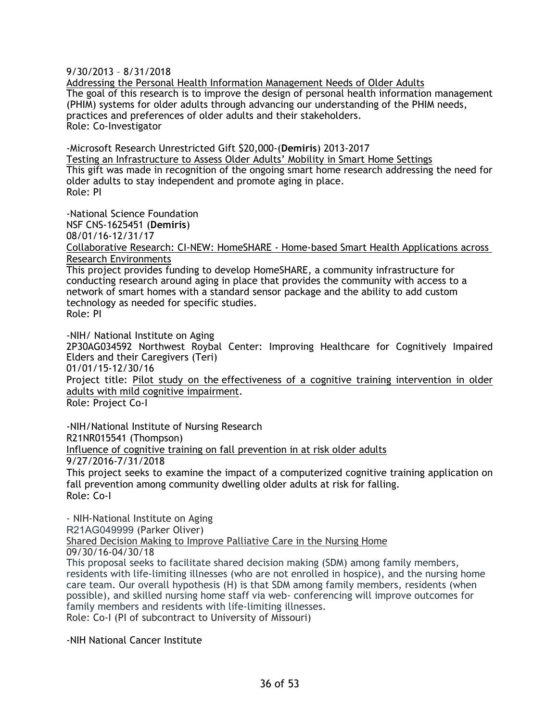9/30/2013 – 8/31/2018

Addressing the Personal Health Information Management Needs of Older Adults The goal of this research is to improve the design of personal health information management (PHIM) systems for older adults through advancing our understanding of the PHIM needs, practices and preferences of older adults and their stakeholders. Role: Co-Investigator

-Microsoft Research Unrestricted Gift \$20,000-(**Demiris**) 2013-2017 Testing an Infrastructure to Assess Older Adults' Mobility in Smart Home Settings This gift was made in recognition of the ongoing smart home research addressing the need for older adults to stay independent and promote aging in place. Role: PI

-National Science Foundation NSF CNS-1625451 (**Demiris**)

08/01/16-12/31/17

Collaborative Research: CI-NEW: HomeSHARE - Home-based Smart Health Applications across Research Environments

This project provides funding to develop HomeSHARE, a community infrastructure for conducting research around aging in place that provides the community with access to a network of smart homes with a standard sensor package and the ability to add custom technology as needed for specific studies. Role: PI

-NIH/ National Institute on Aging

2P30AG034592 Northwest Roybal Center: Improving Healthcare for Cognitively Impaired Elders and their Caregivers (Teri)

01/01/15-12/30/16

Project title: Pilot study on the effectiveness of a cognitive training intervention in older adults with mild cognitive impairment.

Role: Project Co-I

-NIH/National Institute of Nursing Research R21NR015541 (Thompson) Influence of cognitive training on fall prevention in at risk older adults 9/27/2016-7/31/2018

This project seeks to examine the impact of a computerized cognitive training application on fall prevention among community dwelling older adults at risk for falling. Role: Co-I

- NIH-National Institute on Aging R21AG049999 (Parker Oliver) Shared Decision Making to Improve Palliative Care in the Nursing Home 09/30/16-04/30/18

This proposal seeks to facilitate shared decision making (SDM) among family members, residents with life-limiting illnesses (who are not enrolled in hospice), and the nursing home care team. Our overall hypothesis (H) is that SDM among family members, residents (when possible), and skilled nursing home staff via web- conferencing will improve outcomes for family members and residents with life-limiting illnesses. Role: Co-I (PI of subcontract to University of Missouri)

-NIH National Cancer Institute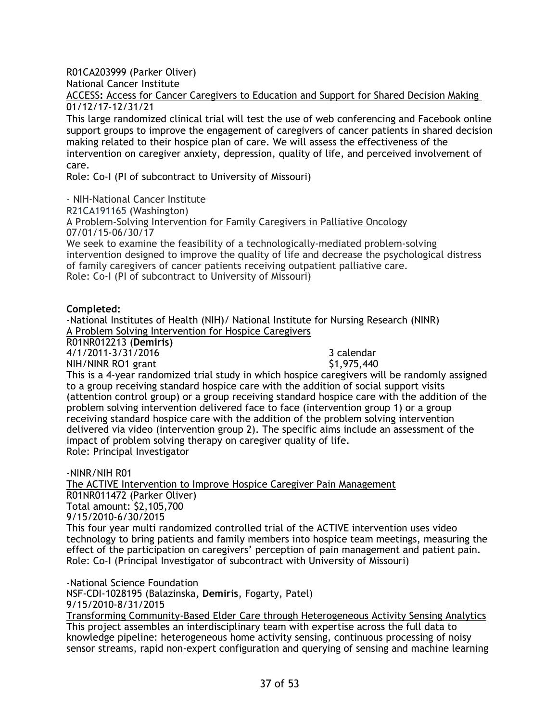R01CA203999 (Parker Oliver)

National Cancer Institute

ACCESS**:** Access for Cancer Caregivers to Education and Support for Shared Decision Making 01/12/17-12/31/21

This large randomized clinical trial will test the use of web conferencing and Facebook online support groups to improve the engagement of caregivers of cancer patients in shared decision making related to their hospice plan of care. We will assess the effectiveness of the intervention on caregiver anxiety, depression, quality of life, and perceived involvement of care.

Role: Co-I (PI of subcontract to University of Missouri)

- NIH-National Cancer Institute R21CA191165 (Washington) A Problem-Solving Intervention for Family Caregivers in Palliative Oncology 07/01/15-06/30/17

We seek to examine the feasibility of a technologically-mediated problem-solving intervention designed to improve the quality of life and decrease the psychological distress of family caregivers of cancer patients receiving outpatient palliative care. Role: Co-I (PI of subcontract to University of Missouri)

#### **Completed:**

-National Institutes of Health (NIH)/ National Institute for Nursing Research (NINR) A Problem Solving Intervention for Hospice Caregivers

R01NR012213 (**Demiris)**

4/1/2011-3/31/2016 3 calendar

NIH/NINR RO1 grant \$1,975,440 This is a 4-year randomized trial study in which hospice caregivers will be randomly assigned to a group receiving standard hospice care with the addition of social support visits (attention control group) or a group receiving standard hospice care with the addition of the problem solving intervention delivered face to face (intervention group 1) or a group receiving standard hospice care with the addition of the problem solving intervention delivered via video (intervention group 2). The specific aims include an assessment of the impact of problem solving therapy on caregiver quality of life. Role: Principal Investigator

-NINR/NIH R01 The ACTIVE Intervention to Improve Hospice Caregiver Pain Management R01NR011472 (Parker Oliver) Total amount: \$2,105,700 9/15/2010-6/30/2015 This four year multi randomized controlled trial of the ACTIVE intervention uses video technology to bring patients and family members into hospice team meetings, measuring the effect of the participation on caregivers' perception of pain management and patient pain. Role: Co-I (Principal Investigator of subcontract with University of Missouri)

-National Science Foundation NSF-CDI-1028195 (Balazinska**, Demiris**, Fogarty, Patel) 9/15/2010-8/31/2015 Transforming Community-Based Elder Care through Heterogeneous Activity Sensing Analytics This project assembles an interdisciplinary team with expertise across the full data to knowledge pipeline: heterogeneous home activity sensing, continuous processing of noisy sensor streams, rapid non-expert configuration and querying of sensing and machine learning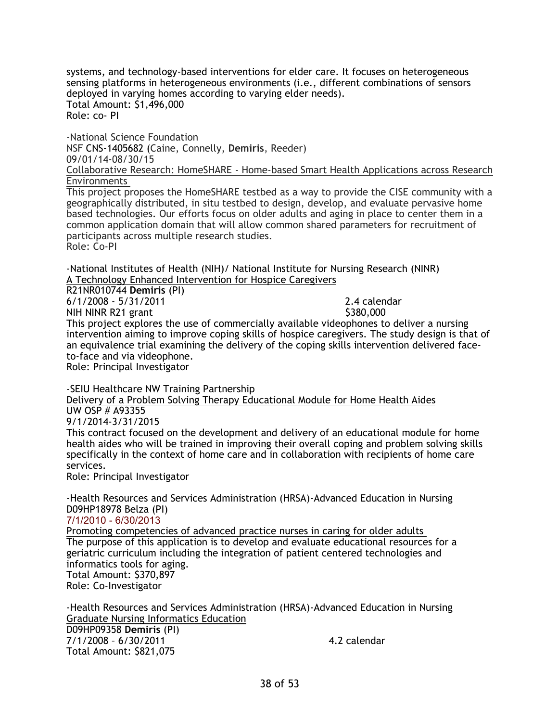systems, and technology-based interventions for elder care. It focuses on heterogeneous sensing platforms in heterogeneous environments (i.e., different combinations of sensors deployed in varying homes according to varying elder needs). Total Amount: \$1,496,000 Role: co- PI

-National Science Foundation NSF CNS-1405682 (Caine, Connelly, **Demiris**, Reeder) 09/01/14-08/30/15 Collaborative Research: HomeSHARE - Home-based Smart Health Applications across Research Environments This project proposes the HomeSHARE testbed as a way to provide the CISE community with a geographically distributed, in situ testbed to design, develop, and evaluate pervasive home

based technologies. Our efforts focus on older adults and aging in place to center them in a common application domain that will allow common shared parameters for recruitment of participants across multiple research studies. Role: Co-PI

-National Institutes of Health (NIH)/ National Institute for Nursing Research (NINR) A Technology Enhanced Intervention for Hospice Caregivers

R21NR010744 **Demiris** (PI) 6/1/2008 - 5/31/2011 2.4 calendar

NIH NINR R21 grant  $\sim$  8380,000 This project explores the use of commercially available videophones to deliver a nursing intervention aiming to improve coping skills of hospice caregivers. The study design is that of an equivalence trial examining the delivery of the coping skills intervention delivered faceto-face and via videophone.

Role: Principal Investigator

-SEIU Healthcare NW Training Partnership

Delivery of a Problem Solving Therapy Educational Module for Home Health Aides UW OSP # A93355

9/1/2014-3/31/2015

This contract focused on the development and delivery of an educational module for home health aides who will be trained in improving their overall coping and problem solving skills specifically in the context of home care and in collaboration with recipients of home care services.

Role: Principal Investigator

-Health Resources and Services Administration (HRSA)-Advanced Education in Nursing D09HP18978 Belza (PI)

7/1/2010 - 6/30/2013

Promoting competencies of advanced practice nurses in caring for older adults The purpose of this application is to develop and evaluate educational resources for a geriatric curriculum including the integration of patient centered technologies and informatics tools for aging. Total Amount: \$370,897 Role: Co-Investigator

-Health Resources and Services Administration (HRSA)-Advanced Education in Nursing Graduate Nursing Informatics Education D09HP09358 **Demiris** (PI) 7/1/2008 – 6/30/2011 4.2 calendar Total Amount: \$821,075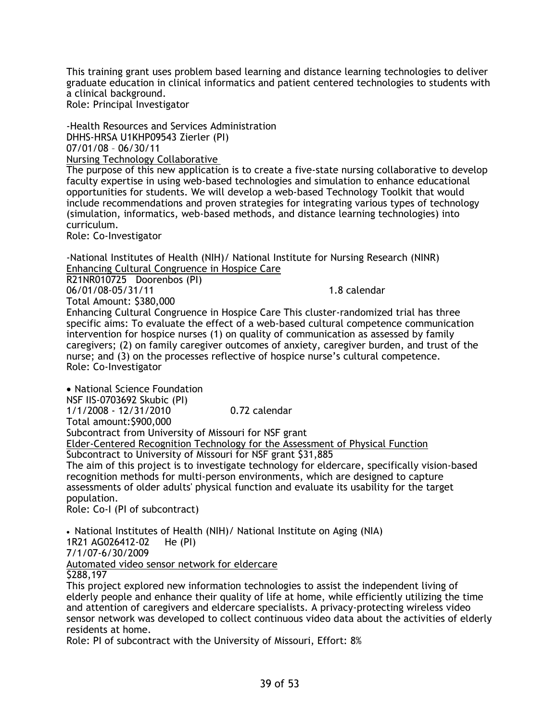This training grant uses problem based learning and distance learning technologies to deliver graduate education in clinical informatics and patient centered technologies to students with a clinical background.

Role: Principal Investigator

-Health Resources and Services Administration DHHS-HRSA U1KHP09543 Zierler (PI) 07/01/08 – 06/30/11 Nursing Technology Collaborative The purpose of this new application is to create a five-state nursing collaborative to develop faculty expertise in using web-based technologies and simulation to enhance educational opportunities for students. We will develop a web-based Technology Toolkit that would include recommendations and proven strategies for integrating various types of technology (simulation, informatics, web-based methods, and distance learning technologies) into curriculum.

Role: Co-Investigator

-National Institutes of Health (NIH)/ National Institute for Nursing Research (NINR) Enhancing Cultural Congruence in Hospice Care

R21NR010725 Doorenbos (PI) 06/01/08-05/31/11 1.8 calendar

Total Amount: \$380,000

Enhancing Cultural Congruence in Hospice Care This cluster-randomized trial has three specific aims: To evaluate the effect of a web-based cultural competence communication intervention for hospice nurses (1) on quality of communication as assessed by family caregivers; (2) on family caregiver outcomes of anxiety, caregiver burden, and trust of the nurse; and (3) on the processes reflective of hospice nurse's cultural competence. Role: Co-Investigator

• National Science Foundation NSF IIS-0703692 Skubic (PI) 1/1/2008 - 12/31/2010 0.72 calendar Total amount:\$900,000 Subcontract from University of Missouri for NSF grant Elder-Centered Recognition Technology for the Assessment of Physical Function Subcontract to University of Missouri for NSF grant \$31,885 The aim of this project is to investigate technology for eldercare, specifically vision-based recognition methods for multi-person environments, which are designed to capture assessments of older adults' physical function and evaluate its usability for the target population.

Role: Co-I (PI of subcontract)

• National Institutes of Health (NIH)/ National Institute on Aging (NIA) 1R21 AG026412-02 He (PI) 7/1/07-6/30/2009 Automated video sensor network for eldercare \$288,197

This project explored new information technologies to assist the independent living of elderly people and enhance their quality of life at home, while efficiently utilizing the time and attention of caregivers and eldercare specialists. Α privacy-protecting wireless video sensor network was developed to collect continuous video data about the activities of elderly residents at home.

Role: PI of subcontract with the University of Missouri, Effort: 8%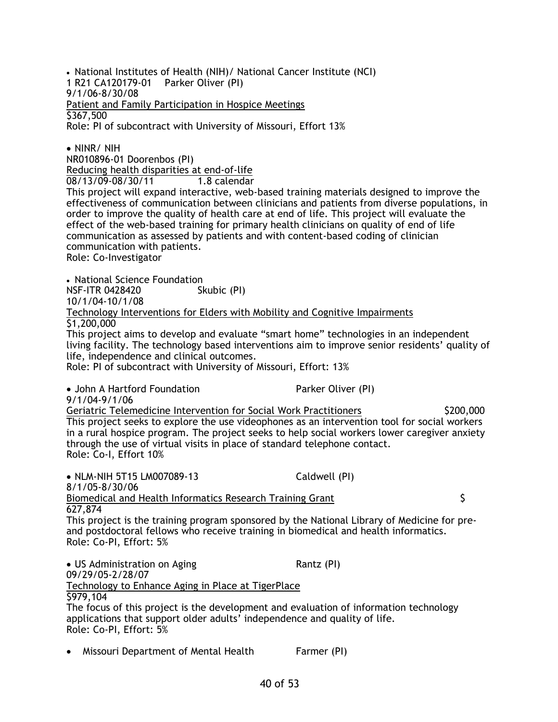• National Institutes of Health (NIH)/ National Cancer Institute (NCI) 1 R21 CA120179-01 Parker Oliver (PI) 9/1/06-8/30/08 Patient and Family Participation in Hospice Meetings \$367,500 Role: PI of subcontract with University of Missouri, Effort 13%

• NINR/ NIH

NR010896-01 Doorenbos (PI)

Reducing health disparities at end-of-life

08/13/09-08/30/11 1.8 calendar

This project will expand interactive, web-based training materials designed to improve the effectiveness of communication between clinicians and patients from diverse populations, in order to improve the quality of health care at end of life. This project will evaluate the effect of the web-based training for primary health clinicians on quality of end of life communication as assessed by patients and with content-based coding of clinician communication with patients.

Role: Co-Investigator

• National Science Foundation NSF-ITR 0428420 Skubic (PI) 10/1/04-10/1/08 Technology Interventions for Elders with Mobility and Cognitive Impairments \$1,200,000

This project aims to develop and evaluate "smart home" technologies in an independent living facility. The technology based interventions aim to improve senior residents' quality of life, independence and clinical outcomes.

Role: PI of subcontract with University of Missouri, Effort: 13%

• John A Hartford Foundation Parker Oliver (PI)

9/1/04-9/1/06

Geriatric Telemedicine Intervention for Social Work Practitioners \$200,000 This project seeks to explore the use videophones as an intervention tool for social workers in a rural hospice program. The project seeks to help social workers lower caregiver anxiety through the use of virtual visits in place of standard telephone contact. Role: Co-I, Effort 10%

• NLM-NIH 5T15 LM007089-13 Caldwell (PI) 8/1/05-8/30/06 Biomedical and Health Informatics Research Training Grant  $\sim$ 627,874 This project is the training program sponsored by the National Library of Medicine for preand postdoctoral fellows who receive training in biomedical and health informatics. Role: Co-PI, Effort: 5% • US Administration on Aging The Rantz (PI) 09/29/05-2/28/07 Technology to Enhance Aging in Place at TigerPlace

\$979,104 The focus of this project is the development and evaluation of information technology applications that support older adults' independence and quality of life. Role: Co-PI, Effort: 5%

• Missouri Department of Mental Health Farmer (PI)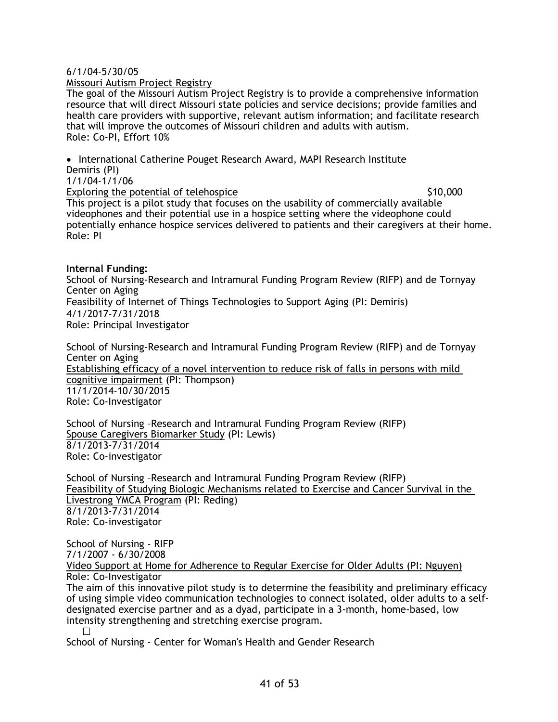#### 6/1/04-5/30/05

Missouri Autism Project Registry

The goal of the Missouri Autism Project Registry is to provide a comprehensive information resource that will direct Missouri state policies and service decisions; provide families and health care providers with supportive, relevant autism information; and facilitate research that will improve the outcomes of Missouri children and adults with autism. Role: Co-PI, Effort 10%

• International Catherine Pouget Research Award, MAPI Research Institute Demiris (PI) 1/1/04-1/1/06 Exploring the potential of telehospice  $$10,000$ This project is a pilot study that focuses on the usability of commercially available videophones and their potential use in a hospice setting where the videophone could potentially enhance hospice services delivered to patients and their caregivers at their home. Role: PI

#### **Internal Funding:**

School of Nursing-Research and Intramural Funding Program Review (RIFP) and de Tornyay Center on Aging Feasibility of Internet of Things Technologies to Support Aging (PI: Demiris) 4/1/2017-7/31/2018 Role: Principal Investigator

School of Nursing-Research and Intramural Funding Program Review (RIFP) and de Tornyay Center on Aging Establishing efficacy of a novel intervention to reduce risk of falls in persons with mild cognitive impairment (PI: Thompson) 11/1/2014-10/30/2015 Role: Co-Investigator

School of Nursing –Research and Intramural Funding Program Review (RIFP) Spouse Caregivers Biomarker Study (PI: Lewis) 8/1/2013-7/31/2014 Role: Co-investigator

School of Nursing –Research and Intramural Funding Program Review (RIFP) Feasibility of Studying Biologic Mechanisms related to Exercise and Cancer Survival in the Livestrong YMCA Program (PI: Reding) 8/1/2013-7/31/2014 Role: Co-investigator

School of Nursing - RIFP 7/1/2007 - 6/30/2008

Video Support at Home for Adherence to Regular Exercise for Older Adults (PI: Nguyen) Role: Co-Investigator

The aim of this innovative pilot study is to determine the feasibility and preliminary efficacy of using simple video communication technologies to connect isolated, older adults to a selfdesignated exercise partner and as a dyad, participate in a 3-month, home-based, low intensity strengthening and stretching exercise program.

School of Nursing - Center for Woman's Health and Gender Research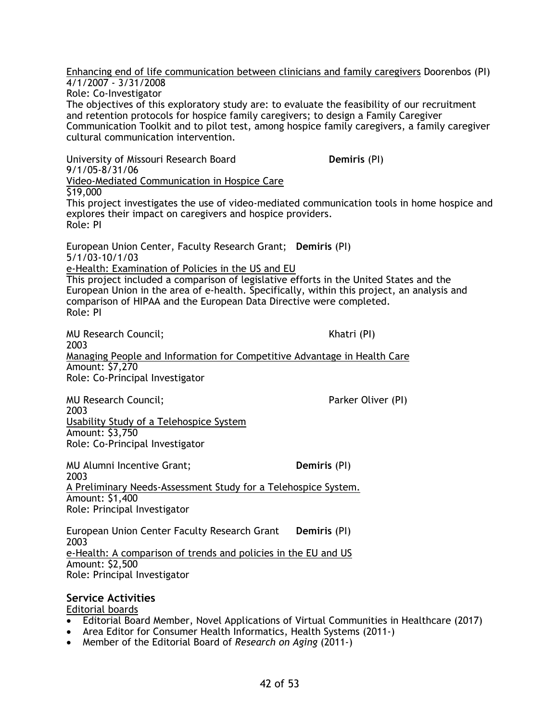Enhancing end of life communication between clinicians and family caregivers Doorenbos (PI) 4/1/2007 - 3/31/2008 Role: Co-Investigator The objectives of this exploratory study are: to evaluate the feasibility of our recruitment and retention protocols for hospice family caregivers; to design a Family Caregiver Communication Toolkit and to pilot test, among hospice family caregivers, a family caregiver cultural communication intervention.

University of Missouri Research Board **Demiris** (PI) 9/1/05-8/31/06 Video-Mediated Communication in Hospice Care \$19,000 This project investigates the use of video-mediated communication tools in home hospice and explores their impact on caregivers and hospice providers. Role: PI European Union Center, Faculty Research Grant; **Demiris** (PI) 5/1/03-10/1/03 e-Health: Examination of Policies in the US and EU

This project included a comparison of legislative efforts in the United States and the European Union in the area of e-health. Specifically, within this project, an analysis and comparison of HIPAA and the European Data Directive were completed. Role: PI

MU Research Council; The Council of the Council of the Council of the Council of the Council of the Council of the Council of the Council of the Council of the Council of the Council of the Council of the Council of the Co 2003 Managing People and Information for Competitive Advantage in Health Care Amount: \$7,270 Role: Co-Principal Investigator

MU Research Council; All the council of the council of the Parker Oliver (PI) 2003 Usability Study of a Telehospice System Amount: \$3,750 Role: Co-Principal Investigator

MU Alumni Incentive Grant; **Demiris** (PI) 2003 A Preliminary Needs-Assessment Study for a Telehospice System. Amount: \$1,400 Role: Principal Investigator

European Union Center Faculty Research Grant **Demiris** (PI) 2003 e-Health: A comparison of trends and policies in the EU and US Amount: \$2,500 Role: Principal Investigator

# **Service Activities**

Editorial boards

- Editorial Board Member, Novel Applications of Virtual Communities in Healthcare (2017)
- Area Editor for Consumer Health Informatics, Health Systems (2011-)
- Member of the Editorial Board of *Research on Aging* (2011-)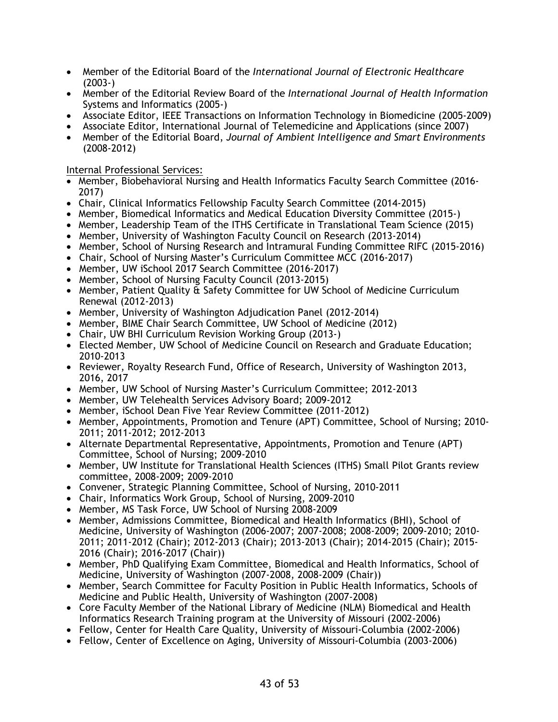- Member of the Editorial Board of the *International Journal of Electronic Healthcare* (2003-)
- Member of the Editorial Review Board of the *International Journal of Health Information*  Systems and Informatics (2005-)
- Associate Editor, IEEE Transactions on Information Technology in Biomedicine (2005-2009)
- Associate Editor, International Journal of Telemedicine and Applications (since 2007)
- Member of the Editorial Board, *Journal of Ambient Intelligence and Smart Environments*  (2008-2012)

Internal Professional Services:

- Member, Biobehavioral Nursing and Health Informatics Faculty Search Committee (2016- 2017)
- Chair, Clinical Informatics Fellowship Faculty Search Committee (2014-2015)
- Member, Biomedical Informatics and Medical Education Diversity Committee (2015-)
- Member, Leadership Team of the ITHS Certificate in Translational Team Science (2015)
- Member, University of Washington Faculty Council on Research (2013-2014)
- Member, School of Nursing Research and Intramural Funding Committee RIFC (2015-2016)
- Chair, School of Nursing Master's Curriculum Committee MCC (2016-2017)
- Member, UW iSchool 2017 Search Committee (2016-2017)
- Member, School of Nursing Faculty Council (2013-2015)
- Member, Patient Quality & Safety Committee for UW School of Medicine Curriculum Renewal (2012-2013)
- Member, University of Washington Adjudication Panel (2012-2014)
- Member, BIME Chair Search Committee, UW School of Medicine (2012)
- Chair, UW BHI Curriculum Revision Working Group (2013-)
- Elected Member, UW School of Medicine Council on Research and Graduate Education; 2010-2013
- Reviewer, Royalty Research Fund, Office of Research, University of Washington 2013, 2016, 2017
- Member, UW School of Nursing Master's Curriculum Committee; 2012-2013
- Member, UW Telehealth Services Advisory Board; 2009-2012
- Member, iSchool Dean Five Year Review Committee (2011-2012)
- Member, Appointments, Promotion and Tenure (APT) Committee, School of Nursing; 2010- 2011; 2011-2012; 2012-2013
- Alternate Departmental Representative, Appointments, Promotion and Tenure (APT) Committee, School of Nursing; 2009-2010
- Member, UW Institute for Translational Health Sciences (ITHS) Small Pilot Grants review committee, 2008-2009; 2009-2010
- Convener, Strategic Planning Committee, School of Nursing, 2010-2011
- Chair, Informatics Work Group, School of Nursing, 2009-2010
- Member, MS Task Force, UW School of Nursing 2008-2009
- Member, Admissions Committee, Biomedical and Health Informatics (BHI), School of Medicine, University of Washington (2006-2007; 2007-2008; 2008-2009; 2009-2010; 2010- 2011; 2011-2012 (Chair); 2012-2013 (Chair); 2013-2013 (Chair); 2014-2015 (Chair); 2015- 2016 (Chair); 2016-2017 (Chair))
- Member, PhD Qualifying Exam Committee, Biomedical and Health Informatics, School of Medicine, University of Washington (2007-2008, 2008-2009 (Chair))
- Member, Search Committee for Faculty Position in Public Health Informatics, Schools of Medicine and Public Health, University of Washington (2007-2008)
- Core Faculty Member of the National Library of Medicine (NLM) Biomedical and Health Informatics Research Training program at the University of Missouri (2002-2006)
- Fellow, Center for Health Care Quality, University of Missouri-Columbia (2002-2006)
- Fellow, Center of Excellence on Aging, University of Missouri-Columbia (2003-2006)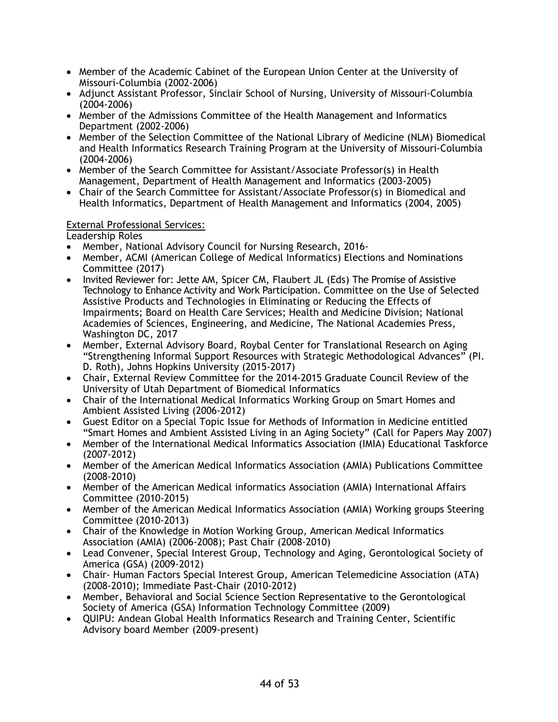- Member of the Academic Cabinet of the European Union Center at the University of Missouri-Columbia (2002-2006)
- Adjunct Assistant Professor, Sinclair School of Nursing, University of Missouri-Columbia (2004-2006)
- Member of the Admissions Committee of the Health Management and Informatics Department (2002-2006)
- Member of the Selection Committee of the National Library of Medicine (NLM) Biomedical and Health Informatics Research Training Program at the University of Missouri-Columbia (2004-2006)
- Member of the Search Committee for Assistant/Associate Professor(s) in Health Management, Department of Health Management and Informatics (2003-2005)
- Chair of the Search Committee for Assistant/Associate Professor(s) in Biomedical and Health Informatics, Department of Health Management and Informatics (2004, 2005)

## External Professional Services:

Leadership Roles

- Member, National Advisory Council for Nursing Research, 2016-
- Member, ACMI (American College of Medical Informatics) Elections and Nominations Committee (2017)
- Invited Reviewer for: Jette AM, Spicer CM, Flaubert JL (Eds) The Promise of Assistive Technology to Enhance Activity and Work Participation. Committee on the Use of Selected Assistive Products and Technologies in Eliminating or Reducing the Effects of Impairments; Board on Health Care Services; Health and Medicine Division; National Academies of Sciences, Engineering, and Medicine, The National Academies Press, Washington DC, 2017
- Member, External Advisory Board, Roybal Center for Translational Research on Aging "Strengthening Informal Support Resources with Strategic Methodological Advances" (PI. D. Roth), Johns Hopkins University (2015-2017)
- Chair, External Review Committee for the 2014-2015 Graduate Council Review of the University of Utah Department of Biomedical Informatics
- Chair of the International Medical Informatics Working Group on Smart Homes and Ambient Assisted Living (2006-2012)
- Guest Editor on a Special Topic Issue for Methods of Information in Medicine entitled "Smart Homes and Ambient Assisted Living in an Aging Society" (Call for Papers May 2007)
- Member of the International Medical Informatics Association (IMIA) Educational Taskforce (2007-2012)
- Member of the American Medical Informatics Association (AMIA) Publications Committee (2008-2010)
- Member of the American Medical informatics Association (AMIA) International Affairs Committee (2010-2015)
- Member of the American Medical Informatics Association (AMIA) Working groups Steering Committee (2010-2013)
- Chair of the Knowledge in Motion Working Group, American Medical Informatics Association (AMIA) (2006-2008); Past Chair (2008-2010)
- Lead Convener, Special Interest Group, Technology and Aging, Gerontological Society of America (GSA) (2009-2012)
- Chair- Human Factors Special Interest Group, American Telemedicine Association (ATA) (2008-2010); Immediate Past-Chair (2010-2012)
- Member, Behavioral and Social Science Section Representative to the Gerontological Society of America (GSA) Information Technology Committee (2009)
- QUIPU: Andean Global Health Informatics Research and Training Center, Scientific Advisory board Member (2009-present)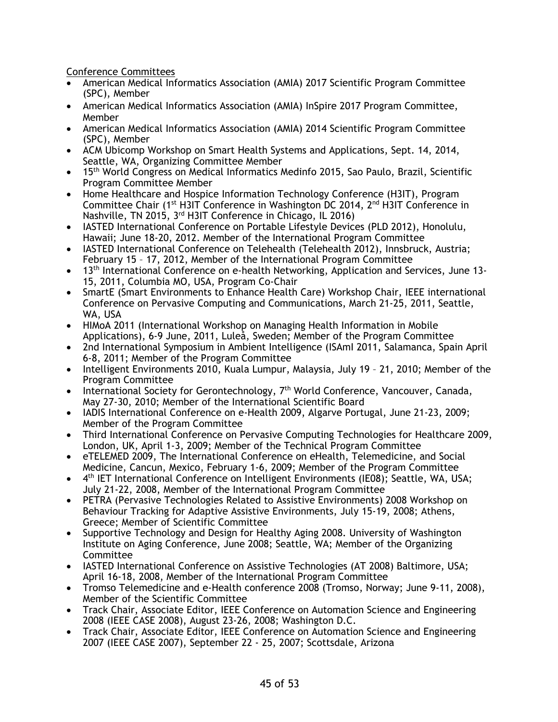Conference Committees

- American Medical Informatics Association (AMIA) 2017 Scientific Program Committee (SPC), Member
- American Medical Informatics Association (AMIA) InSpire 2017 Program Committee, Member
- American Medical Informatics Association (AMIA) 2014 Scientific Program Committee (SPC), Member
- ACM Ubicomp Workshop on Smart Health Systems and Applications, Sept. 14, 2014, Seattle, WA, Organizing Committee Member
- 15<sup>th</sup> World Congress on Medical Informatics Medinfo 2015, Sao Paulo, Brazil, Scientific Program Committee Member
- Home Healthcare and Hospice Information Technology Conference (H3IT), Program Committee Chair ( $1<sup>st</sup>$  H3IT Conference in Washington DC 2014,  $2<sup>nd</sup>$  H3IT Conference in Nashville, TN 2015, 3rd H3IT Conference in Chicago, IL 2016)
- IASTED International Conference on Portable Lifestyle Devices (PLD 2012), Honolulu, Hawaii; June 18-20, 2012. Member of the International Program Committee
- IASTED International Conference on Telehealth (Telehealth 2012), Innsbruck, Austria; February 15 – 17, 2012, Member of the International Program Committee
- 13<sup>th</sup> International Conference on e-health Networking, Application and Services, June 13-15, 2011, Columbia MO, USA, Program Co-Chair
- SmartE (Smart Environments to Enhance Health Care) Workshop Chair, IEEE international Conference on Pervasive Computing and Communications, March 21-25, 2011, Seattle, WA, USA
- HIMoA 2011 (International Workshop on Managing Health Information in Mobile Applications), 6-9 June, 2011, Luleå, Sweden; Member of the Program Committee
- 2nd International Symposium in Ambient Intelligence (ISAmI 2011, Salamanca, Spain April 6-8, 2011; Member of the Program Committee
- Intelligent Environments 2010, Kuala Lumpur, Malaysia, July 19 21, 2010; Member of the Program Committee
- International Society for Gerontechnology, 7<sup>th</sup> World Conference, Vancouver, Canada, May 27-30, 2010; Member of the International Scientific Board
- IADIS International Conference on e-Health 2009, Algarve Portugal, June 21-23, 2009; Member of the Program Committee
- Third International Conference on Pervasive Computing Technologies for Healthcare 2009, London, UK, April 1-3, 2009; Member of the Technical Program Committee
- eTELEMED 2009, The International Conference on eHealth, Telemedicine, and Social Medicine, Cancun, Mexico, February 1-6, 2009; Member of the Program Committee
- 4<sup>th</sup> IET International Conference on Intelligent Environments (IE08); Seattle, WA, USA; July 21-22, 2008, Member of the International Program Committee
- PETRA (Pervasive Technologies Related to Assistive Environments) 2008 Workshop on Behaviour Tracking for Adaptive Assistive Environments, July 15-19, 2008; Athens, Greece; Member of Scientific Committee
- Supportive Technology and Design for Healthy Aging 2008. University of Washington Institute on Aging Conference, June 2008; Seattle, WA; Member of the Organizing Committee
- IASTED International Conference on Assistive Technologies (AT 2008) Baltimore, USA; April 16-18, 2008, Member of the International Program Committee
- Tromso Telemedicine and e-Health conference 2008 (Tromso, Norway; June 9-11, 2008), Member of the Scientific Committee
- Track Chair, Associate Editor, IEEE Conference on Automation Science and Engineering 2008 (IEEE CASE 2008), August 23-26, 2008; Washington D.C.
- Track Chair, Associate Editor, IEEE Conference on Automation Science and Engineering 2007 (IEEE CASE 2007), September 22 - 25, 2007; Scottsdale, Arizona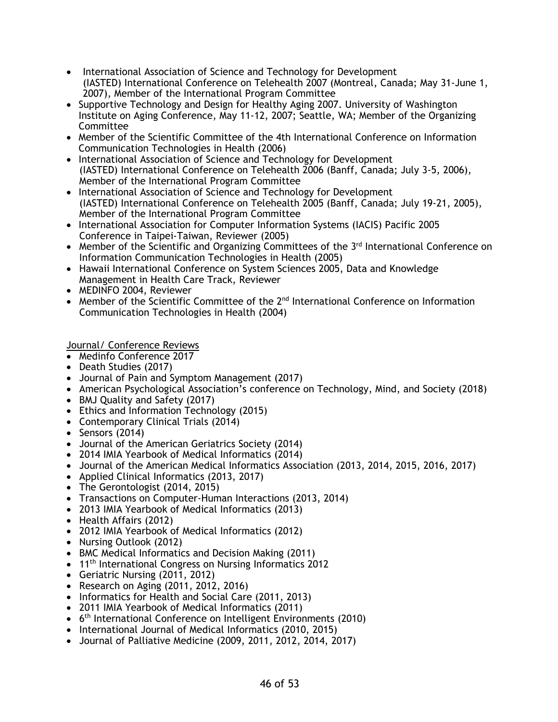- International Association of Science and Technology for Development (IASTED) International Conference on Telehealth 2007 (Montreal, Canada; May 31-June 1, 2007), Member of the International Program Committee
- Supportive Technology and Design for Healthy Aging 2007. University of Washington Institute on Aging Conference, May 11-12, 2007; Seattle, WA; Member of the Organizing Committee
- Member of the Scientific Committee of the 4th International Conference on Information Communication Technologies in Health (2006)
- International Association of Science and Technology for Development (IASTED) International Conference on Telehealth 2006 (Banff, Canada; July 3-5, 2006), Member of the International Program Committee
- International Association of Science and Technology for Development (IASTED) International Conference on Telehealth 2005 (Banff, Canada; July 19-21, 2005), Member of the International Program Committee
- International Association for Computer Information Systems (IACIS) Pacific 2005 Conference in Taipei-Taiwan, Reviewer (2005)
- Member of the Scientific and Organizing Committees of the 3<sup>rd</sup> International Conference on Information Communication Technologies in Health (2005)
- Hawaii International Conference on System Sciences 2005, Data and Knowledge Management in Health Care Track, Reviewer
- MEDINFO 2004, Reviewer
- Member of the Scientific Committee of the  $2<sup>nd</sup>$  International Conference on Information Communication Technologies in Health (2004)

Journal/ Conference Reviews

- Medinfo Conference 2017
- Death Studies (2017)
- Journal of Pain and Symptom Management (2017)
- American Psychological Association's conference on Technology, Mind, and Society (2018)
- BMJ Quality and Safety (2017)
- Ethics and Information Technology (2015)
- Contemporary Clinical Trials (2014)
- Sensors (2014)
- Journal of the American Geriatrics Society (2014)
- 2014 IMIA Yearbook of Medical Informatics (2014)
- Journal of the American Medical Informatics Association (2013, 2014, 2015, 2016, 2017)
- Applied Clinical Informatics (2013, 2017)
- The Gerontologist (2014, 2015)
- Transactions on Computer-Human Interactions (2013, 2014)
- 2013 IMIA Yearbook of Medical Informatics (2013)
- Health Affairs (2012)
- 2012 IMIA Yearbook of Medical Informatics (2012)
- Nursing Outlook (2012)
- BMC Medical Informatics and Decision Making (2011)
- 11<sup>th</sup> International Congress on Nursing Informatics 2012
- Geriatric Nursing (2011, 2012)
- Research on Aging (2011, 2012, 2016)
- Informatics for Health and Social Care (2011, 2013)
- 2011 IMIA Yearbook of Medical Informatics (2011)
- 6th International Conference on Intelligent Environments (2010)
- International Journal of Medical Informatics (2010, 2015)
- Journal of Palliative Medicine (2009, 2011, 2012, 2014, 2017)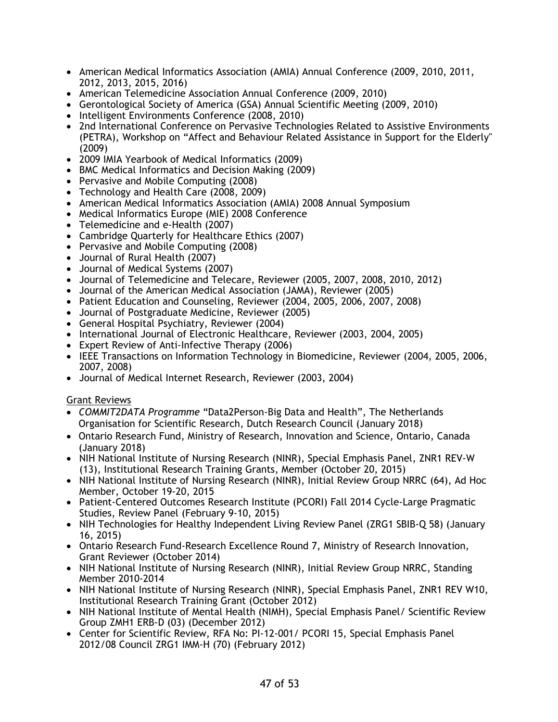- American Medical Informatics Association (AMIA) Annual Conference (2009, 2010, 2011, 2012, 2013, 2015, 2016)
- American Telemedicine Association Annual Conference (2009, 2010)
- Gerontological Society of America (GSA) Annual Scientific Meeting (2009, 2010)
- Intelligent Environments Conference (2008, 2010)
- 2nd International Conference on Pervasive Technologies Related to Assistive Environments (PETRA), Workshop on "Affect and Behaviour Related Assistance in Support for the Elderly" (2009)
- 2009 IMIA Yearbook of Medical Informatics (2009)
- BMC Medical Informatics and Decision Making (2009)
- Pervasive and Mobile Computing (2008)
- Technology and Health Care (2008, 2009)
- American Medical Informatics Association (AMIA) 2008 Annual Symposium
- Medical Informatics Europe (MIE) 2008 Conference
- Telemedicine and e-Health (2007)
- Cambridge Quarterly for Healthcare Ethics (2007)
- Pervasive and Mobile Computing (2008)
- Journal of Rural Health (2007)
- Journal of Medical Systems (2007)
- Journal of Telemedicine and Telecare, Reviewer (2005, 2007, 2008, 2010, 2012)
- Journal of the American Medical Association (JAMA), Reviewer (2005)
- Patient Education and Counseling, Reviewer (2004, 2005, 2006, 2007, 2008)
- Journal of Postgraduate Medicine, Reviewer (2005)
- General Hospital Psychiatry, Reviewer (2004)
- International Journal of Electronic Healthcare, Reviewer (2003, 2004, 2005)
- Expert Review of Anti-Infective Therapy (2006)
- IEEE Transactions on Information Technology in Biomedicine, Reviewer (2004, 2005, 2006, 2007, 2008)
- Journal of Medical Internet Research, Reviewer (2003, 2004)

## Grant Reviews

- *COMMIT2DATA Programme* "Data2Person-Big Data and Health", The Netherlands Organisation for Scientific Research, Dutch Research Council (January 2018)
- Ontario Research Fund, Ministry of Research, Innovation and Science, Ontario, Canada (January 2018)
- NIH National Institute of Nursing Research (NINR), Special Emphasis Panel, ZNR1 REV-W (13), Institutional Research Training Grants, Member (October 20, 2015)
- NIH National Institute of Nursing Research (NINR), Initial Review Group NRRC (64), Ad Hoc Member, October 19-20, 2015
- Patient-Centered Outcomes Research Institute (PCORI) Fall 2014 Cycle-Large Pragmatic Studies, Review Panel (February 9-10, 2015)
- NIH Technologies for Healthy Independent Living Review Panel (ZRG1 SBIB-Q 58) (January 16, 2015)
- Ontario Research Fund-Research Excellence Round 7, Ministry of Research Innovation, Grant Reviewer (October 2014)
- NIH National Institute of Nursing Research (NINR), Initial Review Group NRRC, Standing Member 2010-2014
- NIH National Institute of Nursing Research (NINR), Special Emphasis Panel, ZNR1 REV W10, Institutional Research Training Grant (October 2012)
- NIH National Institute of Mental Health (NIMH), Special Emphasis Panel/ Scientific Review Group ZMH1 ERB-D (03) (December 2012)
- Center for Scientific Review, RFA No: PI-12-001/ PCORI 15, Special Emphasis Panel 2012/08 Council ZRG1 IMM-H (70) (February 2012)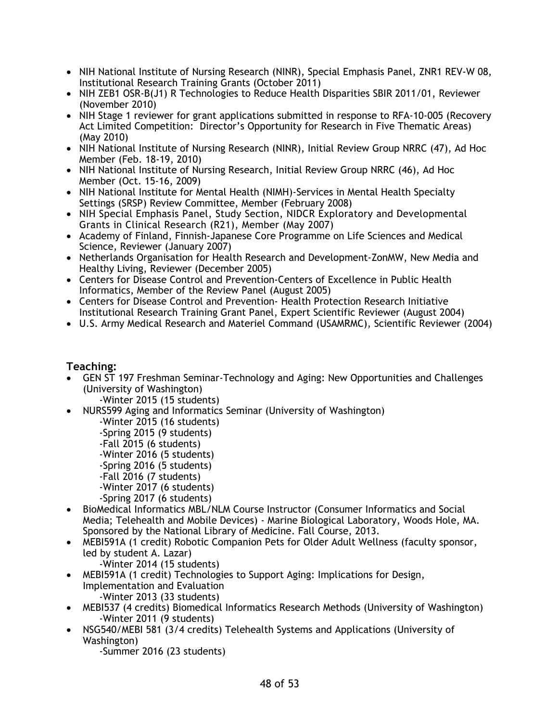- NIH National Institute of Nursing Research (NINR), Special Emphasis Panel, ZNR1 REV-W 08, Institutional Research Training Grants (October 2011)
- NIH ZEB1 OSR-B(J1) R Technologies to Reduce Health Disparities SBIR 2011/01, Reviewer (November 2010)
- NIH Stage 1 reviewer for grant applications submitted in response to RFA-10-005 (Recovery Act Limited Competition: Director's Opportunity for Research in Five Thematic Areas) (May 2010)
- NIH National Institute of Nursing Research (NINR), Initial Review Group NRRC (47), Ad Hoc Member (Feb. 18-19, 2010)
- NIH National Institute of Nursing Research, Initial Review Group NRRC (46), Ad Hoc Member (Oct. 15-16, 2009)
- NIH National Institute for Mental Health (NIMH)-Services in Mental Health Specialty Settings (SRSP) Review Committee, Member (February 2008)
- NIH Special Emphasis Panel, Study Section, NIDCR Exploratory and Developmental Grants in Clinical Research (R21), Member (May 2007)
- Academy of Finland, Finnish-Japanese Core Programme on Life Sciences and Medical Science, Reviewer (January 2007)
- Netherlands Organisation for Health Research and Development-ZonMW, New Media and Healthy Living, Reviewer (December 2005)
- Centers for Disease Control and Prevention-Centers of Excellence in Public Health Informatics, Member of the Review Panel (August 2005)
- Centers for Disease Control and Prevention- Health Protection Research Initiative Institutional Research Training Grant Panel, Expert Scientific Reviewer (August 2004)
- U.S. Army Medical Research and Materiel Command (USAMRMC), Scientific Reviewer (2004)

# **Teaching:**

- GEN ST 197 Freshman Seminar-Technology and Aging: New Opportunities and Challenges (University of Washington)
	- -Winter 2015 (15 students)
- NURS599 Aging and Informatics Seminar (University of Washington)
	- -Winter 2015 (16 students)
	- -Spring 2015 (9 students)
	- -Fall 2015 (6 students)
	- -Winter 2016 (5 students)
	- -Spring 2016 (5 students)
	- -Fall 2016 (7 students)
	- -Winter 2017 (6 students)
	- -Spring 2017 (6 students)
- BioMedical Informatics MBL/NLM Course Instructor (Consumer Informatics and Social Media; Telehealth and Mobile Devices) - Marine Biological Laboratory, Woods Hole, MA. Sponsored by the National Library of Medicine. Fall Course, 2013.
- MEBI591A (1 credit) Robotic Companion Pets for Older Adult Wellness (faculty sponsor, led by student A. Lazar)
	- -Winter 2014 (15 students)
- MEBI591A (1 credit) Technologies to Support Aging: Implications for Design, Implementation and Evaluation -Winter 2013 (33 students)
- MEBI537 (4 credits) Biomedical Informatics Research Methods (University of Washington) -Winter 2011 (9 students)
- NSG540/MEBI 581 (3/4 credits) Telehealth Systems and Applications (University of Washington)
	- -Summer 2016 (23 students)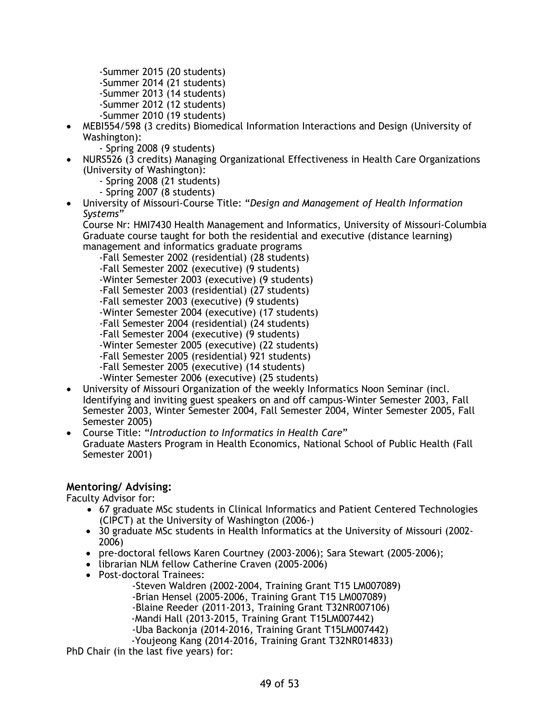- -Summer 2015 (20 students)
- -Summer 2014 (21 students)
- -Summer 2013 (14 students)
- -Summer 2012 (12 students)
- -Summer 2010 (19 students)
- MEBI554/598 (3 credits) Biomedical Information Interactions and Design (University of Washington):
	- Spring 2008 (9 students)
- NURS526 (3 credits) Managing Organizational Effectiveness in Health Care Organizations (University of Washington):
	- Spring 2008 (21 students)
	- Spring 2007 (8 students)
- University of Missouri-Course Title: "*Design and Management of Health Information Systems*"

Course Nr: HMI7430 Health Management and Informatics, University of Missouri-Columbia Graduate course taught for both the residential and executive (distance learning) management and informatics graduate programs

- -Fall Semester 2002 (residential) (28 students)
- -Fall Semester 2002 (executive) (9 students)
- -Winter Semester 2003 (executive) (9 students)
- -Fall Semester 2003 (residential) (27 students)
- -Fall semester 2003 (executive) (9 students)
- -Winter Semester 2004 (executive) (17 students)
- -Fall Semester 2004 (residential) (24 students)
- -Fall Semester 2004 (executive) (9 students)
- -Winter Semester 2005 (executive) (22 students)
- -Fall Semester 2005 (residential) 921 students)
- -Fall Semester 2005 (executive) (14 students)
- -Winter Semester 2006 (executive) (25 students)
- University of Missouri Organization of the weekly Informatics Noon Seminar (incl. Identifying and inviting guest speakers on and off campus-Winter Semester 2003, Fall Semester 2003, Winter Semester 2004, Fall Semester 2004, Winter Semester 2005, Fall Semester 2005)
- Course Title: "*Introduction to Informatics in Health Care*" Graduate Masters Program in Health Economics, National School of Public Health (Fall Semester 2001)

# **Mentoring/ Advising:**

Faculty Advisor for:

- 67 graduate MSc students in Clinical Informatics and Patient Centered Technologies (CIPCT) at the University of Washington (2006-)
- 30 graduate MSc students in Health Informatics at the University of Missouri (2002- 2006)
- pre-doctoral fellows Karen Courtney (2003-2006); Sara Stewart (2005-2006);
- librarian NLM fellow Catherine Craven (2005-2006)
- Post-doctoral Trainees:
	- -Steven Waldren (2002-2004, Training Grant T15 LM007089)
	- -Brian Hensel (2005-2006, Training Grant T15 LM007089)
	- -Blaine Reeder (2011-2013, Training Grant T32NR007106)
	- -Mandi Hall (2013-2015, Training Grant T15LM007442)
	- -Uba Backonja (2014-2016, Training Grant T15LM007442)
	- -Youjeong Kang (2014-2016, Training Grant T32NR014833)

PhD Chair (in the last five years) for: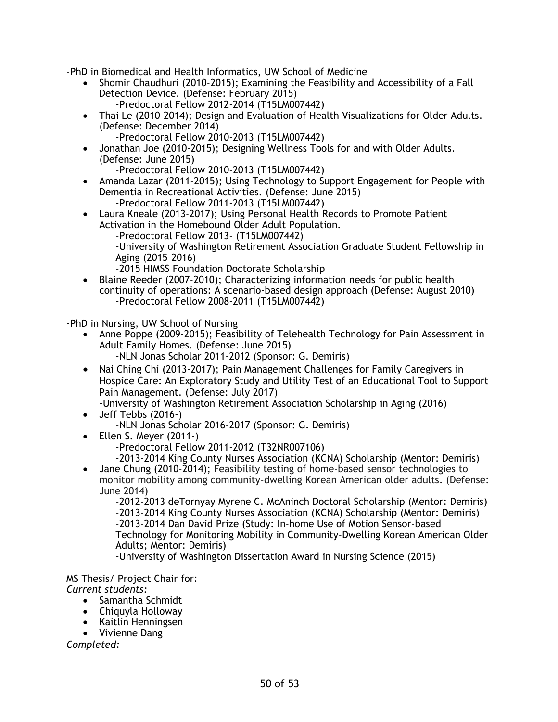-PhD in Biomedical and Health Informatics, UW School of Medicine

- Shomir Chaudhuri (2010-2015); Examining the Feasibility and Accessibility of a Fall Detection Device. (Defense: February 2015) -Predoctoral Fellow 2012-2014 (T15LM007442)
- Thai Le (2010-2014); Design and Evaluation of Health Visualizations for Older Adults. (Defense: December 2014)
	- -Predoctoral Fellow 2010-2013 (T15LM007442)
- Jonathan Joe (2010-2015); Designing Wellness Tools for and with Older Adults. (Defense: June 2015)
	- -Predoctoral Fellow 2010-2013 (T15LM007442)
- Amanda Lazar (2011-2015); Using Technology to Support Engagement for People with Dementia in Recreational Activities. (Defense: June 2015) -Predoctoral Fellow 2011-2013 (T15LM007442)
- Laura Kneale (2013-2017); Using Personal Health Records to Promote Patient Activation in the Homebound Older Adult Population. -Predoctoral Fellow 2013- (T15LM007442) -University of Washington Retirement Association Graduate Student Fellowship in Aging (2015-2016) -2015 HIMSS Foundation Doctorate Scholarship
- Blaine Reeder (2007-2010); Characterizing information needs for public health continuity of operations: A scenario-based design approach (Defense: August 2010) -Predoctoral Fellow 2008-2011 (T15LM007442)

-PhD in Nursing, UW School of Nursing

- Anne Poppe (2009-2015); Feasibility of Telehealth Technology for Pain Assessment in Adult Family Homes. (Defense: June 2015)
	- -NLN Jonas Scholar 2011-2012 (Sponsor: G. Demiris)
- Nai Ching Chi (2013-2017); Pain Management Challenges for Family Caregivers in Hospice Care: An Exploratory Study and Utility Test of an Educational Tool to Support Pain Management. (Defense: July 2017)

-University of Washington Retirement Association Scholarship in Aging (2016)

- Jeff Tebbs (2016-) -NLN Jonas Scholar 2016-2017 (Sponsor: G. Demiris)
- Ellen S. Meyer (2011-)
	- -Predoctoral Fellow 2011-2012 (T32NR007106)

-2013-2014 King County Nurses Association (KCNA) Scholarship (Mentor: Demiris)

• Jane Chung (2010-2014); Feasibility testing of home-based sensor technologies to monitor mobility among community-dwelling Korean American older adults. (Defense: June 2014)

-2012-2013 deTornyay Myrene C. McAninch Doctoral Scholarship (Mentor: Demiris) -2013-2014 King County Nurses Association (KCNA) Scholarship (Mentor: Demiris) -2013-2014 Dan David Prize (Study: In-home Use of Motion Sensor-based Technology for Monitoring Mobility in Community-Dwelling Korean American Older Adults; Mentor: Demiris)

-University of Washington Dissertation Award in Nursing Science (2015)

MS Thesis/ Project Chair for: *Current students:*

- Samantha Schmidt
- Chiquyla Holloway
- Kaitlin Henningsen
- Vivienne Dang

*Completed:*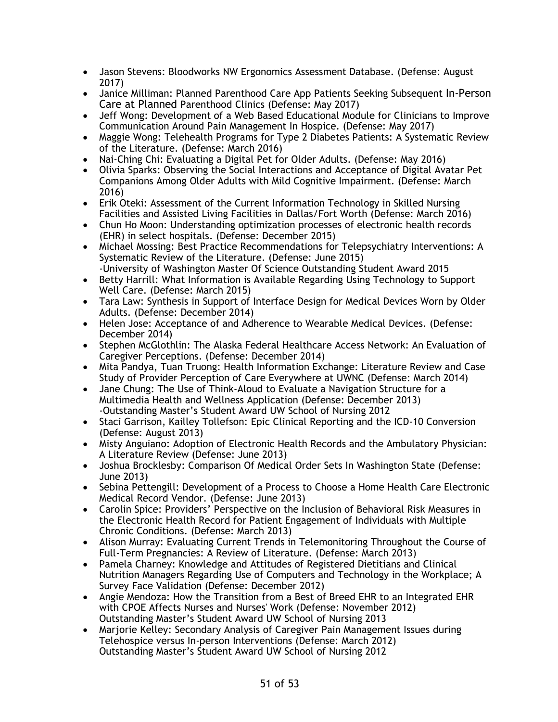- Jason Stevens: Bloodworks NW Ergonomics Assessment Database. (Defense: August 2017)
- Janice Milliman: Planned Parenthood Care App Patients Seeking Subsequent In-Person Care at Planned Parenthood Clinics (Defense: May 2017)
- Jeff Wong: Development of a Web Based Educational Module for Clinicians to Improve Communication Around Pain Management In Hospice. (Defense: May 2017)
- Maggie Wong: Telehealth Programs for Type 2 Diabetes Patients: A Systematic Review of the Literature. (Defense: March 2016)
- Nai-Ching Chi: Evaluating a Digital Pet for Older Adults. (Defense: May 2016)
- Olivia Sparks: Observing the Social Interactions and Acceptance of Digital Avatar Pet Companions Among Older Adults with Mild Cognitive Impairment. (Defense: March 2016)
- Erik Oteki: Assessment of the Current Information Technology in Skilled Nursing Facilities and Assisted Living Facilities in Dallas/Fort Worth (Defense: March 2016)
- Chun Ho Moon: Understanding optimization processes of electronic health records (EHR) in select hospitals. (Defense: December 2015)
- Michael Mossing: Best Practice Recommendations for Telepsychiatry Interventions: A Systematic Review of the Literature. (Defense: June 2015) -University of Washington Master Of Science Outstanding Student Award 2015
- Betty Harrill: What Information is Available Regarding Using Technology to Support Well Care. (Defense: March 2015)
- Tara Law: Synthesis in Support of Interface Design for Medical Devices Worn by Older Adults. (Defense: December 2014)
- Helen Jose: Acceptance of and Adherence to Wearable Medical Devices. (Defense: December 2014)
- Stephen McGlothlin: The Alaska Federal Healthcare Access Network: An Evaluation of Caregiver Perceptions. (Defense: December 2014)
- Mita Pandya, Tuan Truong: Health Information Exchange: Literature Review and Case Study of Provider Perception of Care Everywhere at UWNC (Defense: March 2014)
- Jane Chung: The Use of Think-Aloud to Evaluate a Navigation Structure for a Multimedia Health and Wellness Application (Defense: December 2013) -Outstanding Master's Student Award UW School of Nursing 2012
- Staci Garrison, Kailley Tollefson: Epic Clinical Reporting and the ICD-10 Conversion (Defense: August 2013)
- Misty Anguiano: Adoption of Electronic Health Records and the Ambulatory Physician: A Literature Review (Defense: June 2013)
- Joshua Brocklesby: Comparison Of Medical Order Sets In Washington State (Defense: June 2013)
- Sebina Pettengill: Development of a Process to Choose a Home Health Care Electronic Medical Record Vendor. (Defense: June 2013)
- Carolin Spice: Providers' Perspective on the Inclusion of Behavioral Risk Measures in the Electronic Health Record for Patient Engagement of Individuals with Multiple Chronic Conditions. (Defense: March 2013)
- Alison Murray: Evaluating Current Trends in Telemonitoring Throughout the Course of Full-Term Pregnancies: A Review of Literature. (Defense: March 2013)
- Pamela Charney: Knowledge and Attitudes of Registered Dietitians and Clinical Nutrition Managers Regarding Use of Computers and Technology in the Workplace; A Survey Face Validation (Defense: December 2012)
- Angie Mendoza: How the Transition from a Best of Breed EHR to an Integrated EHR with CPOE Affects Nurses and Nurses' Work (Defense: November 2012) Outstanding Master's Student Award UW School of Nursing 2013
- Marjorie Kelley: Secondary Analysis of Caregiver Pain Management Issues during Telehospice versus In-person Interventions (Defense: March 2012) Outstanding Master's Student Award UW School of Nursing 2012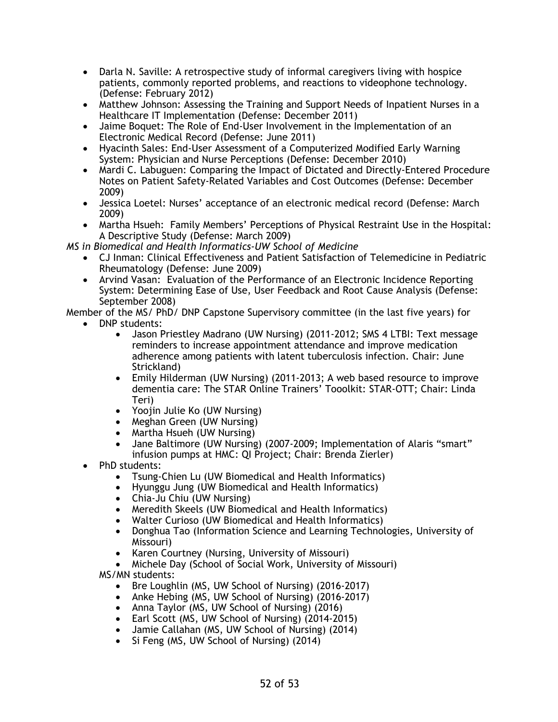- Darla N. Saville: A retrospective study of informal caregivers living with hospice patients, commonly reported problems, and reactions to videophone technology. (Defense: February 2012)
- Matthew Johnson: Assessing the Training and Support Needs of Inpatient Nurses in a Healthcare IT Implementation (Defense: December 2011)
- Jaime Boquet: The Role of End-User Involvement in the Implementation of an Electronic Medical Record (Defense: June 2011)
- Hyacinth Sales: End-User Assessment of a Computerized Modified Early Warning System: Physician and Nurse Perceptions (Defense: December 2010)
- Mardi C. Labuguen: Comparing the Impact of Dictated and Directly-Entered Procedure Notes on Patient Safety-Related Variables and Cost Outcomes (Defense: December 2009)
- Jessica Loetel: Nurses' acceptance of an electronic medical record (Defense: March 2009)
- Martha Hsueh: Family Members' Perceptions of Physical Restraint Use in the Hospital: A Descriptive Study (Defense: March 2009)

*MS in Biomedical and Health Informatics-UW School of Medicine*

- CJ Inman: Clinical Effectiveness and Patient Satisfaction of Telemedicine in Pediatric Rheumatology (Defense: June 2009)
- Arvind Vasan: Evaluation of the Performance of an Electronic Incidence Reporting System: Determining Ease of Use, User Feedback and Root Cause Analysis (Defense: September 2008)

Member of the MS/ PhD/ DNP Capstone Supervisory committee (in the last five years) for

- DNP students:
	- Jason Priestley Madrano (UW Nursing) (2011-2012; SMS 4 LTBI: Text message reminders to increase appointment attendance and improve medication adherence among patients with latent tuberculosis infection. Chair: June Strickland)
	- Emily Hilderman (UW Nursing) (2011-2013; A web based resource to improve dementia care: The STAR Online Trainers' Tooolkit: STAR-OTT; Chair: Linda Teri)
	- Yoojin Julie Ko (UW Nursing)
	- Meghan Green (UW Nursing)
	- Martha Hsueh (UW Nursing)
	- Jane Baltimore (UW Nursing) (2007-2009; Implementation of Alaris "smart" infusion pumps at HMC: QI Project; Chair: Brenda Zierler)
- PhD students:
	- Tsung-Chien Lu (UW Biomedical and Health Informatics)
	- Hyunggu Jung (UW Biomedical and Health Informatics)
	- Chia-Ju Chiu (UW Nursing)
	- Meredith Skeels (UW Biomedical and Health Informatics)
	- Walter Curioso (UW Biomedical and Health Informatics)
	- Donghua Tao (Information Science and Learning Technologies, University of Missouri)
	- Karen Courtney (Nursing, University of Missouri)
	- Michele Day (School of Social Work, University of Missouri) MS/MN students:
		- Bre Loughlin (MS, UW School of Nursing) (2016-2017)
		- Anke Hebing (MS, UW School of Nursing) (2016-2017)
		- Anna Taylor (MS, UW School of Nursing) (2016)
		- Earl Scott (MS, UW School of Nursing) (2014-2015)
		- Jamie Callahan (MS, UW School of Nursing) (2014)
		- Si Feng (MS, UW School of Nursing) (2014)